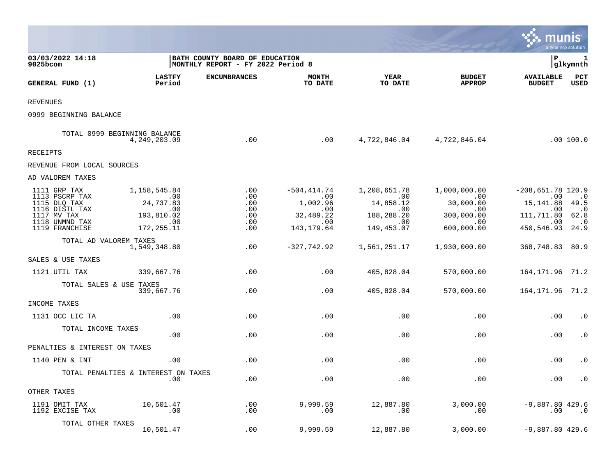|                                                                                                                     |                                                                                          |                                               |                                                                                     |                                                                                       |                                                                            | munis                                                                                                    | a tyler erp solution                                           |
|---------------------------------------------------------------------------------------------------------------------|------------------------------------------------------------------------------------------|-----------------------------------------------|-------------------------------------------------------------------------------------|---------------------------------------------------------------------------------------|----------------------------------------------------------------------------|----------------------------------------------------------------------------------------------------------|----------------------------------------------------------------|
| 03/03/2022 14:18<br>9025bcom                                                                                        | BATH COUNTY BOARD OF EDUCATION<br> MONTHLY REPORT - FY 2022 Period 8                     |                                               |                                                                                     |                                                                                       |                                                                            | l P                                                                                                      | 1<br> glkymnth                                                 |
| GENERAL FUND (1)                                                                                                    | <b>LASTFY</b><br>Period                                                                  | <b>ENCUMBRANCES</b>                           | <b>MONTH</b><br>TO DATE                                                             | <b>YEAR</b><br>TO DATE                                                                | <b>BUDGET</b><br><b>APPROP</b>                                             | <b>AVAILABLE</b><br><b>BUDGET</b>                                                                        | PCT<br><b>USED</b>                                             |
| <b>REVENUES</b>                                                                                                     |                                                                                          |                                               |                                                                                     |                                                                                       |                                                                            |                                                                                                          |                                                                |
| 0999 BEGINNING BALANCE                                                                                              |                                                                                          |                                               |                                                                                     |                                                                                       |                                                                            |                                                                                                          |                                                                |
|                                                                                                                     | TOTAL 0999 BEGINNING BALANCE<br>4, 249, 203.09                                           | .00                                           | .00                                                                                 |                                                                                       | 4,722,846.04 4,722,846.04                                                  |                                                                                                          | .00 100.0                                                      |
| RECEIPTS                                                                                                            |                                                                                          |                                               |                                                                                     |                                                                                       |                                                                            |                                                                                                          |                                                                |
| REVENUE FROM LOCAL SOURCES                                                                                          |                                                                                          |                                               |                                                                                     |                                                                                       |                                                                            |                                                                                                          |                                                                |
| AD VALOREM TAXES                                                                                                    |                                                                                          |                                               |                                                                                     |                                                                                       |                                                                            |                                                                                                          |                                                                |
| 1111 GRP TAX<br>1113 PSCRP TAX<br>1115 DLQ TAX<br>1116 DISTL TAX<br>1117 MV TAX<br>1118 UNMND TAX<br>1119 FRANCHISE | 1,158,545.84<br>$\sim 00$<br>24,737.83<br>.00<br>193,810.02<br>$\sim$ 00<br>172, 255. 11 | .00<br>.00<br>.00<br>.00<br>.00<br>.00<br>.00 | $-504, 414.74$<br>$\, .\, 00$<br>1,002.96<br>.00<br>32,489.22<br>.00<br>143, 179.64 | 1,208,651.78<br>$\sim 00$<br>14,858.12<br>$.00 \,$<br>188,288.20<br>.00<br>149,453.07 | 1,000,000.00<br>.00<br>30,000.00<br>.00<br>300,000.00<br>.00<br>600,000.00 | $-208,651.78$ 120.9<br>$\sim$ 00<br>15, 141.88 49.5<br>.00<br>111,711.80<br>$\sim$ 00<br>450,546.93 24.9 | $\cdot$ 0<br>$\overline{\phantom{0}}$ .0<br>62.8<br>$\cdot$ .0 |
| TOTAL AD VALOREM TAXES                                                                                              | 1,549,348.80                                                                             | .00                                           | $-327,742.92$                                                                       | 1,561,251.17                                                                          | 1,930,000.00                                                               | 368,748.83 80.9                                                                                          |                                                                |
| SALES & USE TAXES                                                                                                   |                                                                                          |                                               |                                                                                     |                                                                                       |                                                                            |                                                                                                          |                                                                |
| 1121 UTIL TAX                                                                                                       | 339,667.76                                                                               | .00                                           | .00                                                                                 | 405,828.04                                                                            | 570,000.00                                                                 | 164, 171. 96 71. 2                                                                                       |                                                                |
| TOTAL SALES & USE TAXES                                                                                             | 339,667.76                                                                               | .00                                           | .00                                                                                 | 405,828.04                                                                            | 570,000.00                                                                 | 164, 171. 96 71. 2                                                                                       |                                                                |
| INCOME TAXES                                                                                                        |                                                                                          |                                               |                                                                                     |                                                                                       |                                                                            |                                                                                                          |                                                                |
| 1131 OCC LIC TA                                                                                                     | .00                                                                                      | .00                                           | .00                                                                                 | .00                                                                                   | .00                                                                        | .00                                                                                                      | $\cdot$ 0                                                      |
| TOTAL INCOME TAXES                                                                                                  | .00                                                                                      | .00                                           | .00                                                                                 | .00                                                                                   | .00                                                                        | .00                                                                                                      | $\cdot$ 0                                                      |
| PENALTIES & INTEREST ON TAXES                                                                                       |                                                                                          |                                               |                                                                                     |                                                                                       |                                                                            |                                                                                                          |                                                                |
| 1140 PEN & INT                                                                                                      | .00                                                                                      | .00                                           | .00                                                                                 | .00                                                                                   | .00                                                                        | .00                                                                                                      | $\cdot$ 0                                                      |
|                                                                                                                     | TOTAL PENALTIES & INTEREST ON TAXES<br>.00                                               | .00                                           | .00                                                                                 | .00                                                                                   | .00                                                                        | .00                                                                                                      | $\cdot$ 0                                                      |
| OTHER TAXES                                                                                                         |                                                                                          |                                               |                                                                                     |                                                                                       |                                                                            |                                                                                                          |                                                                |
| 1191 OMIT TAX<br>1192 EXCISE TAX                                                                                    | 10,501.47<br>$\,.\,00$                                                                   | .00<br>$.00 \,$                               | 9,999.59<br>.00                                                                     | 12,887.80<br>.00                                                                      | 3,000.00<br>.00                                                            | $-9,887.80$ 429.6<br>.00                                                                                 | $\cdot$ .0                                                     |
| TOTAL OTHER TAXES                                                                                                   | 10,501.47                                                                                | .00                                           | 9,999.59                                                                            | 12,887.80                                                                             | 3,000.00                                                                   | $-9,887.80$ 429.6                                                                                        |                                                                |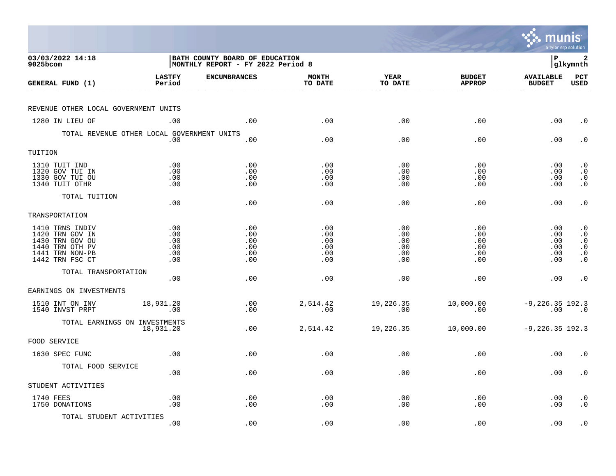|                                                                                                                |                                        |                                                                            |                                        |                                        |                                        | munis                                  | a tyler erp solution                                                                    |
|----------------------------------------------------------------------------------------------------------------|----------------------------------------|----------------------------------------------------------------------------|----------------------------------------|----------------------------------------|----------------------------------------|----------------------------------------|-----------------------------------------------------------------------------------------|
| 03/03/2022 14:18<br>$9025$ bcom                                                                                |                                        | <b>BATH COUNTY BOARD OF EDUCATION</b><br>MONTHLY REPORT - FY 2022 Period 8 |                                        |                                        |                                        | l P                                    | 2<br> glkymnth                                                                          |
| GENERAL FUND (1)                                                                                               | <b>LASTFY</b><br>Period                | <b>ENCUMBRANCES</b>                                                        | <b>MONTH</b><br>TO DATE                | <b>YEAR</b><br>TO DATE                 | <b>BUDGET</b><br><b>APPROP</b>         | <b>AVAILABLE</b><br><b>BUDGET</b>      | PCT<br><b>USED</b>                                                                      |
| REVENUE OTHER LOCAL GOVERNMENT UNITS                                                                           |                                        |                                                                            |                                        |                                        |                                        |                                        |                                                                                         |
| 1280 IN LIEU OF                                                                                                | .00                                    | .00                                                                        | .00                                    | .00                                    | .00                                    | .00                                    | $\cdot$ 0                                                                               |
| TOTAL REVENUE OTHER LOCAL GOVERNMENT UNITS                                                                     | .00                                    | .00                                                                        | .00                                    | .00                                    | .00                                    | .00                                    | $\cdot$ 0                                                                               |
| TUITION                                                                                                        |                                        |                                                                            |                                        |                                        |                                        |                                        |                                                                                         |
| 1310 TUIT IND<br>1320 GOV TUI IN<br>1330 GOV TUI OU<br>1340 TUIT OTHR                                          | .00<br>.00<br>.00<br>.00               | .00<br>.00<br>.00<br>.00                                                   | .00<br>.00<br>.00<br>.00               | .00<br>.00<br>.00<br>.00               | .00<br>.00<br>.00<br>.00               | .00<br>.00<br>.00<br>.00               | $\cdot$ 0<br>$\cdot$ 0<br>$\begin{smallmatrix} 0 \\ 0 \\ 0 \end{smallmatrix}$           |
| TOTAL TUITION                                                                                                  | .00                                    | .00                                                                        | .00                                    | .00                                    | .00                                    | .00                                    | $\cdot$ 0                                                                               |
| TRANSPORTATION                                                                                                 |                                        |                                                                            |                                        |                                        |                                        |                                        |                                                                                         |
| 1410 TRNS INDIV<br>1420 TRN GOV IN<br>1430 TRN GOV OU<br>1440 TRN OTH PV<br>1441 TRN NON-PB<br>1442 TRN FSC CT | .00<br>.00<br>.00<br>.00<br>.00<br>.00 | .00<br>.00<br>.00<br>.00<br>.00<br>.00                                     | .00<br>.00<br>.00<br>.00<br>.00<br>.00 | .00<br>.00<br>.00<br>.00<br>.00<br>.00 | .00<br>.00<br>.00<br>.00<br>.00<br>.00 | .00<br>.00<br>.00<br>.00<br>.00<br>.00 | $\cdot$ 0<br>$\cdot$ 0<br>$\cdot$ 0<br>$\cdot$ 0<br>$\boldsymbol{\cdot}$ 0<br>$\cdot$ 0 |
| TOTAL TRANSPORTATION                                                                                           | .00                                    | .00                                                                        | .00                                    | .00                                    | .00                                    | .00                                    | $\cdot$ 0                                                                               |
| EARNINGS ON INVESTMENTS                                                                                        |                                        |                                                                            |                                        |                                        |                                        |                                        |                                                                                         |
| 1510 INT ON INV<br>1540 INVST PRPT                                                                             | 18,931.20<br>.00                       | .00<br>.00                                                                 | 2,514.42<br>.00                        | 19,226.35<br>.00                       | 10,000.00<br>.00                       | $-9, 226.35$ 192.3<br>.00              | $\overline{\phantom{0}}$ .0                                                             |
| TOTAL EARNINGS ON INVESTMENTS                                                                                  | 18,931.20                              | .00                                                                        | 2,514.42                               | 19,226.35                              | 10,000.00                              | $-9,226.35$ 192.3                      |                                                                                         |
| FOOD SERVICE                                                                                                   |                                        |                                                                            |                                        |                                        |                                        |                                        |                                                                                         |
| 1630 SPEC FUNC                                                                                                 | .00                                    | .00                                                                        | .00                                    | .00                                    | .00                                    | .00                                    | $\cdot$ 0                                                                               |
| TOTAL FOOD SERVICE                                                                                             | .00                                    | .00                                                                        | .00                                    | .00                                    | .00                                    | .00                                    | $\cdot$ 0                                                                               |
| STUDENT ACTIVITIES                                                                                             |                                        |                                                                            |                                        |                                        |                                        |                                        |                                                                                         |
| 1740 FEES<br>1750 DONATIONS                                                                                    | .00<br>.00                             | $\boldsymbol{\mathsf{.00}}$<br>.00                                         | .00<br>.00                             | .00<br>.00                             | .00<br>.00                             | .00<br>.00                             | $\cdot$ 0<br>$\cdot$ 0                                                                  |
| TOTAL STUDENT ACTIVITIES                                                                                       | .00                                    | .00                                                                        | .00                                    | .00                                    | .00                                    | .00                                    | $\cdot$ 0                                                                               |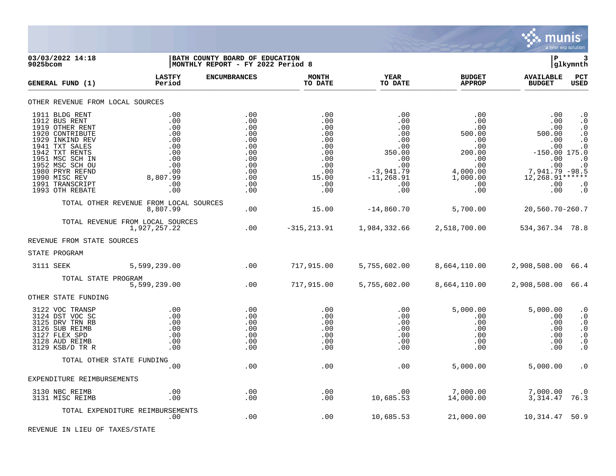

| 03/03/2022 14:18<br>9025bcom                                                                                                                                                                                                                 |                                                                                              | <b>BATH COUNTY BOARD OF EDUCATION</b><br> MONTHLY REPORT - FY 2022 Period 8             |                                                                                           |                                                                                                              |                                                                                                                           | lР                                                                                                                                              | 3<br> glkymnth                                                                                                                          |
|----------------------------------------------------------------------------------------------------------------------------------------------------------------------------------------------------------------------------------------------|----------------------------------------------------------------------------------------------|-----------------------------------------------------------------------------------------|-------------------------------------------------------------------------------------------|--------------------------------------------------------------------------------------------------------------|---------------------------------------------------------------------------------------------------------------------------|-------------------------------------------------------------------------------------------------------------------------------------------------|-----------------------------------------------------------------------------------------------------------------------------------------|
| GENERAL FUND (1)                                                                                                                                                                                                                             | <b>LASTFY</b><br>Period                                                                      | <b>ENCUMBRANCES</b>                                                                     | <b>MONTH</b><br>TO DATE                                                                   | <b>YEAR</b><br>TO DATE                                                                                       | <b>BUDGET</b><br><b>APPROP</b>                                                                                            | <b>AVAILABLE</b><br><b>BUDGET</b>                                                                                                               | PCT<br><b>USED</b>                                                                                                                      |
| OTHER REVENUE FROM LOCAL SOURCES                                                                                                                                                                                                             |                                                                                              |                                                                                         |                                                                                           |                                                                                                              |                                                                                                                           |                                                                                                                                                 |                                                                                                                                         |
| 1911 BLDG RENT<br>1912 BUS RENT<br>1919 OTHER RENT<br>1920 CONTRIBUTE<br>1929 INKIND REV<br>1941 TXT SALES<br>1942 TXT RENTS<br>1951 MSC SCH IN<br>1952 MSC SCH OU<br>1980 PRYR REFND<br>1990 MISC REV<br>1991 TRANSCRIPT<br>1993 OTH REBATE | .00<br>.00<br>.00<br>.00<br>.00<br>.00<br>.00<br>.00<br>.00<br>.00<br>8,807.99<br>.00<br>.00 | .00<br>.00<br>.00<br>.00<br>.00<br>.00<br>.00<br>.00<br>.00<br>.00<br>.00<br>.00<br>.00 | .00<br>.00<br>.00<br>.00<br>.00<br>.00<br>.00<br>.00<br>.00<br>.00<br>15.00<br>.00<br>.00 | .00<br>.00<br>.00<br>.00<br>.00<br>.00<br>350.00<br>.00<br>.00<br>$-3,941.79$<br>$-11, 268.91$<br>.00<br>.00 | $.00 \,$<br>$.00 \,$<br>.00<br>500.00<br>.00<br>.00<br>200.00<br>.00<br>.00<br>4,000.00<br>1,000.00<br>.00<br>$.00 \ \rm$ | .00<br>.00<br>.00<br>500.00<br>.00<br>.00<br>$-150.00$ 175.0<br>.00<br><br>0. 00. 01.79 .7<br>5. 98 – 7. 941.79<br>$12,268.91***$<br>.00<br>.00 | $\cdot$ 0<br>$\cdot$ 0<br>$\cdot$ 0<br>. $\boldsymbol{0}$<br>$\cdot$ 0<br>$\cdot$ 0<br>$\cdot$ 0<br>$\cdot$ 0<br>$\cdot$ 0<br>$\cdot$ 0 |
|                                                                                                                                                                                                                                              | TOTAL OTHER REVENUE FROM LOCAL SOURCES<br>8,807.99                                           | $.00 \ \,$                                                                              | 15.00                                                                                     | $-14,860.70$                                                                                                 | 5,700.00                                                                                                                  | 20,560.70-260.7                                                                                                                                 |                                                                                                                                         |
|                                                                                                                                                                                                                                              | TOTAL REVENUE FROM LOCAL SOURCES<br>1,927,257.22                                             | .00                                                                                     | $-315, 213.91$                                                                            | 1,984,332.66                                                                                                 | 2,518,700.00                                                                                                              | 534, 367. 34 78. 8                                                                                                                              |                                                                                                                                         |
| REVENUE FROM STATE SOURCES                                                                                                                                                                                                                   |                                                                                              |                                                                                         |                                                                                           |                                                                                                              |                                                                                                                           |                                                                                                                                                 |                                                                                                                                         |
| STATE PROGRAM                                                                                                                                                                                                                                |                                                                                              |                                                                                         |                                                                                           |                                                                                                              |                                                                                                                           |                                                                                                                                                 |                                                                                                                                         |
| 3111 SEEK                                                                                                                                                                                                                                    | 5,599,239.00                                                                                 | $\sim$ 00                                                                               | 717,915.00                                                                                |                                                                                                              | 5,755,602.00 8,664,110.00                                                                                                 | 2,908,508.00 66.4                                                                                                                               |                                                                                                                                         |
| TOTAL STATE PROGRAM                                                                                                                                                                                                                          | 5,599,239.00                                                                                 | .00                                                                                     | 717,915.00                                                                                | 5,755,602.00                                                                                                 | 8,664,110.00                                                                                                              | 2,908,508.00 66.4                                                                                                                               |                                                                                                                                         |
| OTHER STATE FUNDING                                                                                                                                                                                                                          |                                                                                              |                                                                                         |                                                                                           |                                                                                                              |                                                                                                                           |                                                                                                                                                 |                                                                                                                                         |
| 3122 VOC TRANSP<br>3124 DST VOC SC<br>3125 DRV TRN RB<br>3126 SUB REIMB<br>3127 FLEX SPD<br>3128 AUD REIMB<br>3129 KSB/D TR R                                                                                                                | .00<br>.00<br>.00<br>.00<br>.00<br>.00<br>.00                                                | .00<br>.00<br>.00<br>.00<br>.00<br>.00<br>.00                                           | .00<br>.00<br>.00<br>.00<br>.00<br>.00<br>.00                                             | .00<br>.00<br>.00<br>.00<br>.00<br>.00<br>.00                                                                | 5,000.00<br>$.00 \ \rm$<br>.00<br>$.00 \ \rm$<br>$.00 \ \rm$<br>$.00 \ \rm$<br>.00                                        | 5,000.00<br>.00<br>.00<br>.00<br>.00<br>.00<br>.00                                                                                              | $\cdot$ 0<br>$\cdot$ 0<br>$\cdot$ 0<br>$\cdot$ 0<br>. $\boldsymbol{0}$<br>$\boldsymbol{\cdot}$ 0<br>$\cdot$ 0                           |
|                                                                                                                                                                                                                                              | TOTAL OTHER STATE FUNDING                                                                    |                                                                                         |                                                                                           |                                                                                                              |                                                                                                                           |                                                                                                                                                 |                                                                                                                                         |
| EXPENDITURE REIMBURSEMENTS                                                                                                                                                                                                                   | .00                                                                                          | .00                                                                                     | .00                                                                                       | .00                                                                                                          | 5,000.00                                                                                                                  | 5,000.00                                                                                                                                        | $\cdot$ 0                                                                                                                               |
| 3130 NBC REIMB                                                                                                                                                                                                                               | .00                                                                                          | .00                                                                                     | .00                                                                                       | .00                                                                                                          | 7,000.00                                                                                                                  | 7,000.00                                                                                                                                        | $\cdot$ 0                                                                                                                               |
| 3131 MISC REIMB                                                                                                                                                                                                                              | .00                                                                                          | .00                                                                                     | .00                                                                                       | 10,685.53                                                                                                    | 14,000.00                                                                                                                 | 3,314.47                                                                                                                                        | 76.3                                                                                                                                    |
|                                                                                                                                                                                                                                              | TOTAL EXPENDITURE REIMBURSEMENTS<br>.00                                                      | .00                                                                                     | .00                                                                                       | 10,685.53                                                                                                    | 21,000.00                                                                                                                 | 10,314.47                                                                                                                                       | 50.9                                                                                                                                    |

REVENUE IN LIEU OF TAXES/STATE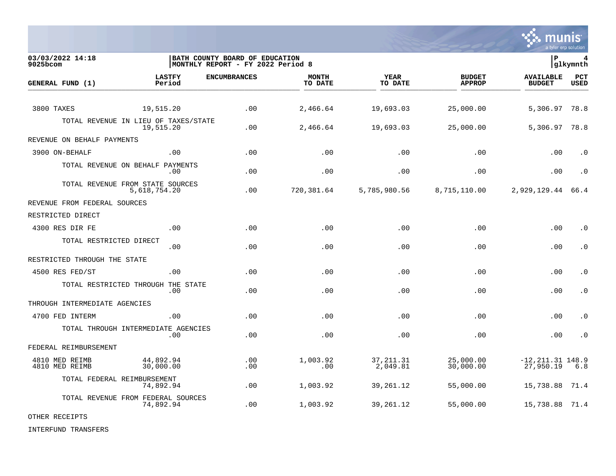

03/03/2022 14:18 **| BATH COUNTY BOARD OF EDUCATION**<br>9025bcom **| P 4**<br>9025bcom | MONTHLY REPORT - FY 2022 Period 8 MONTHLY REPORT - FY 2022 Period 8 **LASTFY ENCUMBRANCES MONTH YEAR BUDGET AVAILABLE PCT GENERAL FUND (1)** TO DATE THE RELIGION CONDUCT TO DATE THE RELIGION CONDUCT TO DATE THE RELIGION OF THE RELIGION OF THE RELIGION OF THE RELIGION OF THE RELIGION OF THE RELIGION OF THE RELIGION OF THE RELIGION OF THE RELIGION OF THE RELIGION 3800 TAXES 19,515.20 .00 2,466.64 19,693.03 25,000.00 5,306.97 78.8 TOTAL REVENUE IN LIEU OF TAXES/STATE<br>19.515.20 19,515.20 .00 2,466.64 19,693.03 25,000.00 5,306.97 78.8 REVENUE ON BEHALF PAYMENTS 3900 ON-BEHALF .00 .00 .00 .00 .00 .00 .0 TOTAL REVENUE ON BEHALF PAYMENTS .00 .00 .00 .00 .00 .00 .0 TOTAL REVENUE FROM STATE SOURCES 5,618,754.20 .00 720,381.64 5,785,980.56 8,715,110.00 2,929,129.44 66.4 REVENUE FROM FEDERAL SOURCES RESTRICTED DIRECT 4300 RES DIR FE .00 .00 .00 .00 .00 .00 .0 TOTAL RESTRICTED DIRECT .00 .00 .00 .00 .00 .00 .0 RESTRICTED THROUGH THE STATE 4500 RES FED/ST .00 .00 .00 .00 .00 .00 .0 TOTAL RESTRICTED THROUGH THE STATE .00 .00 .00 .00 .00 .00 .0 THROUGH INTERMEDIATE AGENCIES 4700 FED INTERM .00 .00 .00 .00 .00 .00 .0 TOTAL THROUGH INTERMEDIATE AGENCIES .00 .00 .00 .00 .00 .00 .0 FEDERAL REIMBURSEMENT 4810 MED REIMB 44,892.94 .00 1,003.92 37,211.31 25,000.00 -12,211.31 148.9 4810 MED REIMB 30,000.00 .00 .00 2,049.81 30,000.00 27,950.19 6.8 TOTAL FEDERAL REIMBURSEMENT 74,892.94 .00 1,003.92 39,261.12 55,000.00 15,738.88 71.4 TOTAL REVENUE FROM FEDERAL SOURCES 74,892.94 .00 1,003.92 39,261.12 55,000.00 15,738.88 71.4

OTHER RECEIPTS

INTERFUND TRANSFERS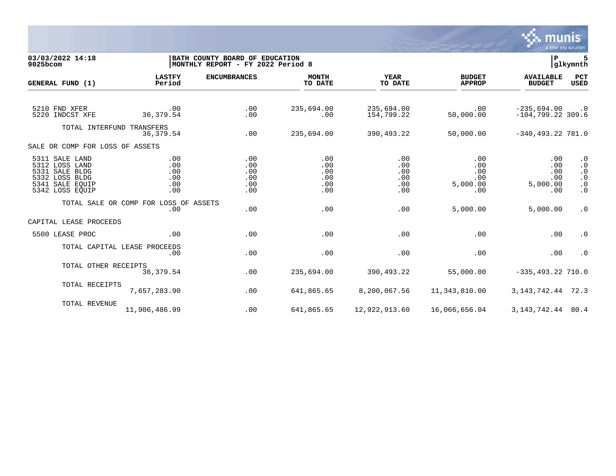

| 03/03/2022 14:18<br>9025bcom     |                                       | BATH COUNTY BOARD OF EDUCATION<br> MONTHLY REPORT - FY 2022 Period 8 |                         |                          |                                | $\mathbf{P}$                         | glkymnth               |
|----------------------------------|---------------------------------------|----------------------------------------------------------------------|-------------------------|--------------------------|--------------------------------|--------------------------------------|------------------------|
| GENERAL FUND (1)                 | <b>LASTFY</b><br>Period               | <b>ENCUMBRANCES</b>                                                  | <b>MONTH</b><br>TO DATE | YEAR<br>TO DATE          | <b>BUDGET</b><br><b>APPROP</b> | <b>AVAILABLE</b><br><b>BUDGET</b>    | PCT<br><b>USED</b>     |
|                                  |                                       |                                                                      |                         |                          |                                |                                      |                        |
| 5210 FND XFER<br>5220 INDCST XFE | .00<br>36, 379.54                     | .00<br>.00                                                           | 235,694.00<br>$.00 \,$  | 235,694.00<br>154,799.22 | $.00 \,$<br>50,000.00          | $-235,694.00$<br>$-104,799.22$ 309.6 | $\cdot$ 0              |
| TOTAL INTERFUND TRANSFERS        |                                       |                                                                      |                         |                          |                                |                                      |                        |
|                                  | 36, 379.54                            | .00                                                                  | 235,694.00              | 390,493.22               | 50,000.00                      | $-340, 493.22$ 781.0                 |                        |
| SALE OR COMP FOR LOSS OF ASSETS  |                                       |                                                                      |                         |                          |                                |                                      |                        |
| 5311 SALE LAND                   | .00                                   | .00                                                                  | .00                     | .00                      | .00                            | .00                                  | $\cdot$ 0              |
| 5312 LOSS LAND<br>5331 SALE BLDG | .00<br>.00                            | .00<br>.00                                                           | .00<br>.00              | .00<br>.00               | .00<br>.00                     | .00<br>.00                           | $\cdot$ 0<br>$\cdot$ 0 |
| 5332 LOSS BLDG                   | .00                                   | .00                                                                  | .00                     | .00                      | .00                            | .00                                  | $\cdot$ 0              |
| 5341 SALE EOUIP                  | .00                                   | .00                                                                  | .00                     | .00                      | 5,000.00                       | 5,000.00                             | $\cdot$ 0              |
| 5342 LOSS EQUIP                  | .00                                   | .00                                                                  | .00                     | .00                      | .00                            | .00                                  | $\cdot$ 0              |
|                                  | TOTAL SALE OR COMP FOR LOSS OF ASSETS |                                                                      |                         |                          |                                |                                      |                        |
|                                  | .00                                   | .00                                                                  | .00                     | .00                      | 5,000.00                       | 5,000.00                             | $\cdot$ 0              |
| CAPITAL LEASE PROCEEDS           |                                       |                                                                      |                         |                          |                                |                                      |                        |
| 5500 LEASE PROC                  | .00                                   | .00                                                                  | .00                     | .00                      | .00                            | .00                                  | $\cdot$ 0              |
| TOTAL CAPITAL LEASE PROCEEDS     |                                       |                                                                      |                         |                          |                                |                                      |                        |
|                                  | .00                                   | .00                                                                  | .00                     | .00                      | .00                            | .00                                  | $\cdot$ 0              |
| TOTAL OTHER RECEIPTS             |                                       |                                                                      |                         |                          |                                |                                      |                        |
|                                  | 36, 379.54                            | .00                                                                  | 235,694.00              | 390,493.22               | 55,000.00                      | $-335, 493.22$ 710.0                 |                        |
| TOTAL RECEIPTS                   |                                       |                                                                      |                         |                          |                                |                                      |                        |
|                                  | 7,657,283.90                          | .00                                                                  | 641,865.65              | 8,200,067.56             | 11,343,810.00                  | 3, 143, 742. 44 72. 3                |                        |
| TOTAL REVENUE                    |                                       |                                                                      |                         |                          |                                |                                      |                        |
|                                  | 11,906,486.99                         | .00                                                                  | 641,865.65              | 12,922,913.60            | 16,066,656.04                  | 3, 143, 742. 44 80. 4                |                        |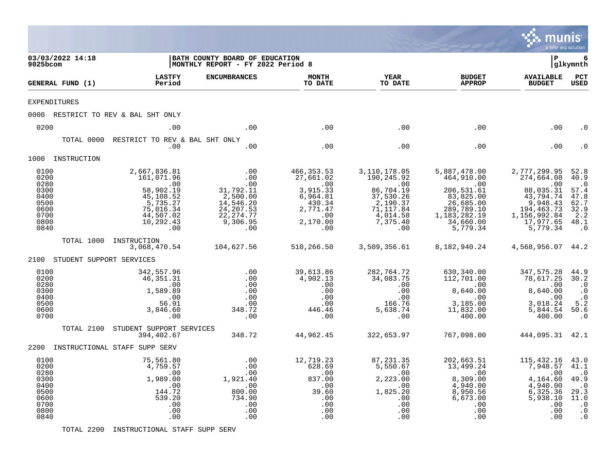|                                                                                      |            |                                                                                                                                                                                  |                                                                                                                      |                                                                                                                       |                                                                                                                                     |                                                                                                                                                     | munis<br>a tyler erp solution                                                                                                                       |                                                                                                       |
|--------------------------------------------------------------------------------------|------------|----------------------------------------------------------------------------------------------------------------------------------------------------------------------------------|----------------------------------------------------------------------------------------------------------------------|-----------------------------------------------------------------------------------------------------------------------|-------------------------------------------------------------------------------------------------------------------------------------|-----------------------------------------------------------------------------------------------------------------------------------------------------|-----------------------------------------------------------------------------------------------------------------------------------------------------|-------------------------------------------------------------------------------------------------------|
| 03/03/2022 14:18<br>9025bcom                                                         |            |                                                                                                                                                                                  | BATH COUNTY BOARD OF EDUCATION<br>MONTHLY REPORT - FY 2022 Period 8                                                  |                                                                                                                       |                                                                                                                                     |                                                                                                                                                     | l P                                                                                                                                                 | 6<br> glkymnth                                                                                        |
| GENERAL FUND (1)                                                                     |            | <b>LASTFY</b><br>Period                                                                                                                                                          | <b>ENCUMBRANCES</b>                                                                                                  | <b>MONTH</b><br>TO DATE                                                                                               | <b>YEAR</b><br>TO DATE                                                                                                              | <b>BUDGET</b><br><b>APPROP</b>                                                                                                                      | <b>AVAILABLE</b><br><b>BUDGET</b>                                                                                                                   | PCT<br><b>USED</b>                                                                                    |
| <b>EXPENDITURES</b>                                                                  |            |                                                                                                                                                                                  |                                                                                                                      |                                                                                                                       |                                                                                                                                     |                                                                                                                                                     |                                                                                                                                                     |                                                                                                       |
|                                                                                      |            | 0000 RESTRICT TO REV & BAL SHT ONLY                                                                                                                                              |                                                                                                                      |                                                                                                                       |                                                                                                                                     |                                                                                                                                                     |                                                                                                                                                     |                                                                                                       |
| 0200                                                                                 |            | .00                                                                                                                                                                              | .00                                                                                                                  | .00                                                                                                                   | .00                                                                                                                                 | .00                                                                                                                                                 | .00                                                                                                                                                 | . 0                                                                                                   |
|                                                                                      | TOTAL 0000 | RESTRICT TO REV & BAL SHT ONLY<br>.00                                                                                                                                            | .00                                                                                                                  | .00                                                                                                                   | .00                                                                                                                                 | .00                                                                                                                                                 | .00                                                                                                                                                 | . 0                                                                                                   |
| 1000 INSTRUCTION                                                                     |            |                                                                                                                                                                                  |                                                                                                                      |                                                                                                                       |                                                                                                                                     |                                                                                                                                                     |                                                                                                                                                     |                                                                                                       |
| 0100<br>0200<br>0280<br>0300<br>0400<br>0500<br>0600<br>0700<br>0800<br>0840<br>2100 | TOTAL 1000 | 2,667,836.81<br>161,071.96<br>.00<br>58,902.19<br>45,108.52<br>5,735.27<br>75,016.34<br>44,507.02<br>10,292.43<br>.00<br>INSTRUCTION<br>3,068,470.54<br>STUDENT SUPPORT SERVICES | .00<br>.00<br>.00<br>31,792.11<br>2,500.00<br>14,546.20<br>24, 207.53<br>22, 274.77<br>9,306.95<br>.00<br>104,627.56 | 466, 353.53<br>27,661.02<br>.00<br>3,915.33<br>6,964.81<br>430.34<br>2,771.47<br>.00<br>2,170.00<br>.00<br>510,266.50 | 3,110,178.05<br>190,245.92<br>.00<br>86,704.19<br>37,530.26<br>2,190.37<br>71,117.84<br>4,014.58<br>7,375.40<br>.00<br>3,509,356.61 | 5,887,478.00<br>464,910.00<br>.00<br>206,531.61<br>83,825.00<br>26,685.00<br>289,789.10<br>1, 183, 282. 19<br>34,660.00<br>5,779.34<br>8,182,940.24 | 2,777,299.95<br>274,664.08<br>.00<br>88,035.31<br>43,794.74<br>9,948.43<br>194,463.73<br>1,156,992.84<br>17,977.65<br>5,779.34<br>4,568,956.07 44.2 | 52.8<br>40.9<br>$\cdot$ 0<br>57.4<br>47.8<br>62.7<br>32.9<br>2.2<br>48.1<br>$\cdot$ 0                 |
| 0100                                                                                 |            | 342,557.96                                                                                                                                                                       | .00                                                                                                                  | 39,613.86                                                                                                             | 282,764.72                                                                                                                          | 630,340.00                                                                                                                                          | 347,575.28                                                                                                                                          | 44.9                                                                                                  |
| 0200<br>0280<br>0300<br>0400<br>0500<br>0600<br>0700                                 |            | 46,351.31<br>.00<br>1,589.89<br>.00<br>56.91<br>3,846.60<br>.00                                                                                                                  | .00<br>.00<br>.00<br>.00<br>.00<br>348.72<br>.00                                                                     | 4,902.13<br>.00<br>.00<br>.00<br>.00<br>446.46<br>.00                                                                 | 34,083.75<br>.00<br>.00<br>.00<br>166.76<br>5,638.74<br>.00                                                                         | 112,701.00<br>.00<br>8,640.00<br>.00<br>3,185.00<br>11,832.00<br>400.00                                                                             | 78,617.25<br>.00<br>8,640.00<br>.00<br>3,018.24<br>5,844.54<br>400.00                                                                               | 30.2<br>$\cdot$ 0<br>$\cdot$ 0<br>$\cdot$ 0<br>5.2<br>50.6<br>$\cdot$ 0                               |
|                                                                                      | TOTAL 2100 | STUDENT SUPPORT SERVICES<br>394,402.67                                                                                                                                           | 348.72                                                                                                               | 44,962.45                                                                                                             | 322,653.97                                                                                                                          | 767,098.00                                                                                                                                          | 444,095.31 42.1                                                                                                                                     |                                                                                                       |
|                                                                                      |            | 2200 INSTRUCTIONAL STAFF SUPP SERV                                                                                                                                               |                                                                                                                      |                                                                                                                       |                                                                                                                                     |                                                                                                                                                     |                                                                                                                                                     |                                                                                                       |
| 0100<br>0200<br>0280<br>0300<br>0400<br>0500<br>0600<br>0700<br>0800<br>0840         |            | 75,561.80<br>4,759.57<br>.00<br>1,989.00<br>.00<br>144.72<br>539.20<br>.00<br>.00<br>.00                                                                                         | .00<br>.00<br>.00<br>1,921.40<br>.00<br>800.00<br>734.90<br>.00<br>.00<br>.00                                        | 12,719.23<br>628.69<br>.00<br>837.00<br>.00<br>39.60<br>.00<br>.00<br>.00<br>.00                                      | 87, 231.35<br>5,550.67<br>.00<br>2,223.00<br>.00<br>1,825.20<br>.00<br>.00<br>.00<br>.00                                            | 202,663.51<br>13,499.24<br>.00<br>8,309.00<br>4,940.00<br>8,950.56<br>6,673.00<br>$.00 \,$<br>.00<br>.00                                            | 115,432.16<br>7,948.57<br>.00<br>4,164.60<br>4,940.00<br>6,325.36<br>5,938.10<br>.00<br>.00<br>.00                                                  | 43.0<br>41.1<br>$\cdot$ 0<br>49.9<br>$\cdot$ 0<br>29.3<br>11.0<br>$\cdot$ 0<br>$\cdot$ 0<br>$\cdot$ 0 |

TOTAL 2200 INSTRUCTIONAL STAFF SUPP SERV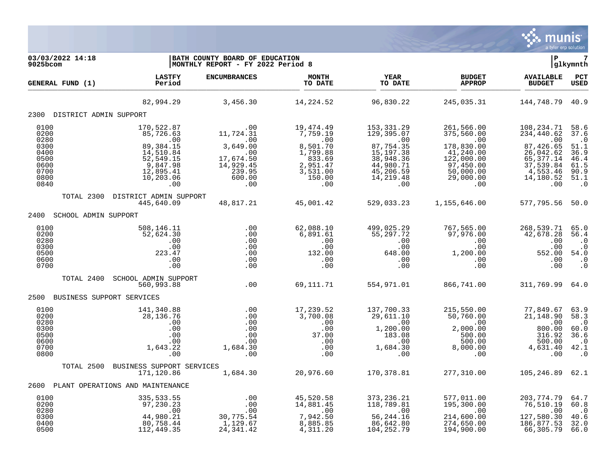

| 03/03/2022 14:18<br>$9025$ bcom                                              |                                                                                                                                                 | BATH COUNTY BOARD OF EDUCATION<br>MONTHLY REPORT - FY 2022 Period 8                                                                                                                                                                                                                  |                         |                                                                                                                                            |                                                                                                                                                                 | l P                                                                          | $\overline{7}$<br> glkymnth                                                   |
|------------------------------------------------------------------------------|-------------------------------------------------------------------------------------------------------------------------------------------------|--------------------------------------------------------------------------------------------------------------------------------------------------------------------------------------------------------------------------------------------------------------------------------------|-------------------------|--------------------------------------------------------------------------------------------------------------------------------------------|-----------------------------------------------------------------------------------------------------------------------------------------------------------------|------------------------------------------------------------------------------|-------------------------------------------------------------------------------|
| GENERAL FUND (1)                                                             | <b>LASTFY</b><br><b>Example 2</b> Period                                                                                                        | <b>ENCUMBRANCES</b>                                                                                                                                                                                                                                                                  | <b>MONTH</b><br>TO DATE | <b>YEAR</b><br>TO DATE                                                                                                                     | <b>BUDGET</b><br><b>APPROP</b>                                                                                                                                  | <b>AVAILABLE</b><br><b>BUDGET</b>                                            | PCT<br><b>USED</b>                                                            |
|                                                                              |                                                                                                                                                 | 82,994.29 3,456.30                                                                                                                                                                                                                                                                   | 14,224.52               | 96,830.22                                                                                                                                  | 245,035.31                                                                                                                                                      | 144,748.79 40.9                                                              |                                                                               |
| 2300 DISTRICT ADMIN SUPPORT                                                  |                                                                                                                                                 |                                                                                                                                                                                                                                                                                      |                         |                                                                                                                                            |                                                                                                                                                                 |                                                                              |                                                                               |
| 0100<br>0200<br>0280<br>0300<br>0400<br>0500<br>0600<br>0700<br>0800<br>0840 | 170,522.87<br>$1/0, 522.87$<br>$85, 726.63$<br>$99, 384.15$<br>$14, 510.84$<br>$52, 549.15$<br>$9, 847.98$<br>$12, 895.41$<br>10, 203.06<br>.00 | $\begin{array}{cccc} . & 00 & & 19\, , 474\, .49\ 11\, , 724\, .31 & & 7\, , 759\, .19\ 3\, , 649\, .00 & & & 9\, .00\ 17\, , 674\, .50 & & 1\, , 799\, .88\ 14\, , 929\, .45 & & 2\, , 951\, .47\ 239\, .95 & & 3\, , 531\, .00\ 600\, .00 & & & 150\, .00\ 0 & & & & 0\end{array}$ |                         | 153,331.29<br>153, 331. 29<br>129, 395. 07<br>.00<br>87, 754. 35<br>15, 197. 38<br>38,948.36<br>44,980.71<br>45,206.59<br>14,219.48<br>.00 | 261,566.00<br>375,560.00<br>375,560.00<br>.00<br>178,830.00<br>41,240.00<br>41,240.00<br>65,377.14<br>$122,000.00$<br>97,450.00<br>50,000.00<br>29,000.00<br>00 | 108,234.71 58.6<br>65, 377. 14<br>37,539.84<br>4,553.46<br>14, 180.52<br>.00 | 37.6<br>$.0$<br>51.1<br>36.9<br>46.4<br>61.5<br>90.9<br>51.1<br>$\cdot$ 0     |
|                                                                              |                                                                                                                                                 | TOTAL 2300 DISTRICT ADMIN SUPPORT<br>445,640.09   48,817.21   45,001.42   529,033.23   1,155,646.00                                                                                                                                                                                  |                         |                                                                                                                                            |                                                                                                                                                                 | 577,795.56 50.0                                                              |                                                                               |
| SCHOOL ADMIN SUPPORT<br>2400                                                 |                                                                                                                                                 |                                                                                                                                                                                                                                                                                      |                         |                                                                                                                                            |                                                                                                                                                                 |                                                                              |                                                                               |
| 0100<br>0200<br>0280<br>0300<br>0500<br>0600<br>0700                         | 508,146.11<br>52,624.30<br>$.00$<br>$.00$<br>223.47<br>.00<br>.00                                                                               |                                                                                                                                                                                                                                                                                      |                         |                                                                                                                                            |                                                                                                                                                                 |                                                                              |                                                                               |
|                                                                              | TOTAL 2400 SCHOOL ADMIN SUPPORT<br>560,993.88                                                                                                   | .00                                                                                                                                                                                                                                                                                  |                         |                                                                                                                                            | $69,111.71$ $554,971.01$ $866,741.00$                                                                                                                           | 311,769.99 64.0                                                              |                                                                               |
| 2500 BUSINESS SUPPORT SERVICES                                               |                                                                                                                                                 |                                                                                                                                                                                                                                                                                      |                         |                                                                                                                                            |                                                                                                                                                                 |                                                                              |                                                                               |
| 0100<br>0200<br>0280<br>0300<br>0500<br>0600<br>0700<br>0800                 | 141,340.88<br>28,136.76<br>$\begin{array}{c} .00 \\ .00 \\ .00 \\ .00 \end{array}$<br>.00<br>1,643.22<br>.00                                    |                                                                                                                                                                                                                                                                                      |                         |                                                                                                                                            |                                                                                                                                                                 |                                                                              | 63.9<br>58.3<br>$\cdot$ 0<br>60.0<br>36.6<br>$\cdot$ .0<br>42.1<br>$\cdot$ 0  |
|                                                                              | TOTAL 2500 BUSINESS SUPPORT SERVICES<br>171,120.86                                                                                              | SERVICES<br>1,684.30 20,976.60 170,378.81 277,310.00 105,246.89 62.1                                                                                                                                                                                                                 |                         |                                                                                                                                            |                                                                                                                                                                 |                                                                              |                                                                               |
| 2600 PLANT OPERATIONS AND MAINTENANCE                                        |                                                                                                                                                 |                                                                                                                                                                                                                                                                                      |                         |                                                                                                                                            |                                                                                                                                                                 |                                                                              |                                                                               |
| 0100<br>0200<br>0280<br>0300<br>0400<br>0500                                 | 112,449.35                                                                                                                                      | 24, 341.42                                                                                                                                                                                                                                                                           | 4,311.20                | 104,252.79                                                                                                                                 | 194,900.00                                                                                                                                                      | 66,305.79                                                                    | 64.7<br>60.8<br>$\begin{smallmatrix} &0\0.6\end{smallmatrix}$<br>32.0<br>66.0 |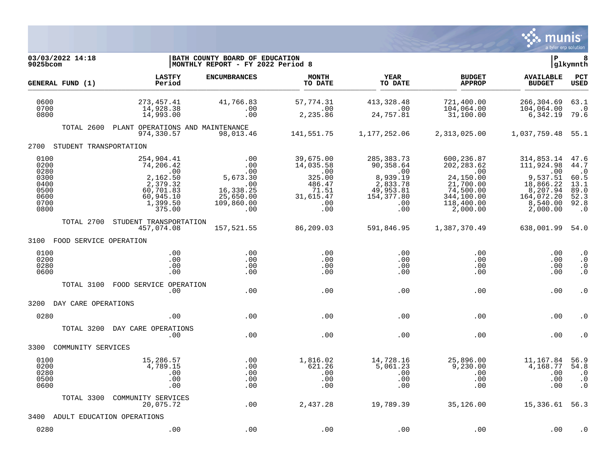

| 03/03/2022 14:18<br>$9025$ bcom                                      |                                                                                                        | BATH COUNTY BOARD OF EDUCATION<br>MONTHLY REPORT - FY 2022 Period 8                 |                                                                                       |                                                                                                          |                                                                                                                 | l P                                                                                                        | 8<br> glkymnth                                                                 |
|----------------------------------------------------------------------|--------------------------------------------------------------------------------------------------------|-------------------------------------------------------------------------------------|---------------------------------------------------------------------------------------|----------------------------------------------------------------------------------------------------------|-----------------------------------------------------------------------------------------------------------------|------------------------------------------------------------------------------------------------------------|--------------------------------------------------------------------------------|
| GENERAL FUND (1)                                                     | <b>LASTFY</b><br>Period                                                                                | <b>ENCUMBRANCES</b>                                                                 | <b>MONTH</b><br>TO DATE                                                               | <b>YEAR</b><br>TO DATE                                                                                   | <b>BUDGET</b><br><b>APPROP</b>                                                                                  | <b>AVAILABLE</b><br><b>BUDGET</b>                                                                          | PCT<br><b>USED</b>                                                             |
| 0600<br>0700<br>0800                                                 | 273, 457. 41<br>14,928.38<br>14,993.00                                                                 | 41,766.83<br>.00<br>.00                                                             | 57,774.31<br>.00<br>2,235.86                                                          | 413, 328. 48<br>$\sim 00$<br>24,757.81                                                                   | 721,400.00<br>104,064.00<br>31,100.00                                                                           | 266,304.69<br>104,064.00<br>6,342.19                                                                       | 63.1<br>$\cdot$ 0<br>79.6                                                      |
| TOTAL 2600                                                           | PLANT OPERATIONS AND MAINTENANCE<br>974,330.57                                                         | 98,013.46                                                                           | 141,551.75                                                                            | 1,177,252.06                                                                                             | 2,313,025.00                                                                                                    | 1,037,759.48 55.1                                                                                          |                                                                                |
| 2700 STUDENT TRANSPORTATION                                          |                                                                                                        |                                                                                     |                                                                                       |                                                                                                          |                                                                                                                 |                                                                                                            |                                                                                |
| 0100<br>0200<br>0280<br>0300<br>0400<br>0500<br>0600<br>0700<br>0800 | 254,904.41<br>74,206.42<br>.00<br>2,162.50<br>2,379.32<br>60,701.83<br>60,945.10<br>1,399.50<br>375.00 | .00<br>.00<br>.00<br>5,673.30<br>.00<br>16,338.25<br>25,650.00<br>109,860.00<br>.00 | 39,675.00<br>14,035.58<br>.00<br>325.00<br>486.47<br>71.51<br>31,615.47<br>.00<br>.00 | 285, 383. 73<br>90,358.64<br>$\sim 00$<br>8,939.19<br>2,833.78<br>49,953.81<br>154, 377.80<br>.00<br>.00 | 600,236.87<br>202, 283.62<br>.00<br>24,150.00<br>21,700.00<br>74,500.00<br>344,100.00<br>118,400.00<br>2,000.00 | 314,853.14<br>111,924.98<br>.00<br>9,537.51<br>18,866.22<br>8,207.94<br>164,072.20<br>8,540.00<br>2,000.00 | 47.6<br>44.7<br>$\cdot$ 0<br>60.5<br>13.1<br>89.0<br>52.3<br>92.8<br>$\cdot$ 0 |
| TOTAL 2700                                                           | STUDENT TRANSPORTATION<br>457,074.08                                                                   | 157,521.55                                                                          | 86,209.03                                                                             | 591,846.95                                                                                               | 1,387,370.49                                                                                                    | 638,001.99 54.0                                                                                            |                                                                                |
| 3100 FOOD SERVICE OPERATION                                          |                                                                                                        |                                                                                     |                                                                                       |                                                                                                          |                                                                                                                 |                                                                                                            |                                                                                |
| 0100<br>0200<br>0280<br>0600                                         | .00<br>.00<br>.00<br>.00                                                                               | .00<br>.00<br>.00<br>.00                                                            | .00<br>.00<br>.00<br>.00                                                              | .00<br>.00<br>.00<br>.00                                                                                 | .00<br>.00<br>.00<br>.00                                                                                        | .00<br>.00<br>.00<br>.00                                                                                   | $\cdot$ 0<br>$\cdot$ 0<br>$\boldsymbol{\cdot}$ 0<br>$\cdot$ 0                  |
| TOTAL 3100                                                           | FOOD SERVICE OPERATION<br>.00.                                                                         | .00                                                                                 | .00                                                                                   | .00                                                                                                      | .00                                                                                                             | .00                                                                                                        | $\cdot$ 0                                                                      |
| 3200 DAY CARE OPERATIONS                                             |                                                                                                        |                                                                                     |                                                                                       |                                                                                                          |                                                                                                                 |                                                                                                            |                                                                                |
| 0280                                                                 | .00                                                                                                    | .00                                                                                 | .00                                                                                   | .00                                                                                                      | .00                                                                                                             | .00                                                                                                        | . 0                                                                            |
| TOTAL 3200                                                           | DAY CARE OPERATIONS<br>.00                                                                             | .00                                                                                 | .00                                                                                   | .00                                                                                                      | .00                                                                                                             | .00                                                                                                        | $\cdot$ 0                                                                      |
| COMMUNITY SERVICES<br>3300                                           |                                                                                                        |                                                                                     |                                                                                       |                                                                                                          |                                                                                                                 |                                                                                                            |                                                                                |
| 0100<br>0200<br>0280<br>0500<br>0600                                 | 15,286.57<br>4,789.15<br>.00<br>.00<br>.00                                                             | .00<br>.00<br>.00<br>.00<br>.00                                                     | 1,816.02<br>621.26<br>.00<br>.00<br>.00                                               | 14,728.16<br>5,061.23<br>.00<br>.00<br>.00                                                               | 25,896.00<br>9,230.00<br>.00<br>.00<br>.00                                                                      | 11,167.84<br>4,168.77<br>.00<br>.00<br>.00                                                                 | 56.9<br>54.8<br>$\cdot$ 0<br>$\boldsymbol{\cdot}$ 0<br>$\cdot$ 0               |
| TOTAL 3300                                                           | COMMUNITY SERVICES<br>20,075.72                                                                        | .00                                                                                 | 2,437.28                                                                              | 19,789.39                                                                                                | 35,126.00                                                                                                       | 15,336.61 56.3                                                                                             |                                                                                |
| 3400 ADULT EDUCATION OPERATIONS                                      |                                                                                                        |                                                                                     |                                                                                       |                                                                                                          |                                                                                                                 |                                                                                                            |                                                                                |
| 0280                                                                 | .00                                                                                                    | .00                                                                                 | .00                                                                                   | .00                                                                                                      | .00                                                                                                             | .00                                                                                                        | $\cdot$ 0                                                                      |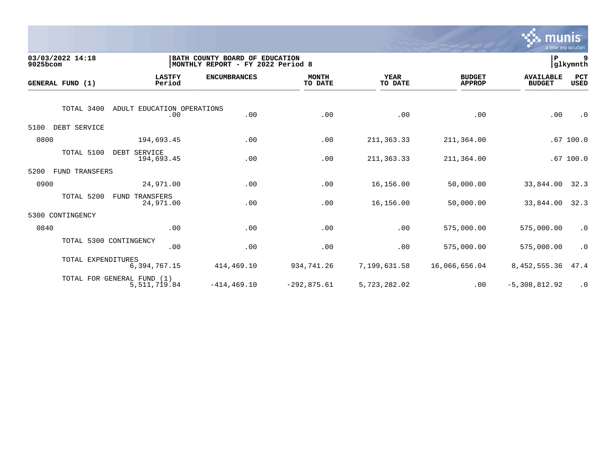

| 03/03/2022 14:18<br>9025bcom  |                                            | BATH COUNTY BOARD OF<br>MONTHLY REPORT - FY 2022 Period 8 | <b>EDUCATION</b>        |                        |                                | P                                 | 9<br> glkymnth     |
|-------------------------------|--------------------------------------------|-----------------------------------------------------------|-------------------------|------------------------|--------------------------------|-----------------------------------|--------------------|
| GENERAL FUND (1)              | <b>LASTFY</b><br>Period                    | <b>ENCUMBRANCES</b>                                       | <b>MONTH</b><br>TO DATE | <b>YEAR</b><br>TO DATE | <b>BUDGET</b><br><b>APPROP</b> | <b>AVAILABLE</b><br><b>BUDGET</b> | PCT<br><b>USED</b> |
| TOTAL 3400                    | ADULT EDUCATION OPERATIONS<br>.00          | .00                                                       | .00                     | .00                    | .00                            | .00                               | $\cdot$ 0          |
| 5100<br>DEBT SERVICE          |                                            |                                                           |                         |                        |                                |                                   |                    |
| 0800                          | 194,693.45                                 | .00                                                       | .00                     | 211, 363. 33           | 211,364.00                     |                                   | .67100.0           |
| TOTAL 5100                    | DEBT SERVICE<br>194,693.45                 | .00                                                       | .00                     | 211, 363. 33           | 211,364.00                     |                                   | .67100.0           |
| 5200<br><b>FUND TRANSFERS</b> |                                            |                                                           |                         |                        |                                |                                   |                    |
| 0900                          | 24,971.00                                  | .00                                                       | .00                     | 16,156.00              | 50,000.00                      | 33,844.00                         | 32.3               |
| TOTAL 5200                    | TRANSFERS<br>FUND<br>24,971.00             | .00                                                       | .00                     | 16,156.00              | 50,000.00                      | 33,844.00                         | 32.3               |
| CONTINGENCY<br>5300           |                                            |                                                           |                         |                        |                                |                                   |                    |
| 0840                          | .00                                        | .00                                                       | .00                     | .00                    | 575,000.00                     | 575,000.00                        | $\cdot$ 0          |
|                               | TOTAL 5300 CONTINGENCY<br>.00              | .00                                                       | .00                     | .00                    | 575,000.00                     | 575,000.00                        | $\cdot$ 0          |
|                               | TOTAL EXPENDITURES<br>6,394,767.15         | 414,469.10                                                | 934,741.26              | 7,199,631.58           | 16,066,656.04                  | 8,452,555.36                      | 47.4               |
|                               | TOTAL FOR GENERAL FUND (1)<br>5,511,719.84 | $-414.469.10$                                             | $-292,875.61$           | 5,723,282.02           | .00                            | $-5,308,812.92$                   | $\cdot$ 0          |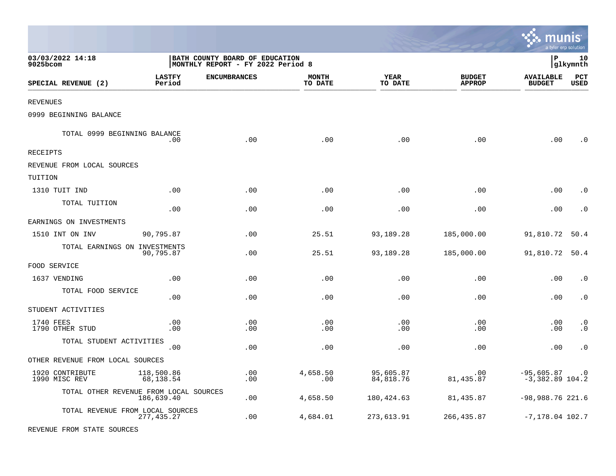|                                        |                         |                                                                     |                         |                        |                                | munis                             | a tyler erp solution |
|----------------------------------------|-------------------------|---------------------------------------------------------------------|-------------------------|------------------------|--------------------------------|-----------------------------------|----------------------|
| 03/03/2022 14:18<br>9025bcom           |                         | BATH COUNTY BOARD OF EDUCATION<br>MONTHLY REPORT - FY 2022 Period 8 |                         |                        |                                | l P                               | 10<br> glkymnth      |
| SPECIAL REVENUE (2)                    | <b>LASTFY</b><br>Period | <b>ENCUMBRANCES</b>                                                 | <b>MONTH</b><br>TO DATE | <b>YEAR</b><br>TO DATE | <b>BUDGET</b><br><b>APPROP</b> | <b>AVAILABLE</b><br><b>BUDGET</b> | PCT<br><b>USED</b>   |
| REVENUES                               |                         |                                                                     |                         |                        |                                |                                   |                      |
| 0999 BEGINNING BALANCE                 |                         |                                                                     |                         |                        |                                |                                   |                      |
| TOTAL 0999 BEGINNING BALANCE           | .00                     | .00                                                                 | .00                     | .00                    | .00                            | .00                               | $\cdot$ 0            |
| RECEIPTS                               |                         |                                                                     |                         |                        |                                |                                   |                      |
| REVENUE FROM LOCAL SOURCES             |                         |                                                                     |                         |                        |                                |                                   |                      |
| TUITION                                |                         |                                                                     |                         |                        |                                |                                   |                      |
| 1310 TUIT IND                          | .00                     | .00                                                                 | .00                     | .00                    | .00                            | .00                               | $\cdot$ 0            |
| TOTAL TUITION                          | .00                     | .00                                                                 | .00                     | .00                    | .00                            | .00                               | $\cdot$ 0            |
| EARNINGS ON INVESTMENTS                |                         |                                                                     |                         |                        |                                |                                   |                      |
| 1510 INT ON INV                        | 90,795.87               | .00                                                                 | 25.51                   | 93,189.28              | 185,000.00                     | 91,810.72                         | 50.4                 |
| TOTAL EARNINGS ON INVESTMENTS          | 90,795.87               | .00                                                                 | 25.51                   | 93,189.28              | 185,000.00                     | 91,810.72                         | 50.4                 |
| FOOD SERVICE                           |                         |                                                                     |                         |                        |                                |                                   |                      |
| 1637 VENDING                           | .00                     | .00                                                                 | .00                     | .00                    | .00                            | .00                               | $\cdot$ 0            |
| TOTAL FOOD SERVICE                     | .00                     | .00                                                                 | .00                     | .00                    | .00                            | .00                               | $\cdot$ 0            |
| STUDENT ACTIVITIES                     |                         |                                                                     |                         |                        |                                |                                   |                      |
| 1740 FEES<br>1790 OTHER STUD           | .00<br>.00              | .00<br>.00                                                          | .00<br>.00              | .00<br>.00             | .00<br>.00                     | .00<br>.00                        | $\cdot$ 0<br>. 0     |
| TOTAL STUDENT ACTIVITIES               | .00                     | .00                                                                 | .00                     | .00                    | .00                            | .00                               | $\cdot$ 0            |
| OTHER REVENUE FROM LOCAL SOURCES       |                         |                                                                     |                         |                        |                                |                                   |                      |
| 1920 CONTRIBUTE<br>1990 MISC REV       | 118,500.86<br>68,138.54 | .00<br>.00                                                          | 4,658.50<br>.00         | 95,605.87<br>84,818.76 | .00<br>81, 435.87              | $-95,605.87$<br>$-3,382.89$ 104.2 | $\cdot$ 0            |
| TOTAL OTHER REVENUE FROM LOCAL SOURCES | 186,639.40              | .00                                                                 | 4,658.50                | 180, 424.63            | 81,435.87                      | $-98,988.76$ 221.6                |                      |
| TOTAL REVENUE FROM LOCAL SOURCES       | 277, 435.27             | .00                                                                 | 4,684.01                | 273,613.91             | 266, 435.87                    | $-7,178.04$ 102.7                 |                      |
| REVENUE FROM STATE SOURCES             |                         |                                                                     |                         |                        |                                |                                   |                      |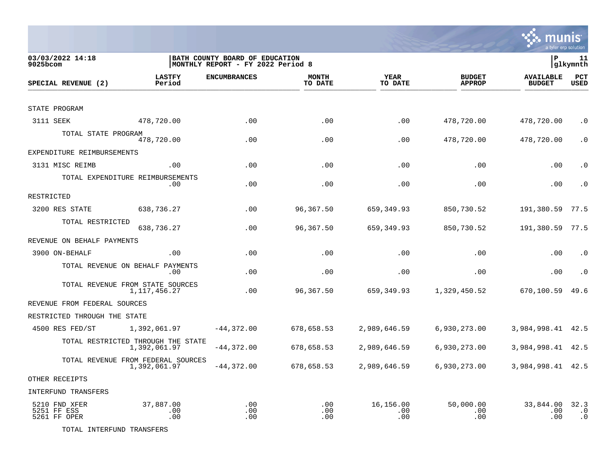

| 03/03/2022 14:18<br>$9025$ bcom              |                                                    | BATH COUNTY BOARD OF EDUCATION<br> MONTHLY REPORT - FY 2022 Period 8 |                         |                         |                                | P                                 | 11<br> glkymnth                |
|----------------------------------------------|----------------------------------------------------|----------------------------------------------------------------------|-------------------------|-------------------------|--------------------------------|-----------------------------------|--------------------------------|
| SPECIAL REVENUE (2)                          | <b>LASTFY</b><br>Period                            | <b>ENCUMBRANCES</b>                                                  | <b>MONTH</b><br>TO DATE | <b>YEAR</b><br>TO DATE  | <b>BUDGET</b><br><b>APPROP</b> | <b>AVAILABLE</b><br><b>BUDGET</b> | PCT<br><b>USED</b>             |
| STATE PROGRAM                                |                                                    |                                                                      |                         |                         |                                |                                   |                                |
| 3111 SEEK                                    | 478,720.00                                         | .00                                                                  | .00                     | .00                     | 478,720.00                     | 478,720.00                        | $\cdot$ 0                      |
|                                              |                                                    |                                                                      |                         |                         |                                |                                   |                                |
| TOTAL STATE PROGRAM                          | 478,720.00                                         | .00                                                                  | .00                     | .00                     | 478,720.00                     | 478,720.00                        | $\cdot$ 0                      |
| EXPENDITURE REIMBURSEMENTS                   |                                                    |                                                                      |                         |                         |                                |                                   |                                |
| 3131 MISC REIMB                              | $.00 \,$                                           | .00                                                                  | .00                     | .00                     | .00                            | .00                               | $\cdot$ 0                      |
|                                              | TOTAL EXPENDITURE REIMBURSEMENTS<br>$.00 \,$       | .00                                                                  | .00                     | .00                     | .00                            | .00                               | $\cdot$ 0                      |
| RESTRICTED                                   |                                                    |                                                                      |                         |                         |                                |                                   |                                |
| 3200 RES STATE                               | 638,736.27                                         | .00                                                                  | 96,367.50               | 659, 349.93             | 850,730.52                     | 191,380.59                        | 77.5                           |
| TOTAL RESTRICTED                             | 638,736.27                                         | .00                                                                  | 96,367.50               | 659,349.93              | 850,730.52                     | 191,380.59                        | 77.5                           |
| REVENUE ON BEHALF PAYMENTS                   |                                                    |                                                                      |                         |                         |                                |                                   |                                |
| 3900 ON-BEHALF                               | .00                                                | .00                                                                  | .00                     | .00                     | .00                            | .00                               | $\cdot$ 0                      |
|                                              | TOTAL REVENUE ON BEHALF PAYMENTS<br>$.00 \,$       | .00                                                                  | .00                     | .00                     | .00                            | .00                               | $\cdot$ 0                      |
|                                              | TOTAL REVENUE FROM STATE SOURCES<br>1,117,456.27   | .00                                                                  | 96,367.50               | 659,349.93              | 1,329,450.52                   | 670,100.59                        | 49.6                           |
| REVENUE FROM FEDERAL SOURCES                 |                                                    |                                                                      |                         |                         |                                |                                   |                                |
| RESTRICTED THROUGH THE STATE                 |                                                    |                                                                      |                         |                         |                                |                                   |                                |
| 4500 RES FED/ST                              | 1,392,061.97                                       | $-44,372.00$                                                         | 678,658.53              | 2,989,646.59            | 6,930,273.00                   | 3,984,998.41 42.5                 |                                |
|                                              | TOTAL RESTRICTED THROUGH THE STATE<br>1,392,061.97 | $-44,372.00$                                                         | 678,658.53              | 2,989,646.59            | 6,930,273.00                   | 3,984,998.41                      | 42.5                           |
|                                              | TOTAL REVENUE FROM FEDERAL SOURCES<br>1,392,061.97 | $-44,372.00$                                                         | 678,658.53              | 2,989,646.59            | 6,930,273.00                   | 3,984,998.41 42.5                 |                                |
| OTHER RECEIPTS                               |                                                    |                                                                      |                         |                         |                                |                                   |                                |
| <b>INTERFUND TRANSFERS</b>                   |                                                    |                                                                      |                         |                         |                                |                                   |                                |
| 5210 FND XFER<br>5251 FF ESS<br>5261 FF OPER | 37,887.00<br>.00<br>.00                            | .00<br>.00<br>.00                                                    | .00<br>.00<br>.00       | 16,156.00<br>.00<br>.00 | 50,000.00<br>.00<br>.00        | 33,844.00<br>.00<br>.00           | 32.3<br>$\cdot$ 0<br>$\cdot$ 0 |

TOTAL INTERFUND TRANSFERS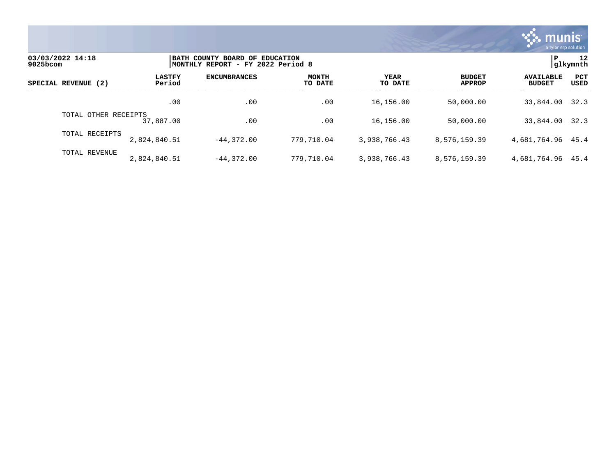

| 03/03/2022 14:18<br>9025bcom |                         | BATH COUNTY BOARD OF EDUCATION<br>MONTHLY REPORT - FY 2022 Period 8 |                         |                        |                                |                                   |                           |  |
|------------------------------|-------------------------|---------------------------------------------------------------------|-------------------------|------------------------|--------------------------------|-----------------------------------|---------------------------|--|
| SPECIAL REVENUE (2)          | <b>LASTFY</b><br>Period | <b>ENCUMBRANCES</b>                                                 | <b>MONTH</b><br>TO DATE | <b>YEAR</b><br>TO DATE | <b>BUDGET</b><br><b>APPROP</b> | <b>AVAILABLE</b><br><b>BUDGET</b> | <b>PCT</b><br><b>USED</b> |  |
|                              | .00                     | .00                                                                 | .00                     | 16,156.00              | 50,000.00                      | 33,844.00                         | 32.3                      |  |
| TOTAL OTHER RECEIPTS         | 37,887.00               | .00                                                                 | .00                     | 16,156.00              | 50,000.00                      | 33,844.00 32.3                    |                           |  |
| TOTAL RECEIPTS               | 2,824,840.51            | $-44.372.00$                                                        | 779,710.04              | 3,938,766.43           | 8,576,159.39                   | 4,681,764.96 45.4                 |                           |  |
| TOTAL REVENUE                | 2,824,840.51            | $-44.372.00$                                                        | 779,710.04              | 3,938,766.43           | 8,576,159.39                   | 4,681,764.96                      | 45.4                      |  |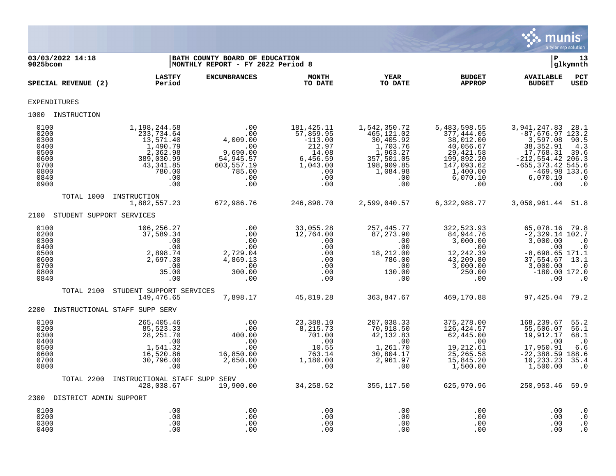

| 03/03/2022 14:18<br>$9025$ bcom                                              |            |                                                                                                                    | BATH COUNTY BOARD OF EDUCATION<br>MONTHLY REPORT - FY 2022 Period 8                                     |                                                                                                      |                                                                                                                       |                                                                                                                               | l P                                                                                                                                                                  | 13<br> glkymnth                                                                    |
|------------------------------------------------------------------------------|------------|--------------------------------------------------------------------------------------------------------------------|---------------------------------------------------------------------------------------------------------|------------------------------------------------------------------------------------------------------|-----------------------------------------------------------------------------------------------------------------------|-------------------------------------------------------------------------------------------------------------------------------|----------------------------------------------------------------------------------------------------------------------------------------------------------------------|------------------------------------------------------------------------------------|
| SPECIAL REVENUE (2)                                                          |            | <b>LASTFY</b><br>Period                                                                                            | <b>ENCUMBRANCES</b>                                                                                     | <b>MONTH</b><br>TO DATE                                                                              | <b>YEAR</b><br>TO DATE                                                                                                | <b>BUDGET</b><br><b>APPROP</b>                                                                                                | <b>AVAILABLE</b><br><b>BUDGET</b>                                                                                                                                    | PCT<br><b>USED</b>                                                                 |
| <b>EXPENDITURES</b>                                                          |            |                                                                                                                    |                                                                                                         |                                                                                                      |                                                                                                                       |                                                                                                                               |                                                                                                                                                                      |                                                                                    |
| 1000 INSTRUCTION                                                             |            |                                                                                                                    |                                                                                                         |                                                                                                      |                                                                                                                       |                                                                                                                               |                                                                                                                                                                      |                                                                                    |
| 0100<br>0200<br>0300<br>0400<br>0500<br>0600<br>0700<br>0800<br>0840<br>0900 |            | 1,198,244.58<br>233,734.64<br>13,571.40<br>1,490.79<br>2,362.98<br>389,030.99<br>43,341.85<br>780.00<br>.00<br>.00 | .00<br>.00<br>4,009.00<br>$\sim 00$<br>9,690.00<br>54,945.57<br>603, 557.19<br>785.00<br>.00<br>.00     | 181,425.11<br>57,859.95<br>$-113.00$<br>212.97<br>14.08<br>6,456.59<br>1,043.00<br>.00<br>.00<br>.00 | 1,542,350.72<br>465,121.02<br>30,405.92<br>1,703.76<br>1,963.27<br>357,501.05<br>198,909.85<br>1,084.98<br>.00<br>.00 | 5,483,598.55<br>377,444.05<br>38,012.00<br>40,056.67<br>29, 421.58<br>199,892.20<br>147,093.62<br>1,400.00<br>6,070.10<br>.00 | 3,941,247.83 28.1<br>$-87,676.97$ 123.2<br>3,597.08<br>38, 352.91<br>17,768.31<br>$-212, 554.42$ 206.3<br>$-655, 373.42$ 545.6<br>$-469.98$ 133.6<br>6,070.10<br>.00 | 90.5<br>4.3<br>39.6<br>$\cdot$ 0<br>$\cdot$ 0                                      |
|                                                                              | TOTAL 1000 | INSTRUCTION<br>1,882,557.23                                                                                        | 672,986.76                                                                                              | 246,898.70                                                                                           | 2,599,040.57                                                                                                          | 6,322,988.77                                                                                                                  | 3,050,961.44 51.8                                                                                                                                                    |                                                                                    |
| 2100                                                                         |            | STUDENT SUPPORT SERVICES                                                                                           |                                                                                                         |                                                                                                      |                                                                                                                       |                                                                                                                               |                                                                                                                                                                      |                                                                                    |
| 0100<br>0200<br>0300<br>0400<br>0500<br>0600<br>0700<br>0800<br>0840         |            | 106,256.27<br>37,589.34<br>.00<br>.00<br>2,898.74<br>2,697.30<br>.00<br>35.00<br>.00                               | .00<br>.00<br>.00<br>.00<br>2,729.04<br>4,869.13<br>$\sim$ 00<br>300.00<br>$\overline{\phantom{0}}$ .00 | 33,055.28<br>12,764.00<br>.00<br>.00<br>.00<br>.00<br>.00<br>.00<br>.00                              | 257, 445.77<br>87,273.90<br>.00<br>.00<br>18,212.00<br>786.00<br>.00<br>130.00<br>$.00 \,$                            | 322,523.93<br>84,944.76<br>3,000.00<br>$\sim 00$<br>12, 242.39<br>43,209.80<br>3,000.00<br>250.00<br>.00                      | 65,078.16<br>$-2,329.14$ 102.7<br>3,000.00<br>.00<br>$-8,698.65$ 171.1<br>37,554.67<br>3,000.00<br>$-180.00$ 172.0<br>.00                                            | 79.8<br>$\cdot$ 0<br>$\cdot$ 0<br>13.1<br>$\overline{\phantom{0}}$ .0<br>$\cdot$ 0 |
|                                                                              | TOTAL 2100 | STUDENT SUPPORT SERVICES<br>149,476.65                                                                             | 7,898.17                                                                                                | 45,819.28                                                                                            | 363,847.67                                                                                                            | 469,170.88                                                                                                                    | 97,425.04 79.2                                                                                                                                                       |                                                                                    |
| 2200                                                                         |            | INSTRUCTIONAL STAFF SUPP SERV                                                                                      |                                                                                                         |                                                                                                      |                                                                                                                       |                                                                                                                               |                                                                                                                                                                      |                                                                                    |
| 0100<br>0200<br>0300<br>0400<br>0500<br>0600<br>0700<br>0800                 |            | 265,405.46<br>85,523.33<br>28, 251.70<br>$00 \cdot$<br>1,541.32<br>16,520.86<br>30,796.00<br>.00                   | .00<br>.00<br>400.00<br>.00<br>.00<br>16,850.00<br>2,650.00<br>.00                                      | 23,388.10<br>8,215.73<br>701.00<br>.00<br>10.55<br>763.14<br>1,180.00<br>.00                         | 207,038.33<br>70,918.50<br>42, 132.83<br>.00<br>1,261.70<br>30,804.17<br>2,961.97<br>.00                              | 375,278.00<br>126,424.57<br>62,445.00<br>.00<br>19, 212.61<br>25, 265.58<br>15,845.20<br>1,500.00                             | 168,239.67<br>55,506.07<br>19,912.17<br>.00<br>17,950.91<br>$-22,388.59$ 188.6<br>10, 233.23<br>1,500.00                                                             | 55.2<br>56.1<br>68.1<br>$\cdot$ .0<br>6.6<br>35.4<br>$\cdot$ 0                     |
|                                                                              | TOTAL 2200 | INSTRUCTIONAL STAFF SUPP SERV<br>428,038.67                                                                        | 19,900.00                                                                                               | 34,258.52                                                                                            | 355,117.50                                                                                                            | 625,970.96                                                                                                                    | 250,953.46 59.9                                                                                                                                                      |                                                                                    |
| 2300 DISTRICT ADMIN SUPPORT                                                  |            |                                                                                                                    |                                                                                                         |                                                                                                      |                                                                                                                       |                                                                                                                               |                                                                                                                                                                      |                                                                                    |
| 0100<br>0200<br>0300<br>0400                                                 |            | .00<br>.00<br>.00<br>.00                                                                                           | .00<br>.00<br>.00<br>.00                                                                                | .00<br>.00<br>.00<br>.00                                                                             | .00<br>.00<br>.00<br>.00                                                                                              | .00<br>.00<br>.00<br>.00                                                                                                      | .00<br>.00<br>.00<br>.00                                                                                                                                             | $\cdot$ 0<br>$\cdot$ 0<br>$\cdot$ 0<br>$\cdot$ 0                                   |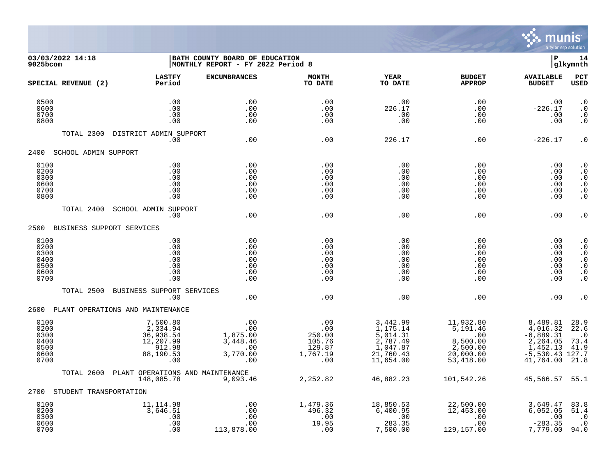

## **03/03/2022 14:18 |BATH COUNTY BOARD OF EDUCATION |P 14 9025bcom |MONTHLY REPORT - FY 2022 Period 8 |glkymnth**

| SPECIAL REVENUE (2)                                  | <b>LASTFY</b><br>Period                                                      | <b>ENCUMBRANCES</b>                                          | <b>MONTH</b><br>TO DATE                                     | <b>YEAR</b><br>TO DATE                                                                            | <b>BUDGET</b><br><b>APPROP</b>                                                                            | <b>AVAILABLE</b><br><b>BUDGET</b>                                                             | PCT<br><b>USED</b>                                                                                   |
|------------------------------------------------------|------------------------------------------------------------------------------|--------------------------------------------------------------|-------------------------------------------------------------|---------------------------------------------------------------------------------------------------|-----------------------------------------------------------------------------------------------------------|-----------------------------------------------------------------------------------------------|------------------------------------------------------------------------------------------------------|
| 0500<br>0600<br>0700<br>0800                         | .00<br>.00<br>.00<br>.00                                                     | .00<br>.00<br>.00<br>.00                                     | .00<br>.00<br>.00<br>.00                                    | .00<br>226.17<br>.00<br>.00                                                                       | .00<br>.00<br>.00<br>.00                                                                                  | .00<br>$-226.17$<br>.00<br>.00                                                                | $\cdot$ 0<br>$\cdot$ 0<br>$\cdot$ 0<br>$\cdot$ 0                                                     |
| TOTAL 2300                                           | DISTRICT ADMIN SUPPORT<br>.00                                                | .00                                                          | .00                                                         | 226.17                                                                                            | .00                                                                                                       | $-226.17$                                                                                     | $\boldsymbol{\cdot}$ 0                                                                               |
| 2400                                                 | SCHOOL ADMIN SUPPORT                                                         |                                                              |                                                             |                                                                                                   |                                                                                                           |                                                                                               |                                                                                                      |
| 0100<br>0200<br>0300<br>0600<br>0700<br>0800         | .00<br>.00<br>.00<br>.00<br>.00<br>.00                                       | .00<br>.00<br>.00<br>.00<br>.00<br>.00                       | .00<br>.00<br>.00<br>.00<br>.00<br>.00                      | .00<br>.00<br>.00<br>.00<br>.00<br>.00                                                            | .00<br>.00<br>.00<br>.00<br>.00<br>.00                                                                    | .00<br>.00<br>.00<br>.00<br>.00<br>.00                                                        | $\boldsymbol{\cdot}$ 0<br>$\cdot$ 0<br>$\cdot$ 0<br>$\cdot$ 0<br>$\cdot$ 0<br>$\boldsymbol{\cdot}$ 0 |
| TOTAL 2400                                           | <b>SCHOOL ADMIN SUPPORT</b><br>.00                                           | .00                                                          | .00                                                         | .00                                                                                               | .00                                                                                                       | .00                                                                                           | $\boldsymbol{\cdot}$ 0                                                                               |
| 2500                                                 | BUSINESS SUPPORT SERVICES                                                    |                                                              |                                                             |                                                                                                   |                                                                                                           |                                                                                               |                                                                                                      |
| 0100<br>0200<br>0300<br>0400<br>0500<br>0600<br>0700 | .00<br>.00<br>.00<br>.00<br>.00<br>.00<br>.00                                | .00<br>.00<br>.00<br>.00<br>.00<br>.00<br>.00                | .00<br>.00<br>.00<br>.00<br>.00<br>.00<br>.00               | .00<br>.00<br>.00<br>.00<br>.00<br>.00<br>.00                                                     | .00<br>.00<br>.00<br>.00<br>.00<br>.00<br>.00                                                             | .00<br>.00<br>.00<br>.00<br>.00<br>.00<br>.00                                                 | $\cdot$ 0<br>$\cdot$ 0<br>$\cdot$ 0<br>$\cdot$ 0<br>$\cdot$ 0<br>$\boldsymbol{\cdot}$ 0<br>$\cdot$ 0 |
| TOTAL 2500                                           | BUSINESS SUPPORT SERVICES<br>.00                                             | .00                                                          | .00                                                         | .00                                                                                               | .00                                                                                                       | .00                                                                                           | . 0                                                                                                  |
|                                                      | 2600 PLANT OPERATIONS AND MAINTENANCE                                        |                                                              |                                                             |                                                                                                   |                                                                                                           |                                                                                               |                                                                                                      |
| 0100<br>0200<br>0300<br>0400<br>0500<br>0600<br>0700 | 7,500.80<br>2,334.94<br>36,938.54<br>12,207.99<br>912.98<br>88,190.53<br>.00 | .00<br>.00<br>1,875.00<br>3,448.46<br>.00<br>3,770.00<br>.00 | .00<br>.00<br>250.00<br>105.76<br>129.87<br>1,767.19<br>.00 | 3,442.99<br>1,175.14<br>$\frac{5}{2}$ , 014.31<br>2, 787.49<br>1,047.87<br>21,760.43<br>11,654.00 | 11,932.80<br>$\overline{5}$ , 191.46<br>$\overline{00}$<br>8,500.00<br>2,500.00<br>20,000.00<br>53,418.00 | 8,489.81<br>4,016.32<br>$-6,889.31$<br>2,264.05<br>1,452.13<br>$-5,530.43$ 127.7<br>41,764.00 | 28.9<br>22.6<br>$\cdot$ 0<br>73.4<br>41.9<br>21.8                                                    |
| TOTAL 2600                                           | PLANT OPERATIONS AND MAINTENANCE<br>148,085.78                               | 9,093.46                                                     | 2,252.82                                                    | 46,882.23                                                                                         | 101,542.26                                                                                                | 45,566.57 55.1                                                                                |                                                                                                      |
| 2700                                                 | STUDENT TRANSPORTATION                                                       |                                                              |                                                             |                                                                                                   |                                                                                                           |                                                                                               |                                                                                                      |
| 0100<br>0200<br>0300<br>0600<br>0700                 | 11, 114.98<br>3,646.51<br>.00<br>.00<br>.00                                  | .00<br>.00<br>.00<br>.00<br>113,878.00                       | 1,479.36<br>496.32<br>.00<br>19.95<br>.00                   | 18,850.53<br>6,400.95<br>.00<br>283.35<br>7,500.00                                                | 22,500.00<br>12,453.00<br>.00<br>.00<br>129,157.00                                                        | 3,649.47<br>6,052.05<br>.00<br>$-283.35$<br>7,779.00                                          | 83.8<br>51.4<br>$\cdot$ 0<br>$\cdot$ 0<br>94.0                                                       |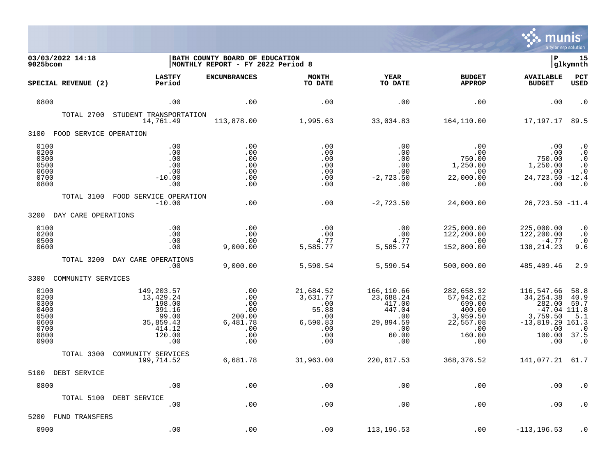

| 03/03/2022 14:18<br>9025bcom                                         |                                                                                              | BATH COUNTY BOARD OF EDUCATION<br>MONTHLY REPORT - FY 2022 Period 8 |                                                                                     |                                                                                        |                                                                                              | l P                                                                                                            | 15<br> glkymnth                                                      |
|----------------------------------------------------------------------|----------------------------------------------------------------------------------------------|---------------------------------------------------------------------|-------------------------------------------------------------------------------------|----------------------------------------------------------------------------------------|----------------------------------------------------------------------------------------------|----------------------------------------------------------------------------------------------------------------|----------------------------------------------------------------------|
| SPECIAL REVENUE (2)                                                  | <b>LASTFY</b><br>Period                                                                      | <b>ENCUMBRANCES</b>                                                 | <b>MONTH</b><br>TO DATE                                                             | YEAR<br>TO DATE                                                                        | <b>BUDGET</b><br><b>APPROP</b>                                                               | <b>AVAILABLE</b><br><b>BUDGET</b>                                                                              | PCT<br>USED                                                          |
| 0800                                                                 | .00                                                                                          | .00                                                                 | .00                                                                                 | .00                                                                                    | .00                                                                                          | .00                                                                                                            | $\cdot$ 0                                                            |
| TOTAL 2700                                                           | STUDENT TRANSPORTATION<br>14,761.49                                                          | 113,878.00                                                          | 1,995.63                                                                            | 33,034.83                                                                              | 164,110.00                                                                                   | 17,197.17                                                                                                      | 89.5                                                                 |
| 3100<br>FOOD SERVICE OPERATION                                       |                                                                                              |                                                                     |                                                                                     |                                                                                        |                                                                                              |                                                                                                                |                                                                      |
| 0100<br>0200<br>0300<br>0500<br>0600<br>0700<br>0800                 | .00<br>.00<br>.00<br>.00<br>.00<br>$-10.00$<br>.00                                           | .00<br>.00<br>.00<br>.00<br>.00<br>.00<br>.00                       | .00<br>.00<br>.00<br>.00<br>.00<br>.00<br>.00                                       | .00<br>.00<br>.00<br>.00<br>.00<br>$-2,723.50$<br>.00                                  | .00<br>.00<br>750.00<br>1,250.00<br>.00<br>22,000.00<br>.00                                  | .00<br>.00<br>750.00<br>1,250.00<br>.00<br>24,723.50 -12.4<br>.00                                              | $\cdot$ 0<br>$\cdot$ 0<br>$\cdot$ 0<br>$\cdot$ 0<br>$\cdot$ 0<br>. 0 |
| TOTAL 3100                                                           | FOOD SERVICE OPERATION<br>$-10.00$                                                           | .00                                                                 | .00                                                                                 | $-2,723.50$                                                                            | 24,000.00                                                                                    | $26,723.50 -11.4$                                                                                              |                                                                      |
| 3200<br>DAY CARE OPERATIONS                                          |                                                                                              |                                                                     |                                                                                     |                                                                                        |                                                                                              |                                                                                                                |                                                                      |
| 0100<br>0200<br>0500<br>0600                                         | .00<br>.00<br>.00<br>.00                                                                     | .00<br>.00<br>.00<br>9,000.00                                       | .00<br>.00<br>4.77<br>5,585.77                                                      | .00<br>.00<br>4.77<br>5,585.77                                                         | 225,000.00<br>122,200.00<br>.00<br>152,800.00                                                | 225,000.00<br>122,200.00<br>$-4.77$<br>138, 214.23                                                             | $\boldsymbol{\cdot}$ 0<br>$\cdot$ 0<br>$\cdot$ 0<br>9.6              |
| TOTAL 3200                                                           | DAY CARE OPERATIONS<br>.00                                                                   | 9,000.00                                                            | 5,590.54                                                                            | 5,590.54                                                                               | 500,000.00                                                                                   | 485,409.46                                                                                                     | 2.9                                                                  |
| 3300<br>COMMUNITY SERVICES                                           |                                                                                              |                                                                     |                                                                                     |                                                                                        |                                                                                              |                                                                                                                |                                                                      |
| 0100<br>0200<br>0300<br>0400<br>0500<br>0600<br>0700<br>0800<br>0900 | 149,203.57<br>13,429.24<br>198.00<br>391.16<br>99.00<br>35,859.43<br>414.12<br>120.00<br>.00 | .00<br>.00<br>.00<br>.00<br>200.00<br>6,481.78<br>.00<br>.00<br>.00 | 21,684.52<br>3,631.77<br>$\,.\,00$<br>55.88<br>.00<br>6,590.83<br>.00<br>.00<br>.00 | 166,110.66<br>23,688.24<br>417.00<br>447.04<br>.00<br>29,894.59<br>.00<br>60.00<br>.00 | 282,658.32<br>57,942.62<br>699.00<br>400.00<br>3,959.50<br>22,557.08<br>.00<br>160.00<br>.00 | 116,547.66<br>34, 254.38<br>282.00<br>$-47.04$ 111.8<br>3,759.50<br>$-13,819.29$ 161.3<br>.00<br>100.00<br>.00 | 58.8<br>40.9<br>59.7<br>5.1<br>$\cdot$ 0<br>37.5<br>$\cdot$ 0        |
| TOTAL 3300                                                           | COMMUNITY SERVICES<br>199,714.52                                                             | 6,681.78                                                            | 31,963.00                                                                           | 220,617.53                                                                             | 368, 376.52                                                                                  | 141,077.21 61.7                                                                                                |                                                                      |
| 5100<br>DEBT SERVICE                                                 |                                                                                              |                                                                     |                                                                                     |                                                                                        |                                                                                              |                                                                                                                |                                                                      |
| 0800                                                                 | .00                                                                                          | .00                                                                 | .00                                                                                 | .00                                                                                    | .00                                                                                          | .00                                                                                                            | . 0                                                                  |
| TOTAL 5100                                                           | DEBT SERVICE<br>.00                                                                          | .00                                                                 | .00                                                                                 | .00                                                                                    | .00                                                                                          | .00                                                                                                            | $\cdot$ 0                                                            |
| 5200<br>FUND TRANSFERS                                               |                                                                                              |                                                                     |                                                                                     |                                                                                        |                                                                                              |                                                                                                                |                                                                      |
| 0900                                                                 | .00                                                                                          | .00                                                                 | .00                                                                                 | 113, 196.53                                                                            | .00                                                                                          | $-113, 196.53$                                                                                                 | . 0                                                                  |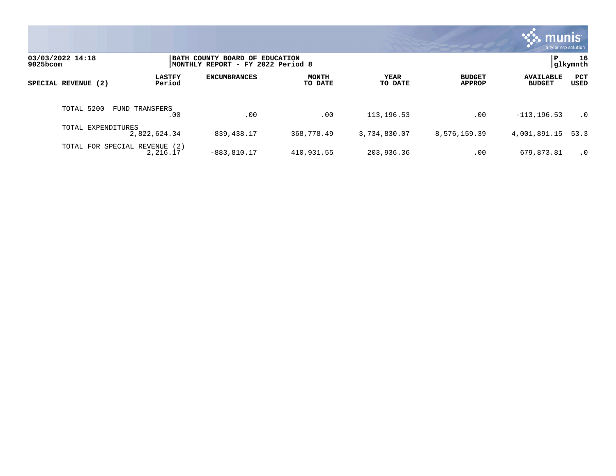|                                     |                         |                                                                     |                         |                 |                                | <b>munis</b><br>a tyler erp solution |                 |
|-------------------------------------|-------------------------|---------------------------------------------------------------------|-------------------------|-----------------|--------------------------------|--------------------------------------|-----------------|
| 03/03/2022 14:18<br>9025bcom        |                         | BATH COUNTY BOARD OF EDUCATION<br>MONTHLY REPORT - FY 2022 Period 8 |                         |                 |                                | P                                    | 16<br> glkymnth |
| SPECIAL REVENUE (2)                 | <b>LASTFY</b><br>Period | <b>ENCUMBRANCES</b>                                                 | <b>MONTH</b><br>TO DATE | YEAR<br>TO DATE | <b>BUDGET</b><br><b>APPROP</b> | <b>AVAILABLE</b><br><b>BUDGET</b>    | PCT<br>USED     |
| TOTAL 5200<br><b>FUND TRANSFERS</b> | .00                     | .00                                                                 | .00                     | 113, 196.53     | .00                            | $-113, 196.53$                       | $\cdot$ 0       |
| TOTAL EXPENDITURES<br>2,822,624.34  |                         | 839,438.17                                                          | 368,778.49              | 3,734,830.07    | 8,576,159.39                   | 4,001,891.15                         | 53.3            |
| TOTAL FOR SPECIAL REVENUE (2)       | 2,216.17                | $-883, 810.17$                                                      | 410,931.55              | 203,936.36      | .00                            | 679,873.81                           | $\cdot$ 0       |

the contract of the contract of

a sa mga magaalang na mga magaalang ng mga magaalang ng mga magaalang ng magaalang ng magaalang ng magaalang n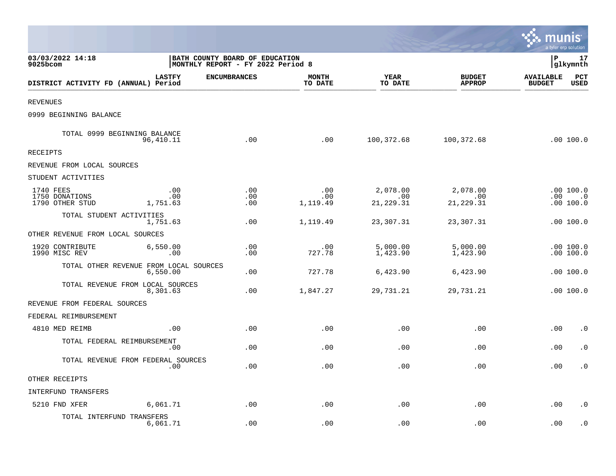|                                                |                                                                     |                     |                         |                              |                                | munis                             | a tyler erp solution                  |
|------------------------------------------------|---------------------------------------------------------------------|---------------------|-------------------------|------------------------------|--------------------------------|-----------------------------------|---------------------------------------|
| 03/03/2022 14:18<br>9025bcom                   | BATH COUNTY BOARD OF EDUCATION<br>MONTHLY REPORT - FY 2022 Period 8 |                     |                         |                              |                                | İР                                | 17<br> glkymnth                       |
| DISTRICT ACTIVITY FD (ANNUAL) Period           | <b>LASTFY</b>                                                       | <b>ENCUMBRANCES</b> | <b>MONTH</b><br>TO DATE | <b>YEAR</b><br>TO DATE       | <b>BUDGET</b><br><b>APPROP</b> | <b>AVAILABLE</b><br><b>BUDGET</b> | PCT<br><b>USED</b>                    |
| <b>REVENUES</b>                                |                                                                     |                     |                         |                              |                                |                                   |                                       |
| 0999 BEGINNING BALANCE                         |                                                                     |                     |                         |                              |                                |                                   |                                       |
| TOTAL 0999 BEGINNING BALANCE                   | 96,410.11                                                           | .00                 | .00                     | 100,372.68                   | 100,372.68                     |                                   | .00 100.0                             |
| <b>RECEIPTS</b>                                |                                                                     |                     |                         |                              |                                |                                   |                                       |
| REVENUE FROM LOCAL SOURCES                     |                                                                     |                     |                         |                              |                                |                                   |                                       |
| STUDENT ACTIVITIES                             |                                                                     |                     |                         |                              |                                |                                   |                                       |
| 1740 FEES<br>1750 DONATIONS<br>1790 OTHER STUD | .00<br>.00<br>1,751.63                                              | .00<br>.00<br>.00   | .00<br>.00<br>1,119.49  | 2,078.00<br>.00<br>21,229.31 | 2,078.00<br>.00<br>21, 229.31  |                                   | .00 100.0<br>$.00 \t .0$<br>.00 100.0 |
| TOTAL STUDENT ACTIVITIES                       | 1,751.63                                                            | .00                 | 1,119.49                | 23,307.31                    | 23,307.31                      |                                   | .00 100.0                             |
| OTHER REVENUE FROM LOCAL SOURCES               |                                                                     |                     |                         |                              |                                |                                   |                                       |
| 1920 CONTRIBUTE<br>1990 MISC REV               | 6,550.00<br>.00                                                     | .00<br>.00          | .00<br>727.78           | 5,000.00<br>1,423.90         | 5,000.00<br>1,423.90           |                                   | .00 100.0<br>.00 100.0                |
| TOTAL OTHER REVENUE FROM LOCAL SOURCES         | 6,550.00                                                            | .00                 | 727.78                  | 6,423.90                     | 6,423.90                       |                                   | .00100.0                              |
| TOTAL REVENUE FROM LOCAL SOURCES               | 8,301.63                                                            | .00                 | 1,847.27                | 29,731.21                    | 29,731.21                      |                                   | .00100.0                              |
| REVENUE FROM FEDERAL SOURCES                   |                                                                     |                     |                         |                              |                                |                                   |                                       |
| FEDERAL REIMBURSEMENT                          |                                                                     |                     |                         |                              |                                |                                   |                                       |
| 4810 MED REIMB                                 | .00                                                                 | .00                 | .00                     | .00                          | .00                            | .00                               | $\cdot$ 0                             |
| TOTAL FEDERAL REIMBURSEMENT                    | .00                                                                 | .00                 | .00                     | .00                          | .00                            | .00                               | $\cdot$ 0                             |
| TOTAL REVENUE FROM FEDERAL SOURCES             | .00                                                                 | .00                 | .00                     | .00                          | .00                            | .00                               | $\cdot$ 0                             |
| OTHER RECEIPTS                                 |                                                                     |                     |                         |                              |                                |                                   |                                       |
| <b>INTERFUND TRANSFERS</b>                     |                                                                     |                     |                         |                              |                                |                                   |                                       |
| 5210 FND XFER                                  | 6,061.71                                                            | .00                 | .00                     | .00                          | .00                            | .00                               | $\cdot$ 0                             |
| TOTAL INTERFUND TRANSFERS                      | 6,061.71                                                            | .00                 | .00                     | .00                          | .00                            | .00                               | $\cdot$ 0                             |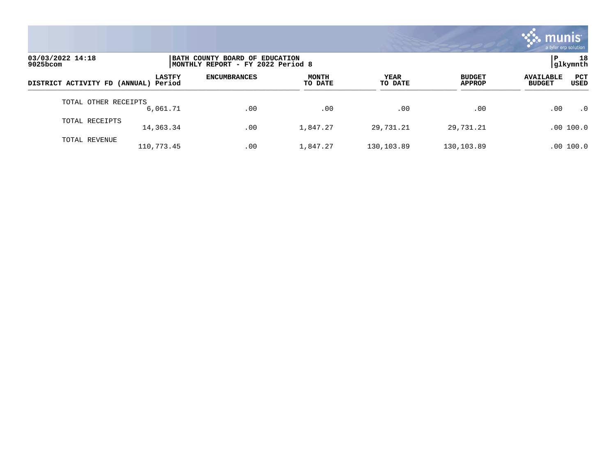

| 03/03/2022 14:18<br>$9025$ bcom      |               | BATH COUNTY BOARD OF EDUCATION<br>MONTHLY REPORT - FY 2022 Period 8 | 18<br> qlkymnth         |                 |                                |                                   |                    |
|--------------------------------------|---------------|---------------------------------------------------------------------|-------------------------|-----------------|--------------------------------|-----------------------------------|--------------------|
| DISTRICT ACTIVITY FD (ANNUAL) Period | <b>LASTFY</b> | <b>ENCUMBRANCES</b>                                                 | <b>MONTH</b><br>TO DATE | YEAR<br>TO DATE | <b>BUDGET</b><br><b>APPROP</b> | <b>AVAILABLE</b><br><b>BUDGET</b> | <b>PCT</b><br>USED |
| TOTAL OTHER RECEIPTS                 | 6,061.71      | .00                                                                 | .00                     | .00             | .00                            | .00                               | $\cdot$ 0          |
| TOTAL RECEIPTS                       | 14,363.34     | .00                                                                 | 1,847.27                | 29,731.21       | 29,731.21                      |                                   | .00 100.0          |
| TOTAL REVENUE                        | 110,773.45    | .00                                                                 | 1,847.27                | 130,103.89      | 130,103.89                     |                                   | .00 100.0          |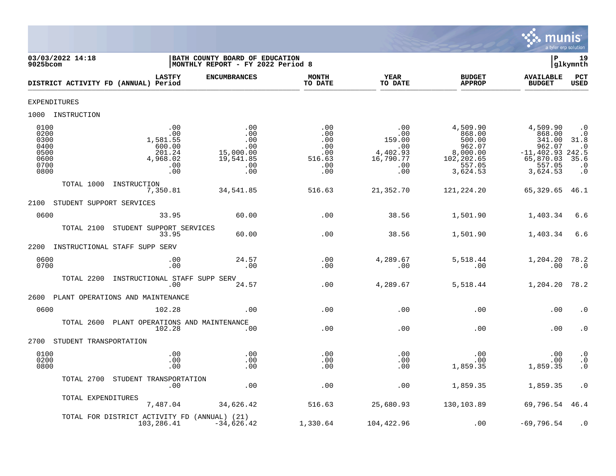

| 9025bcom                                                     | 03/03/2022 14:18         |                                                                      | BATH COUNTY BOARD OF EDUCATION<br> MONTHLY REPORT - FY 2022 Period 8 |                                                         |                                                                    |                                                                                         | Þ                                                                                          | 19<br>glkymnth                                                                         |
|--------------------------------------------------------------|--------------------------|----------------------------------------------------------------------|----------------------------------------------------------------------|---------------------------------------------------------|--------------------------------------------------------------------|-----------------------------------------------------------------------------------------|--------------------------------------------------------------------------------------------|----------------------------------------------------------------------------------------|
|                                                              |                          | <b>LASTFY</b><br>DISTRICT ACTIVITY FD (ANNUAL) Period                | <b>ENCUMBRANCES</b>                                                  | <b>MONTH</b><br>TO DATE                                 | <b>YEAR</b><br>TO DATE                                             | <b>BUDGET</b><br><b>APPROP</b>                                                          | <b>AVAILABLE</b><br><b>BUDGET</b>                                                          | PCT<br><b>USED</b>                                                                     |
|                                                              | <b>EXPENDITURES</b>      |                                                                      |                                                                      |                                                         |                                                                    |                                                                                         |                                                                                            |                                                                                        |
|                                                              | 1000 INSTRUCTION         |                                                                      |                                                                      |                                                         |                                                                    |                                                                                         |                                                                                            |                                                                                        |
| 0100<br>0200<br>0300<br>0400<br>0500<br>0600<br>0700<br>0800 |                          | .00<br>.00<br>1,581.55<br>600.00<br>201.24<br>4,968.02<br>.00<br>.00 | .00<br>.00<br>.00<br>.00<br>15,000.00<br>19,541.85<br>.00<br>.00     | .00<br>.00<br>.00<br>.00<br>.00<br>516.63<br>.00<br>.00 | .00<br>.00<br>159.00<br>.00<br>4,402.93<br>16,790.77<br>.00<br>.00 | 4,509.90<br>868.00<br>500.00<br>962.07<br>8,000.00<br>102, 202.65<br>557.05<br>3,624.53 | 4,509.90<br>868.00<br>341.00<br>962.07<br>$-11, 402.93$<br>65,870.03<br>557.05<br>3,624.53 | $\cdot$ 0<br>$\cdot$ 0<br>31.8<br>$\cdot$ 0<br>242.5<br>35.6<br>$\cdot$ 0<br>$\cdot$ 0 |
|                                                              | TOTAL 1000               | INSTRUCTION<br>7,350.81                                              | 34,541.85                                                            | 516.63                                                  | 21,352.70                                                          | 121, 224. 20                                                                            | 65,329.65                                                                                  | 46.1                                                                                   |
| 2100                                                         | STUDENT SUPPORT SERVICES |                                                                      |                                                                      |                                                         |                                                                    |                                                                                         |                                                                                            |                                                                                        |
| 0600                                                         |                          | 33.95                                                                | 60.00                                                                | .00                                                     | 38.56                                                              | 1,501.90                                                                                | 1,403.34                                                                                   | 6.6                                                                                    |
|                                                              | TOTAL 2100               | STUDENT SUPPORT SERVICES<br>33.95                                    | 60.00                                                                | .00                                                     | 38.56                                                              | 1,501.90                                                                                | 1,403.34                                                                                   | 6.6                                                                                    |
| 2200                                                         |                          | INSTRUCTIONAL STAFF SUPP SERV                                        |                                                                      |                                                         |                                                                    |                                                                                         |                                                                                            |                                                                                        |
| 0600<br>0700                                                 |                          | .00<br>.00                                                           | 24.57<br>.00                                                         | .00<br>.00                                              | 4,289.67<br>.00                                                    | 5,518.44<br>.00                                                                         | 1,204.20<br>.00                                                                            | 78.2<br>.0                                                                             |
|                                                              | TOTAL 2200               | INSTRUCTIONAL STAFF SUPP SERV<br>.00                                 | 24.57                                                                | .00                                                     | 4,289.67                                                           | 5,518.44                                                                                | 1,204.20                                                                                   | 78.2                                                                                   |
| 2600                                                         |                          | PLANT OPERATIONS AND MAINTENANCE                                     |                                                                      |                                                         |                                                                    |                                                                                         |                                                                                            |                                                                                        |
| 0600                                                         |                          | 102.28                                                               | .00                                                                  | .00                                                     | .00                                                                | .00                                                                                     | .00                                                                                        | . 0                                                                                    |
|                                                              | TOTAL 2600               | PLANT OPERATIONS AND MAINTENANCE<br>102.28                           | .00                                                                  | .00                                                     | .00                                                                | .00                                                                                     | .00                                                                                        | $\cdot$ 0                                                                              |
| 2700                                                         | STUDENT TRANSPORTATION   |                                                                      |                                                                      |                                                         |                                                                    |                                                                                         |                                                                                            |                                                                                        |
| 0100<br>0200<br>0800                                         |                          | .00<br>.00<br>.00                                                    | .00<br>.00<br>.00                                                    | .00<br>.00<br>.00                                       | .00<br>.00<br>.00                                                  | .00<br>.00<br>1,859.35                                                                  | .00<br>.00<br>1,859.35                                                                     | $\cdot$ 0<br>$\cdot$ 0<br>$\cdot$ 0                                                    |
|                                                              | TOTAL 2700               | STUDENT TRANSPORTATION<br>.00                                        | .00                                                                  | .00                                                     | .00                                                                | 1,859.35                                                                                | 1,859.35                                                                                   | $\cdot$ 0                                                                              |
|                                                              | TOTAL EXPENDITURES       | 7,487.04                                                             | 34,626.42                                                            | 516.63                                                  | 25,680.93                                                          | 130,103.89                                                                              | 69,796.54                                                                                  | 46.4                                                                                   |
|                                                              |                          | TOTAL FOR DISTRICT ACTIVITY FD (ANNUAL) (21)<br>103,286.41           | $-34,626.42$                                                         | 1,330.64                                                | 104,422.96                                                         | .00                                                                                     | $-69,796.54$                                                                               | $\cdot$ 0                                                                              |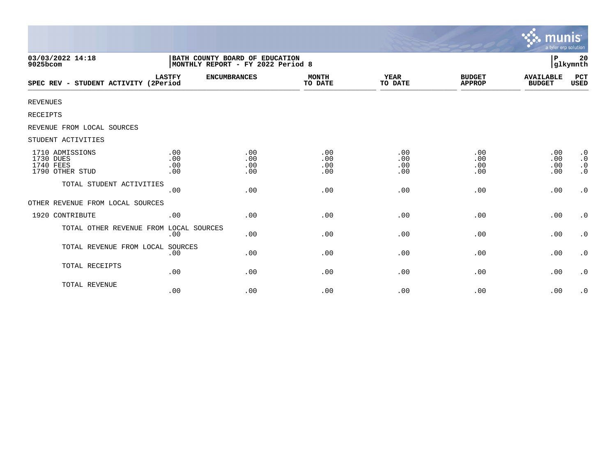|                                                              |                                                                     |                          |                          |                          |                                | munis<br>a tyler erp solution     |                                                  |
|--------------------------------------------------------------|---------------------------------------------------------------------|--------------------------|--------------------------|--------------------------|--------------------------------|-----------------------------------|--------------------------------------------------|
| 03/03/2022 14:18<br>9025bcom                                 | BATH COUNTY BOARD OF EDUCATION<br>MONTHLY REPORT - FY 2022 Period 8 |                          |                          |                          |                                | P                                 | 20<br>glkymnth                                   |
| SPEC REV - STUDENT ACTIVITY (2Period                         | <b>LASTFY</b>                                                       | <b>ENCUMBRANCES</b>      | <b>MONTH</b><br>TO DATE  | <b>YEAR</b><br>TO DATE   | <b>BUDGET</b><br><b>APPROP</b> | <b>AVAILABLE</b><br><b>BUDGET</b> | PCT<br>USED                                      |
| <b>REVENUES</b>                                              |                                                                     |                          |                          |                          |                                |                                   |                                                  |
| RECEIPTS                                                     |                                                                     |                          |                          |                          |                                |                                   |                                                  |
| REVENUE FROM LOCAL SOURCES                                   |                                                                     |                          |                          |                          |                                |                                   |                                                  |
| STUDENT ACTIVITIES                                           |                                                                     |                          |                          |                          |                                |                                   |                                                  |
| 1710 ADMISSIONS<br>1730 DUES<br>1740 FEES<br>1790 OTHER STUD | .00<br>.00<br>.00<br>.00                                            | .00<br>.00<br>.00<br>.00 | .00<br>.00<br>.00<br>.00 | .00<br>.00<br>.00<br>.00 | .00<br>.00<br>.00<br>.00       | .00<br>.00<br>.00<br>.00          | $\cdot$ 0<br>$\cdot$ 0<br>$\cdot$ 0<br>$\cdot$ 0 |
| TOTAL STUDENT ACTIVITIES                                     | .00                                                                 | .00                      | .00                      | .00                      | .00                            | .00                               | $\cdot$ 0                                        |
| OTHER REVENUE FROM LOCAL SOURCES                             |                                                                     |                          |                          |                          |                                |                                   |                                                  |
| 1920 CONTRIBUTE                                              | .00                                                                 | .00                      | .00                      | .00                      | .00                            | .00                               | $\cdot$ 0                                        |
| TOTAL OTHER REVENUE FROM LOCAL SOURCES                       | .00                                                                 | .00                      | .00                      | .00                      | .00                            | .00                               | $\cdot$ 0                                        |
| TOTAL REVENUE FROM LOCAL SOURCES                             | .00                                                                 | .00                      | .00                      | .00                      | .00                            | .00                               | $\cdot$ 0                                        |
| TOTAL RECEIPTS                                               | .00                                                                 | .00                      | .00                      | .00                      | .00                            | .00                               | $\cdot$ 0                                        |
| TOTAL REVENUE                                                | .00                                                                 | .00                      | .00                      | .00                      | .00                            | .00                               | $\cdot$ 0                                        |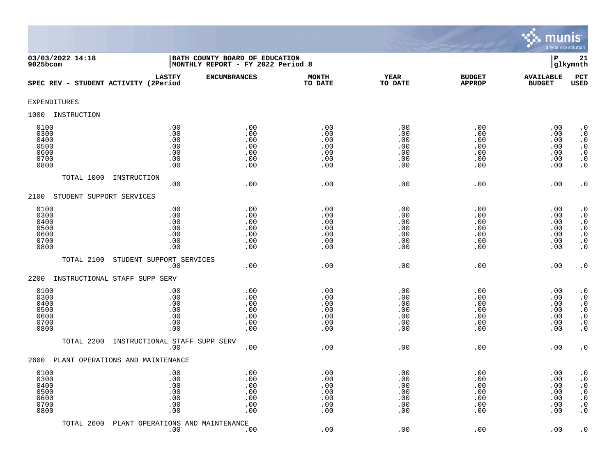

| 03/03/2022 14:18<br>$9025$ bcom                      |                                                 | BATH COUNTY BOARD OF EDUCATION<br>$\mathbf P$<br>MONTHLY REPORT - FY 2022 Period 8<br>glkymnth |                                               |                                               |                                               |                                               |                                                                                                                                               |  |
|------------------------------------------------------|-------------------------------------------------|------------------------------------------------------------------------------------------------|-----------------------------------------------|-----------------------------------------------|-----------------------------------------------|-----------------------------------------------|-----------------------------------------------------------------------------------------------------------------------------------------------|--|
| SPEC REV - STUDENT ACTIVITY (2Period                 | <b>LASTFY</b>                                   | <b>ENCUMBRANCES</b>                                                                            | <b>MONTH</b><br>TO DATE                       | <b>YEAR</b><br>TO DATE                        | <b>BUDGET</b><br><b>APPROP</b>                | <b>AVAILABLE</b><br><b>BUDGET</b>             | PCT<br><b>USED</b>                                                                                                                            |  |
| <b>EXPENDITURES</b>                                  |                                                 |                                                                                                |                                               |                                               |                                               |                                               |                                                                                                                                               |  |
| 1000<br>INSTRUCTION                                  |                                                 |                                                                                                |                                               |                                               |                                               |                                               |                                                                                                                                               |  |
| 0100<br>0300<br>0400<br>0500<br>0600<br>0700<br>0800 | .00<br>.00<br>.00<br>$.00$<br>.00<br>.00<br>.00 | .00<br>.00<br>.00<br>.00<br>.00<br>.00<br>.00                                                  | .00<br>.00<br>.00<br>.00<br>.00<br>.00<br>.00 | .00<br>.00<br>.00<br>.00<br>.00<br>.00<br>.00 | .00<br>.00<br>.00<br>.00<br>.00<br>.00<br>.00 | .00<br>.00<br>.00<br>.00<br>.00<br>.00<br>.00 | $\cdot$ 0<br>$\boldsymbol{\cdot}$ 0<br>$\cdot$ 0<br>$\begin{smallmatrix} 0.1 \\ 0.1 \end{smallmatrix}$<br>$\boldsymbol{\cdot}$ 0<br>$\cdot$ 0 |  |
| TOTAL 1000                                           | INSTRUCTION<br>.00                              | .00                                                                                            | .00                                           | .00                                           | .00                                           | .00                                           | $\cdot$ 0                                                                                                                                     |  |
| STUDENT SUPPORT SERVICES<br>2100                     |                                                 |                                                                                                |                                               |                                               |                                               |                                               |                                                                                                                                               |  |
| 0100<br>0300<br>0400<br>0500<br>0600<br>0700<br>0800 | .00<br>.00<br>.00<br>.00<br>.00<br>.00<br>.00   | .00<br>.00<br>.00<br>.00<br>.00<br>.00<br>.00                                                  | .00<br>.00<br>.00<br>.00<br>.00<br>.00<br>.00 | .00<br>.00<br>.00<br>.00<br>.00<br>.00<br>.00 | .00<br>.00<br>.00<br>.00<br>.00<br>.00<br>.00 | .00<br>.00<br>.00<br>.00<br>.00<br>.00<br>.00 | $\cdot$ 0<br>$\cdot$ 0<br>$\cdot$ 0<br>$\begin{array}{c} . & 0 \\ . & 0 \\ . & 0 \end{array}$<br>$\cdot$ 0                                    |  |
| TOTAL 2100                                           | STUDENT SUPPORT SERVICES                        |                                                                                                |                                               |                                               |                                               |                                               |                                                                                                                                               |  |
| 2200<br>INSTRUCTIONAL STAFF SUPP SERV                | .00                                             | .00                                                                                            | .00                                           | .00                                           | .00                                           | .00                                           | $\cdot$ 0                                                                                                                                     |  |
| 0100<br>0300<br>0400<br>0500<br>0600<br>0700<br>0800 | .00<br>.00<br>.00<br>.00<br>.00<br>.00<br>.00   | .00<br>.00<br>.00<br>.00<br>.00<br>.00<br>.00                                                  | .00<br>.00<br>.00<br>.00<br>.00<br>.00<br>.00 | .00<br>.00<br>.00<br>.00<br>.00<br>.00<br>.00 | .00<br>.00<br>.00<br>.00<br>.00<br>.00<br>.00 | .00<br>.00<br>.00<br>.00<br>.00<br>.00<br>.00 | $\cdot$ 0<br>$\cdot$ 0<br>$\begin{smallmatrix} 0 \\ 0 \\ 0 \end{smallmatrix}$<br>$\ddot{0}$<br>$\boldsymbol{\cdot}$ 0<br>$\overline{0}$       |  |
| TOTAL 2200                                           | INSTRUCTIONAL STAFF SUPP SERV<br>.00            | .00                                                                                            | .00                                           | .00                                           | .00                                           | .00                                           | $\cdot$ 0                                                                                                                                     |  |
| PLANT OPERATIONS AND MAINTENANCE<br>2600             |                                                 |                                                                                                |                                               |                                               |                                               |                                               |                                                                                                                                               |  |
| 0100<br>0300<br>0400<br>0500<br>0600<br>0700<br>0800 | .00<br>.00<br>.00<br>.00<br>.00<br>.00<br>.00   | .00<br>.00<br>.00<br>.00<br>.00<br>.00<br>.00                                                  | .00<br>.00<br>.00<br>.00<br>.00<br>.00<br>.00 | .00<br>.00<br>.00<br>.00<br>.00<br>.00<br>.00 | .00<br>.00<br>.00<br>.00<br>.00<br>.00<br>.00 | .00<br>.00<br>.00<br>.00<br>.00<br>.00<br>.00 | $\cdot$ 0<br>$\cdot$ 0<br>$\boldsymbol{\cdot}$ 0<br>$\ddot{0}$<br>$\boldsymbol{\cdot}$ 0<br>$\boldsymbol{\cdot}$ 0<br>$\cdot$ 0               |  |
| TOTAL 2600                                           | PLANT OPERATIONS AND MAINTENANCE<br>.00         | .00                                                                                            | .00                                           | .00                                           | .00                                           | .00                                           | $\cdot$ 0                                                                                                                                     |  |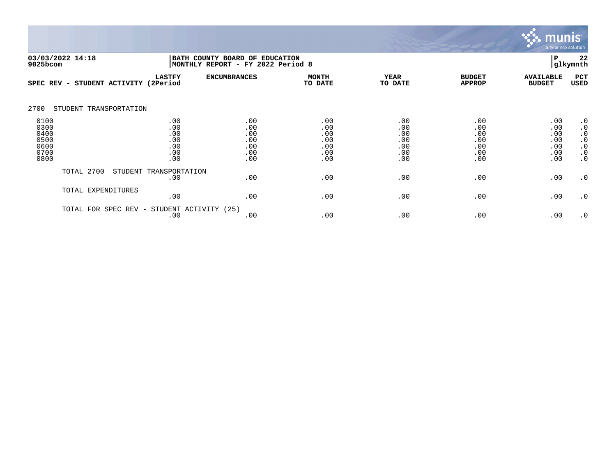

|                                                      | 03/03/2022 14:18<br>BATH COUNTY BOARD OF EDUCATION<br>9025bcom |                                               |                                               | MONTHLY REPORT - FY 2022 Period 8             |                                               |                                               |                                               |                                                                                         |  |
|------------------------------------------------------|----------------------------------------------------------------|-----------------------------------------------|-----------------------------------------------|-----------------------------------------------|-----------------------------------------------|-----------------------------------------------|-----------------------------------------------|-----------------------------------------------------------------------------------------|--|
| SPEC REV -                                           | STUDENT ACTIVITY (2Period                                      | <b>LASTFY</b>                                 | <b>ENCUMBRANCES</b>                           | <b>MONTH</b><br>TO DATE                       | <b>YEAR</b><br>TO DATE                        | <b>BUDGET</b><br><b>APPROP</b>                | <b>AVAILABLE</b><br><b>BUDGET</b>             | PCT<br>USED                                                                             |  |
| 2700                                                 | STUDENT TRANSPORTATION                                         |                                               |                                               |                                               |                                               |                                               |                                               |                                                                                         |  |
| 0100<br>0300<br>0400<br>0500<br>0600<br>0700<br>0800 |                                                                | .00<br>.00<br>.00<br>.00<br>.00<br>.00<br>.00 | .00<br>.00<br>.00<br>.00<br>.00<br>.00<br>.00 | .00<br>.00<br>.00<br>.00<br>.00<br>.00<br>.00 | .00<br>.00<br>.00<br>.00<br>.00<br>.00<br>.00 | .00<br>.00<br>.00<br>.00<br>.00<br>.00<br>.00 | .00<br>.00<br>.00<br>.00<br>.00<br>.00<br>.00 | $\cdot$ 0<br>$\cdot$ 0<br>$\cdot$ 0<br>$\cdot$ 0<br>$\cdot$ 0<br>$\cdot$ 0<br>$\cdot$ 0 |  |
|                                                      | TOTAL 2700                                                     | STUDENT TRANSPORTATION<br>.00                 | .00                                           | .00                                           | .00                                           | .00                                           | .00                                           | $\cdot$ 0                                                                               |  |
|                                                      | TOTAL EXPENDITURES                                             | .00                                           | .00                                           | .00                                           | .00                                           | .00                                           | .00                                           | $\cdot$ 0                                                                               |  |
|                                                      | TOTAL FOR SPEC REV -                                           | STUDENT ACTIVITY (25)<br>.00                  | .00                                           | .00                                           | .00                                           | .00                                           | .00                                           | $\cdot$ 0                                                                               |  |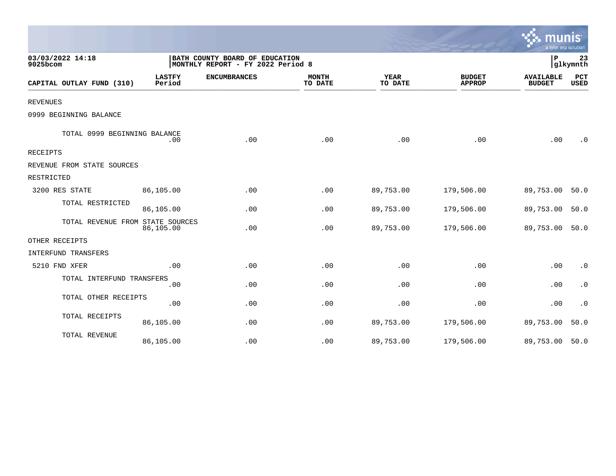|                                  |                         |                                                                     |                         |                 |                                | a tyler erp solution              |                        |
|----------------------------------|-------------------------|---------------------------------------------------------------------|-------------------------|-----------------|--------------------------------|-----------------------------------|------------------------|
| 03/03/2022 14:18<br>9025bcom     |                         | BATH COUNTY BOARD OF EDUCATION<br>MONTHLY REPORT - FY 2022 Period 8 |                         |                 |                                | P                                 | 23<br>glkymnth         |
| CAPITAL OUTLAY FUND (310)        | <b>LASTFY</b><br>Period | <b>ENCUMBRANCES</b>                                                 | <b>MONTH</b><br>TO DATE | YEAR<br>TO DATE | <b>BUDGET</b><br><b>APPROP</b> | <b>AVAILABLE</b><br><b>BUDGET</b> | PCT<br><b>USED</b>     |
| <b>REVENUES</b>                  |                         |                                                                     |                         |                 |                                |                                   |                        |
| 0999 BEGINNING BALANCE           |                         |                                                                     |                         |                 |                                |                                   |                        |
| TOTAL 0999 BEGINNING BALANCE     | .00                     | .00                                                                 | .00                     | .00             | .00                            | .00                               | $\cdot$ 0              |
| RECEIPTS                         |                         |                                                                     |                         |                 |                                |                                   |                        |
| REVENUE FROM STATE SOURCES       |                         |                                                                     |                         |                 |                                |                                   |                        |
| RESTRICTED                       |                         |                                                                     |                         |                 |                                |                                   |                        |
| 3200 RES STATE                   | 86,105.00               | .00                                                                 | .00                     | 89,753.00       | 179,506.00                     | 89,753.00                         | 50.0                   |
| TOTAL RESTRICTED                 | 86,105.00               | .00                                                                 | .00                     | 89,753.00       | 179,506.00                     | 89,753.00                         | 50.0                   |
| TOTAL REVENUE FROM STATE SOURCES | 86,105.00               | .00                                                                 | .00                     | 89,753.00       | 179,506.00                     | 89,753.00 50.0                    |                        |
| OTHER RECEIPTS                   |                         |                                                                     |                         |                 |                                |                                   |                        |
| INTERFUND TRANSFERS              |                         |                                                                     |                         |                 |                                |                                   |                        |
| 5210 FND XFER                    | .00                     | .00                                                                 | .00                     | .00             | .00                            | .00                               | $\cdot$ 0              |
| TOTAL INTERFUND TRANSFERS        | .00                     | .00                                                                 | .00                     | .00             | .00                            | .00                               | $\cdot$ 0              |
| TOTAL OTHER RECEIPTS             | .00                     | .00                                                                 | .00                     | .00             | .00                            | .00                               | $\boldsymbol{\cdot}$ 0 |
| TOTAL RECEIPTS                   | 86,105.00               | .00                                                                 | .00                     | 89,753.00       | 179,506.00                     | 89,753.00                         | 50.0                   |
| TOTAL REVENUE                    | 86,105.00               | .00                                                                 | .00                     | 89,753.00       | 179,506.00                     | 89,753.00 50.0                    |                        |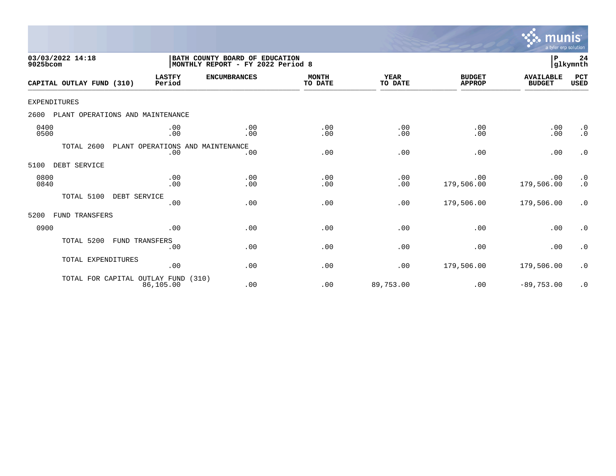

| 03/03/2022 14:18<br>9025bcom             | BATH COUNTY BOARD OF EDUCATION<br>MONTHLY REPORT - FY 2022 Period 8 |                     |                         |                        |                                | P<br> glkymnth                    |                                                   |  |
|------------------------------------------|---------------------------------------------------------------------|---------------------|-------------------------|------------------------|--------------------------------|-----------------------------------|---------------------------------------------------|--|
| CAPITAL OUTLAY FUND (310)                | <b>LASTFY</b><br>Period                                             | <b>ENCUMBRANCES</b> | <b>MONTH</b><br>TO DATE | <b>YEAR</b><br>TO DATE | <b>BUDGET</b><br><b>APPROP</b> | <b>AVAILABLE</b><br><b>BUDGET</b> | PCT<br><b>USED</b>                                |  |
| <b>EXPENDITURES</b>                      |                                                                     |                     |                         |                        |                                |                                   |                                                   |  |
| 2600<br>PLANT OPERATIONS AND MAINTENANCE |                                                                     |                     |                         |                        |                                |                                   |                                                   |  |
| 0400<br>0500                             | .00<br>.00                                                          | .00<br>.00          | .00<br>.00              | .00<br>.00             | .00<br>.00                     | .00<br>.00                        | $\cdot$ 0<br>$\cdot$ 0                            |  |
| TOTAL 2600                               | PLANT OPERATIONS AND MAINTENANCE<br>.00                             | .00                 | .00                     | .00                    | .00                            | .00                               | $\cdot$ 0                                         |  |
| 5100<br>DEBT SERVICE                     |                                                                     |                     |                         |                        |                                |                                   |                                                   |  |
| 0800<br>0840                             | .00<br>.00                                                          | .00<br>.00          | .00<br>.00              | .00<br>.00             | .00<br>179,506.00              | .00<br>179,506.00                 | $\begin{smallmatrix} 0.1 \ 0.1 \end{smallmatrix}$ |  |
| TOTAL 5100                               | DEBT SERVICE<br>.00                                                 | .00                 | .00                     | .00                    | 179,506.00                     | 179,506.00                        | $\cdot$ 0                                         |  |
| 5200<br>FUND TRANSFERS                   |                                                                     |                     |                         |                        |                                |                                   |                                                   |  |
| 0900                                     | .00                                                                 | .00                 | .00                     | .00                    | .00                            | .00                               | $\cdot$ 0                                         |  |
| TOTAL 5200                               | <b>FUND TRANSFERS</b><br>.00                                        | .00                 | .00                     | .00                    | .00                            | .00                               | $\cdot$ 0                                         |  |
| TOTAL EXPENDITURES                       | .00                                                                 | .00                 | .00                     | .00                    | 179,506.00                     | 179,506.00                        | $\cdot$ 0                                         |  |
| TOTAL FOR CAPITAL OUTLAY FUND (310)      | 86,105.00                                                           | .00                 | .00                     | 89,753.00              | .00                            | $-89,753.00$                      | $\cdot$ 0                                         |  |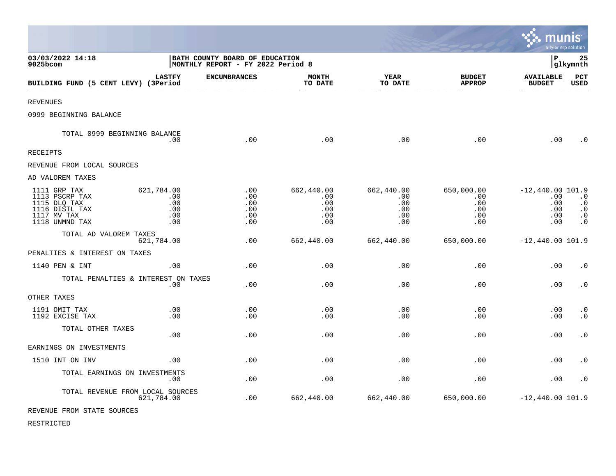|                                                                                                   |                                               |                                                                     |                                               |                                               |                                                    | munis                                                 | a tyler erp solution                                          |
|---------------------------------------------------------------------------------------------------|-----------------------------------------------|---------------------------------------------------------------------|-----------------------------------------------|-----------------------------------------------|----------------------------------------------------|-------------------------------------------------------|---------------------------------------------------------------|
| 03/03/2022 14:18<br>9025bcom                                                                      |                                               | BATH COUNTY BOARD OF EDUCATION<br>MONTHLY REPORT - FY 2022 Period 8 |                                               |                                               |                                                    | l P                                                   | 25<br>glkymnth                                                |
| BUILDING FUND (5 CENT LEVY) (3Period                                                              | <b>LASTFY</b>                                 | <b>ENCUMBRANCES</b>                                                 | <b>MONTH</b><br>TO DATE                       | YEAR<br>TO DATE                               | <b>BUDGET</b><br><b>APPROP</b>                     | <b>AVAILABLE</b><br><b>BUDGET</b>                     | PCT<br><b>USED</b>                                            |
| <b>REVENUES</b>                                                                                   |                                               |                                                                     |                                               |                                               |                                                    |                                                       |                                                               |
| 0999 BEGINNING BALANCE                                                                            |                                               |                                                                     |                                               |                                               |                                                    |                                                       |                                                               |
| TOTAL 0999 BEGINNING BALANCE                                                                      | .00                                           | .00                                                                 | .00                                           | .00                                           | .00                                                | .00                                                   | $\cdot$ 0                                                     |
| <b>RECEIPTS</b>                                                                                   |                                               |                                                                     |                                               |                                               |                                                    |                                                       |                                                               |
| REVENUE FROM LOCAL SOURCES                                                                        |                                               |                                                                     |                                               |                                               |                                                    |                                                       |                                                               |
| AD VALOREM TAXES                                                                                  |                                               |                                                                     |                                               |                                               |                                                    |                                                       |                                                               |
| 1111 GRP TAX<br>1113 PSCRP TAX<br>1115 DLQ TAX<br>1116 DISTL TAX<br>1117 MV TAX<br>1118 UNMND TAX | 621,784.00<br>.00<br>.00<br>.00<br>.00<br>.00 | .00<br>.00<br>.00<br>.00<br>.00<br>.00                              | 662,440.00<br>.00<br>.00<br>.00<br>.00<br>.00 | 662,440.00<br>.00<br>.00<br>.00<br>.00<br>.00 | 650,000.00<br>$.00 \,$<br>.00<br>.00<br>.00<br>.00 | $-12,440.00$ 101.9<br>.00<br>.00<br>.00<br>.00<br>.00 | $\cdot$ 0<br>$\cdot$ 0<br>$\cdot$ 0<br>$\cdot$ 0<br>$\cdot$ 0 |
| TOTAL AD VALOREM TAXES                                                                            | 621,784.00                                    | .00                                                                 | 662,440.00                                    | 662,440.00                                    | 650,000.00                                         | $-12,440.00$ 101.9                                    |                                                               |
| PENALTIES & INTEREST ON TAXES                                                                     |                                               |                                                                     |                                               |                                               |                                                    |                                                       |                                                               |
| 1140 PEN & INT                                                                                    | .00                                           | .00                                                                 | .00                                           | .00                                           | .00                                                | .00                                                   | $\cdot$ 0                                                     |
| TOTAL PENALTIES & INTEREST ON TAXES                                                               | .00                                           | .00                                                                 | .00                                           | .00                                           | .00                                                | .00                                                   | $\cdot$ 0                                                     |
| OTHER TAXES                                                                                       |                                               |                                                                     |                                               |                                               |                                                    |                                                       |                                                               |
| 1191 OMIT TAX<br>1192 EXCISE TAX                                                                  | .00<br>.00                                    | .00<br>.00                                                          | .00<br>.00                                    | .00<br>.00                                    | .00<br>.00                                         | .00<br>.00                                            | $\cdot$ 0<br>$\cdot$ 0                                        |
| TOTAL OTHER TAXES                                                                                 | .00                                           | .00                                                                 | .00                                           | .00                                           | .00                                                | .00                                                   | $\cdot$ 0                                                     |
| EARNINGS ON INVESTMENTS                                                                           |                                               |                                                                     |                                               |                                               |                                                    |                                                       |                                                               |
| 1510 INT ON INV                                                                                   | .00                                           | .00                                                                 | .00                                           | .00                                           | .00                                                | .00                                                   | $\cdot$ 0                                                     |
| TOTAL EARNINGS ON INVESTMENTS                                                                     | $.00 \,$                                      | .00                                                                 | .00                                           | .00                                           | .00                                                | .00                                                   | $\cdot$ 0                                                     |
| TOTAL REVENUE FROM LOCAL SOURCES<br>--------- ---- ----- -- -----                                 | 621,784.00                                    | .00                                                                 | 662,440.00                                    | 662,440.00                                    | 650,000.00                                         | $-12,440.00$ 101.9                                    |                                                               |

 $\mathcal{L}^{\text{max}}$ 

REVENUE FROM STATE SOURCES

RESTRICTED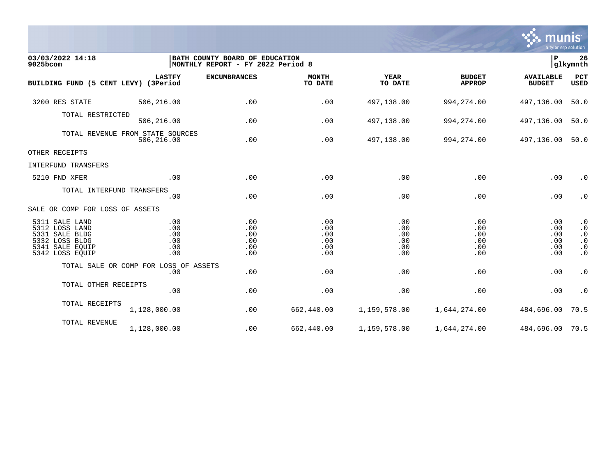

| 03/03/2022 14:18<br>9025bcom                                                                                  |                                                | BATH COUNTY BOARD OF EDUCATION<br> MONTHLY REPORT - FY 2022 Period 8 |                                        |                                        |                                        | lР                                     | 26<br>glkymnth                                                             |
|---------------------------------------------------------------------------------------------------------------|------------------------------------------------|----------------------------------------------------------------------|----------------------------------------|----------------------------------------|----------------------------------------|----------------------------------------|----------------------------------------------------------------------------|
| BUILDING FUND (5 CENT LEVY) (3Period                                                                          | <b>LASTFY</b>                                  | <b>ENCUMBRANCES</b>                                                  | <b>MONTH</b><br>TO DATE                | <b>YEAR</b><br>TO DATE                 | <b>BUDGET</b><br><b>APPROP</b>         | <b>AVAILABLE</b><br><b>BUDGET</b>      | <b>PCT</b><br>USED                                                         |
| 3200 RES STATE                                                                                                | 506,216.00                                     | .00                                                                  | .00                                    | 497,138.00                             | 994, 274.00                            | 497,136.00                             | 50.0                                                                       |
| TOTAL RESTRICTED                                                                                              | 506,216.00                                     | .00                                                                  | .00                                    | 497,138.00                             | 994, 274.00                            | 497,136.00                             | 50.0                                                                       |
|                                                                                                               | TOTAL REVENUE FROM STATE SOURCES<br>506,216.00 | .00                                                                  | .00                                    | 497,138.00                             | 994,274.00                             | 497,136.00                             | 50.0                                                                       |
| OTHER RECEIPTS                                                                                                |                                                |                                                                      |                                        |                                        |                                        |                                        |                                                                            |
| INTERFUND TRANSFERS                                                                                           |                                                |                                                                      |                                        |                                        |                                        |                                        |                                                                            |
| 5210 FND XFER                                                                                                 | .00                                            | .00                                                                  | .00                                    | .00                                    | .00                                    | .00                                    | $\cdot$ 0                                                                  |
| TOTAL INTERFUND TRANSFERS                                                                                     | .00                                            | .00                                                                  | .00                                    | .00                                    | .00                                    | .00                                    | $\cdot$ 0                                                                  |
| SALE OR COMP FOR LOSS OF ASSETS                                                                               |                                                |                                                                      |                                        |                                        |                                        |                                        |                                                                            |
| 5311 SALE LAND<br>5312 LOSS LAND<br>5331 SALE BLDG<br>5332 LOSS BLDG<br>5341<br>SALE EQUIP<br>5342 LOSS EQUIP | .00<br>.00<br>.00<br>.00<br>.00<br>.00         | .00<br>.00<br>.00<br>.00<br>.00<br>.00                               | .00<br>.00<br>.00<br>.00<br>.00<br>.00 | .00<br>.00<br>.00<br>.00<br>.00<br>.00 | .00<br>.00<br>.00<br>.00<br>.00<br>.00 | .00<br>.00<br>.00<br>.00<br>.00<br>.00 | $\cdot$ 0<br>$\cdot$ 0<br>$\cdot$ 0<br>$\cdot$ 0<br>$\cdot$ 0<br>$\cdot$ 0 |
|                                                                                                               | TOTAL SALE OR COMP FOR LOSS OF ASSETS<br>.00   | .00                                                                  | .00                                    | .00                                    | .00                                    | .00                                    | $\cdot$ 0                                                                  |
| TOTAL OTHER RECEIPTS                                                                                          | .00                                            | .00                                                                  | .00                                    | .00                                    | .00                                    | .00                                    | $\cdot$ 0                                                                  |
| TOTAL RECEIPTS                                                                                                | 1,128,000.00                                   | .00                                                                  | 662,440.00                             | 1,159,578.00                           | 1,644,274.00                           | 484,696.00                             | 70.5                                                                       |
| TOTAL REVENUE                                                                                                 | 1,128,000.00                                   | .00                                                                  | 662,440.00                             | 1,159,578.00                           | 1,644,274.00                           | 484,696.00 70.5                        |                                                                            |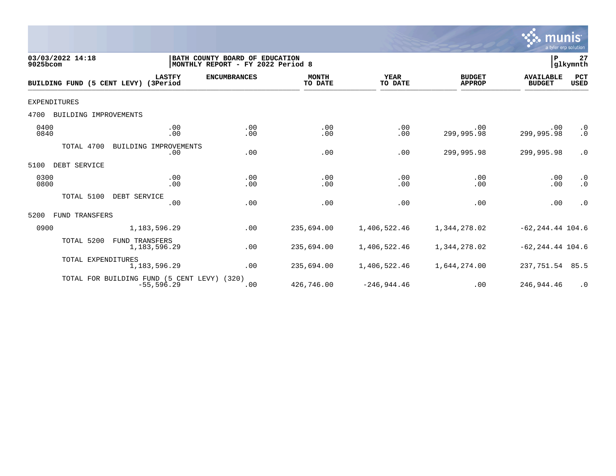

| 03/03/2022 14:18<br>9025bcom  |                                                              | BATH COUNTY BOARD OF EDUCATION<br>MONTHLY REPORT - FY 2022 Period 8 |                         |                        |                                | P                                 | 27<br>glkymnth         |
|-------------------------------|--------------------------------------------------------------|---------------------------------------------------------------------|-------------------------|------------------------|--------------------------------|-----------------------------------|------------------------|
| BUILDING FUND (5 CENT LEVY)   | <b>LASTFY</b><br>(3Period                                    | <b>ENCUMBRANCES</b>                                                 | <b>MONTH</b><br>TO DATE | <b>YEAR</b><br>TO DATE | <b>BUDGET</b><br><b>APPROP</b> | <b>AVAILABLE</b><br><b>BUDGET</b> | PCT<br>USED            |
| <b>EXPENDITURES</b>           |                                                              |                                                                     |                         |                        |                                |                                   |                        |
| BUILDING IMPROVEMENTS<br>4700 |                                                              |                                                                     |                         |                        |                                |                                   |                        |
| 0400<br>0840                  | .00<br>.00                                                   | .00<br>.00                                                          | .00<br>.00              | .00<br>.00             | .00<br>299,995.98              | .00<br>299,995.98                 | $\cdot$ 0<br>$\cdot$ 0 |
| TOTAL 4700                    | BUILDING IMPROVEMENTS<br>.00                                 | .00                                                                 | .00                     | .00                    | 299,995.98                     | 299,995.98                        | $\cdot$ 0              |
| DEBT SERVICE<br>5100          |                                                              |                                                                     |                         |                        |                                |                                   |                        |
| 0300<br>0800                  | .00<br>.00                                                   | .00<br>.00                                                          | .00<br>.00              | .00<br>.00             | .00<br>.00                     | .00<br>.00                        | $\cdot$ 0<br>$\cdot$ 0 |
| TOTAL 5100                    | DEBT SERVICE<br>.00                                          | .00                                                                 | .00                     | .00                    | .00                            | .00                               | $\cdot$ 0              |
| FUND TRANSFERS<br>5200        |                                                              |                                                                     |                         |                        |                                |                                   |                        |
| 0900                          | 1,183,596.29                                                 | .00                                                                 | 235,694.00              | 1,406,522.46           | 1,344,278.02                   | $-62, 244.44$ 104.6               |                        |
| TOTAL 5200                    | FUND TRANSFERS<br>1,183,596.29                               | .00                                                                 | 235,694.00              | 1,406,522.46           | 1,344,278.02                   | $-62, 244.44$ 104.6               |                        |
| TOTAL EXPENDITURES            | 1,183,596.29                                                 | .00                                                                 | 235,694.00              | 1,406,522.46           | 1,644,274.00                   | 237,751.54                        | 85.5                   |
|                               | TOTAL FOR BUILDING FUND (5 CENT LEVY) (320)<br>$-55, 596.29$ | .00                                                                 | 426,746.00              | $-246,944.46$          | .00                            | 246,944.46                        | $\cdot$ 0              |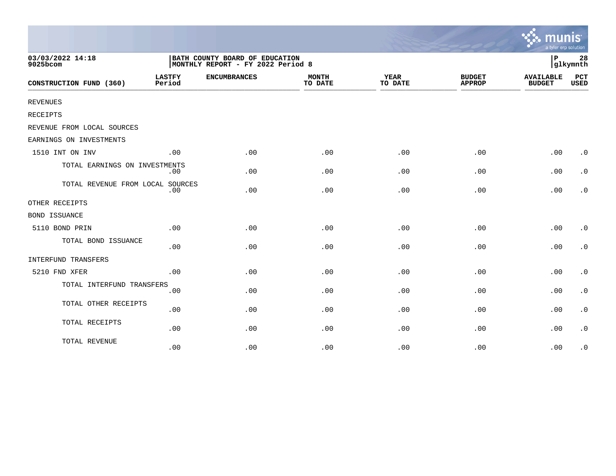|                                  |                                                                     |                     |                         |                        |                                | a tyler erp solution              |                        |
|----------------------------------|---------------------------------------------------------------------|---------------------|-------------------------|------------------------|--------------------------------|-----------------------------------|------------------------|
| 03/03/2022 14:18<br>9025bcom     | BATH COUNTY BOARD OF EDUCATION<br>MONTHLY REPORT - FY 2022 Period 8 |                     |                         |                        |                                |                                   | 28<br>glkymnth         |
| CONSTRUCTION FUND (360)          | <b>LASTFY</b><br>Period                                             | <b>ENCUMBRANCES</b> | <b>MONTH</b><br>TO DATE | <b>YEAR</b><br>TO DATE | <b>BUDGET</b><br><b>APPROP</b> | <b>AVAILABLE</b><br><b>BUDGET</b> | PCT<br><b>USED</b>     |
| <b>REVENUES</b>                  |                                                                     |                     |                         |                        |                                |                                   |                        |
| RECEIPTS                         |                                                                     |                     |                         |                        |                                |                                   |                        |
| REVENUE FROM LOCAL SOURCES       |                                                                     |                     |                         |                        |                                |                                   |                        |
| EARNINGS ON INVESTMENTS          |                                                                     |                     |                         |                        |                                |                                   |                        |
| 1510 INT ON INV                  | .00                                                                 | .00                 | .00                     | .00                    | .00                            | .00                               | $\cdot$ 0              |
| TOTAL EARNINGS ON INVESTMENTS    | $.00 \,$                                                            | .00                 | .00                     | .00                    | .00                            | .00                               | $\cdot$ 0              |
| TOTAL REVENUE FROM LOCAL SOURCES | .00                                                                 | .00                 | .00                     | .00                    | .00                            | .00                               | $\cdot$ 0              |
| OTHER RECEIPTS                   |                                                                     |                     |                         |                        |                                |                                   |                        |
| <b>BOND ISSUANCE</b>             |                                                                     |                     |                         |                        |                                |                                   |                        |
| 5110 BOND PRIN                   | .00                                                                 | .00                 | .00                     | .00                    | .00                            | .00                               | $\cdot$ 0              |
| TOTAL BOND ISSUANCE              | .00                                                                 | .00                 | .00                     | .00                    | .00                            | .00                               | $\cdot$ 0              |
| INTERFUND TRANSFERS              |                                                                     |                     |                         |                        |                                |                                   |                        |
| 5210 FND XFER                    | .00                                                                 | .00                 | .00                     | .00                    | .00                            | .00                               | $\cdot$ 0              |
| TOTAL INTERFUND TRANSFERS        | .00                                                                 | .00                 | .00                     | .00                    | .00                            | .00                               | $\cdot$ 0              |
| TOTAL OTHER RECEIPTS             | .00                                                                 | .00                 | .00                     | .00                    | .00                            | .00                               | $\boldsymbol{\cdot}$ 0 |
| TOTAL RECEIPTS                   | .00                                                                 | .00                 | .00                     | .00                    | .00                            | .00                               | $\cdot$ 0              |
| TOTAL REVENUE                    | .00                                                                 | .00                 | .00                     | .00                    | .00                            | .00                               | $\cdot$ 0              |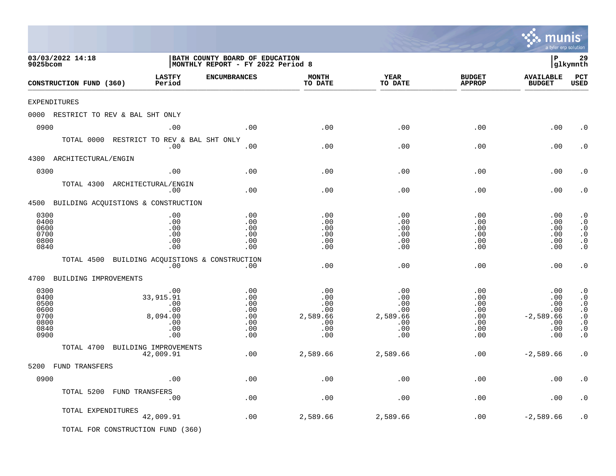|                                                              |                                                                     |                                                                     |                                                           |                                                           |                                                      | a tyler erp solution                                         |                                                                                                      |
|--------------------------------------------------------------|---------------------------------------------------------------------|---------------------------------------------------------------------|-----------------------------------------------------------|-----------------------------------------------------------|------------------------------------------------------|--------------------------------------------------------------|------------------------------------------------------------------------------------------------------|
| 03/03/2022 14:18<br>9025bcom                                 |                                                                     | BATH COUNTY BOARD OF EDUCATION<br>MONTHLY REPORT - FY 2022 Period 8 |                                                           |                                                           |                                                      | l P                                                          | 29<br> glkymnth                                                                                      |
| CONSTRUCTION FUND (360)                                      | <b>LASTFY</b><br>Period                                             | <b>ENCUMBRANCES</b>                                                 | <b>MONTH</b><br>TO DATE                                   | YEAR<br>TO DATE                                           | <b>BUDGET</b><br><b>APPROP</b>                       | <b>AVAILABLE</b><br><b>BUDGET</b>                            | PCT<br><b>USED</b>                                                                                   |
| <b>EXPENDITURES</b>                                          |                                                                     |                                                                     |                                                           |                                                           |                                                      |                                                              |                                                                                                      |
| 0000 RESTRICT TO REV & BAL SHT ONLY                          |                                                                     |                                                                     |                                                           |                                                           |                                                      |                                                              |                                                                                                      |
| 0900                                                         | .00                                                                 | .00                                                                 | .00                                                       | .00                                                       | .00                                                  | .00                                                          | $\cdot$ 0                                                                                            |
| TOTAL 0000                                                   | RESTRICT TO REV & BAL SHT ONLY<br>.00                               | .00                                                                 | .00                                                       | .00                                                       | .00                                                  | .00                                                          | $\cdot$ 0                                                                                            |
| 4300 ARCHITECTURAL/ENGIN                                     |                                                                     |                                                                     |                                                           |                                                           |                                                      |                                                              |                                                                                                      |
| 0300                                                         | .00                                                                 | .00                                                                 | .00                                                       | .00                                                       | .00                                                  | .00                                                          | $\cdot$ 0                                                                                            |
| TOTAL 4300                                                   | ARCHITECTURAL/ENGIN<br>.00                                          | .00                                                                 | .00                                                       | .00                                                       | .00                                                  | .00                                                          | $\cdot$ 0                                                                                            |
| 4500 BUILDING ACQUISTIONS & CONSTRUCTION                     |                                                                     |                                                                     |                                                           |                                                           |                                                      |                                                              |                                                                                                      |
| 0300<br>0400<br>0600<br>0700<br>0800<br>0840                 | .00<br>.00<br>.00<br>.00<br>.00<br>.00                              | .00<br>.00<br>.00<br>.00<br>.00<br>.00                              | .00<br>.00<br>.00<br>.00<br>.00<br>.00                    | .00<br>.00<br>.00<br>.00<br>.00<br>.00                    | .00<br>.00<br>.00<br>.00<br>.00<br>.00               | .00<br>.00<br>.00<br>.00<br>.00<br>.00                       | $\boldsymbol{\cdot}$ 0<br>$\cdot$ 0<br>$\cdot$ 0<br>$\cdot$ 0<br>$\boldsymbol{\cdot}$ 0<br>$\cdot$ 0 |
| TOTAL 4500                                                   | BUILDING ACOUISTIONS & CONSTRUCTION<br>.00                          | .00                                                                 | .00                                                       | .00                                                       | .00                                                  | .00                                                          | $\cdot$ 0                                                                                            |
| 4700 BUILDING IMPROVEMENTS                                   |                                                                     |                                                                     |                                                           |                                                           |                                                      |                                                              |                                                                                                      |
| 0300<br>0400<br>0500<br>0600<br>0700<br>0800<br>0840<br>0900 | $.00$<br>33, 915. 91<br>.00<br>.00<br>8,094.00<br>.00<br>.00<br>.00 | .00<br>.00<br>.00<br>.00<br>.00<br>.00<br>.00<br>.00                | .00<br>.00<br>.00<br>.00<br>2,589.66<br>.00<br>.00<br>.00 | .00<br>.00<br>.00<br>.00<br>2,589.66<br>.00<br>.00<br>.00 | .00<br>.00<br>.00<br>.00<br>.00<br>.00<br>.00<br>.00 | .00<br>.00<br>.00<br>.00<br>$-2,589.66$<br>.00<br>.00<br>.00 | $\cdot$ 0<br>$\cdot$ 0<br>$\cdot$ 0<br>$\cdot$ 0<br>$\cdot$ 0<br>$\cdot$ 0<br>$\cdot$ 0<br>$\cdot$ 0 |
| TOTAL 4700                                                   | BUILDING IMPROVEMENTS<br>42,009.91                                  | .00                                                                 | 2,589.66                                                  | 2,589.66                                                  | .00                                                  | $-2,589.66$                                                  | $\cdot$ 0                                                                                            |
| 5200<br><b>FUND TRANSFERS</b>                                |                                                                     |                                                                     |                                                           |                                                           |                                                      |                                                              |                                                                                                      |
| 0900                                                         | .00                                                                 | .00                                                                 | .00                                                       | .00                                                       | .00                                                  | .00                                                          | $\cdot$ 0                                                                                            |
| TOTAL 5200                                                   | FUND TRANSFERS<br>.00                                               | .00                                                                 | .00                                                       | .00                                                       | .00                                                  | .00                                                          | $\cdot$ 0                                                                                            |
| TOTAL EXPENDITURES                                           | 42,009.91                                                           | .00                                                                 | 2,589.66                                                  | 2,589.66                                                  | .00                                                  | $-2,589.66$                                                  | $\cdot$ 0                                                                                            |
|                                                              | TOTAL FOR CONSTRUCTION FUND (360)                                   |                                                                     |                                                           |                                                           |                                                      |                                                              |                                                                                                      |

 $\ddot{\ddot{\mathbf{w}}}$  munis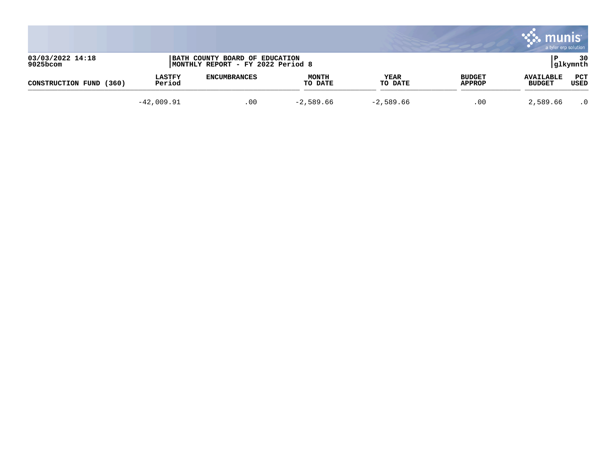|                                 |                         |                                                                     |                         |                 |                                | munis<br>a tyler erp solution     |                    |
|---------------------------------|-------------------------|---------------------------------------------------------------------|-------------------------|-----------------|--------------------------------|-----------------------------------|--------------------|
| 03/03/2022 14:18<br>$9025$ bcom |                         | BATH COUNTY BOARD OF EDUCATION<br>MONTHLY REPORT - FY 2022 Period 8 |                         |                 |                                |                                   | 30<br> glkymnth    |
| (360)<br>CONSTRUCTION FUND      | <b>LASTFY</b><br>Period | <b>ENCUMBRANCES</b>                                                 | <b>MONTH</b><br>TO DATE | YEAR<br>TO DATE | <b>BUDGET</b><br><b>APPROP</b> | <b>AVAILABLE</b><br><b>BUDGET</b> | <b>PCT</b><br>USED |
|                                 | $-42,009.91$            | .00                                                                 | $-2,589.66$             | $-2,589.66$     | .00                            | 2,589.66                          | $\cdot$ 0          |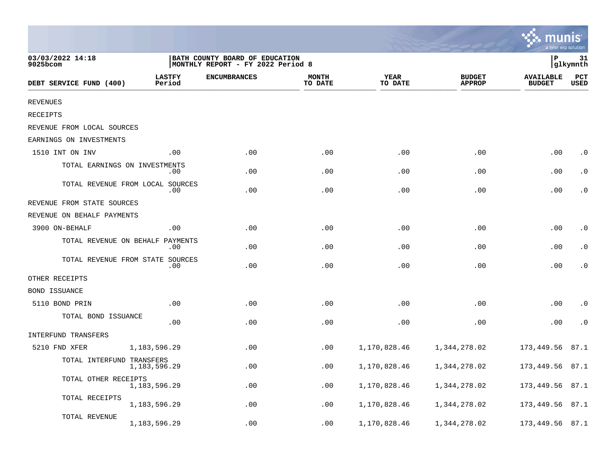|                               |                                         |                                                                      |                         |                        |                                | a tyler erp solution              |                    |
|-------------------------------|-----------------------------------------|----------------------------------------------------------------------|-------------------------|------------------------|--------------------------------|-----------------------------------|--------------------|
| 03/03/2022 14:18<br>9025bcom  |                                         | BATH COUNTY BOARD OF EDUCATION<br> MONTHLY REPORT - FY 2022 Period 8 |                         |                        |                                | P                                 | 31<br>glkymnth     |
| DEBT SERVICE FUND (400)       | <b>LASTFY</b><br>Period                 | <b>ENCUMBRANCES</b>                                                  | <b>MONTH</b><br>TO DATE | <b>YEAR</b><br>TO DATE | <b>BUDGET</b><br><b>APPROP</b> | <b>AVAILABLE</b><br><b>BUDGET</b> | PCT<br><b>USED</b> |
| <b>REVENUES</b>               |                                         |                                                                      |                         |                        |                                |                                   |                    |
| RECEIPTS                      |                                         |                                                                      |                         |                        |                                |                                   |                    |
| REVENUE FROM LOCAL SOURCES    |                                         |                                                                      |                         |                        |                                |                                   |                    |
| EARNINGS ON INVESTMENTS       |                                         |                                                                      |                         |                        |                                |                                   |                    |
| 1510 INT ON INV               | .00                                     | .00                                                                  | .00                     | .00                    | .00                            | .00                               | $\cdot$ 0          |
| TOTAL EARNINGS ON INVESTMENTS | .00                                     | .00                                                                  | .00                     | .00                    | .00                            | .00                               | $\cdot$ 0          |
|                               | TOTAL REVENUE FROM LOCAL SOURCES<br>.00 | .00                                                                  | .00                     | .00                    | .00                            | .00                               | $\cdot$ 0          |
| REVENUE FROM STATE SOURCES    |                                         |                                                                      |                         |                        |                                |                                   |                    |
| REVENUE ON BEHALF PAYMENTS    |                                         |                                                                      |                         |                        |                                |                                   |                    |
| 3900 ON-BEHALF                | .00                                     | .00                                                                  | .00                     | .00                    | .00                            | .00                               | $\cdot$ 0          |
|                               | TOTAL REVENUE ON BEHALF PAYMENTS<br>.00 | .00                                                                  | .00                     | .00                    | .00                            | .00                               | $\cdot$ 0          |
|                               | TOTAL REVENUE FROM STATE SOURCES<br>.00 | .00                                                                  | .00                     | .00                    | .00                            | .00                               | $\cdot$ 0          |
| OTHER RECEIPTS                |                                         |                                                                      |                         |                        |                                |                                   |                    |
| <b>BOND ISSUANCE</b>          |                                         |                                                                      |                         |                        |                                |                                   |                    |
| 5110 BOND PRIN                | .00                                     | .00                                                                  | .00                     | .00                    | .00                            | .00                               | $\cdot$ 0          |
| TOTAL BOND ISSUANCE           | .00                                     | .00                                                                  | .00                     | .00                    | .00                            | .00                               | $\cdot$ 0          |
| INTERFUND TRANSFERS           |                                         |                                                                      |                         |                        |                                |                                   |                    |
| 5210 FND XFER                 | 1,183,596.29                            | .00                                                                  | .00                     | 1,170,828.46           | 1,344,278.02                   | 173,449.56                        | 87.1               |
| TOTAL INTERFUND TRANSFERS     | 1,183,596.29                            | .00                                                                  | .00                     | 1,170,828.46           | 1,344,278.02                   | 173,449.56                        | 87.1               |
| TOTAL OTHER RECEIPTS          | 1,183,596.29                            | .00                                                                  | .00                     | 1,170,828.46           | 1,344,278.02                   | 173,449.56                        | 87.1               |
| TOTAL RECEIPTS                | 1,183,596.29                            | .00                                                                  | .00                     | 1,170,828.46           | 1,344,278.02                   | 173,449.56                        | 87.1               |
| TOTAL REVENUE                 | 1, 183, 596. 29                         | .00                                                                  | .00                     | 1,170,828.46           | 1,344,278.02                   | 173,449.56                        | 87.1               |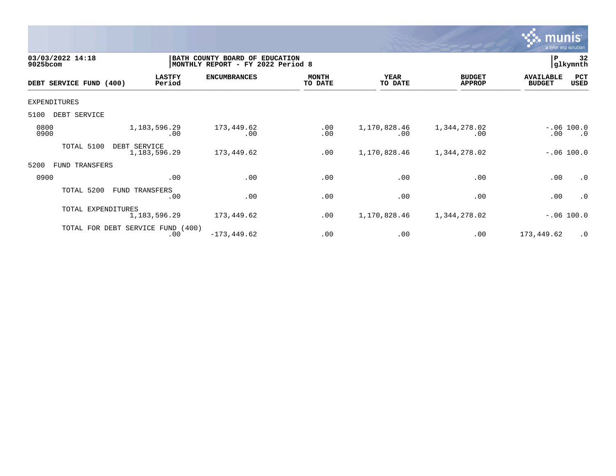

| 03/03/2022 14:18<br>$9025$ bcom |                            |                                          | BATH COUNTY BOARD OF<br>MONTHLY REPORT - FY 2022 Period 8 | <b>EDUCATION</b>        |                        |                                | P                                 | 32<br>glkymnth            |
|---------------------------------|----------------------------|------------------------------------------|-----------------------------------------------------------|-------------------------|------------------------|--------------------------------|-----------------------------------|---------------------------|
| DEBT SERVICE FUND (400)         |                            | <b>LASTFY</b><br>Period                  | <b>ENCUMBRANCES</b>                                       | <b>MONTH</b><br>TO DATE | <b>YEAR</b><br>TO DATE | <b>BUDGET</b><br><b>APPROP</b> | <b>AVAILABLE</b><br><b>BUDGET</b> | PCT<br>USED               |
| EXPENDITURES                    |                            |                                          |                                                           |                         |                        |                                |                                   |                           |
| DEBT SERVICE<br>5100            |                            |                                          |                                                           |                         |                        |                                |                                   |                           |
| 0800<br>0900                    |                            | 1,183,596.29<br>.00                      | 173,449.62<br>.00                                         | .00<br>.00              | 1,170,828.46<br>.00    | 1,344,278.02<br>.00            | .00                               | $-.06 100.0$<br>$\cdot$ 0 |
|                                 | TOTAL 5100<br>DEBT SERVICE | 1, 183, 596. 29                          | 173,449.62                                                | .00                     | 1,170,828.46           | 1,344,278.02                   |                                   | $-.06 100.0$              |
| 5200                            | FUND TRANSFERS             |                                          |                                                           |                         |                        |                                |                                   |                           |
| 0900                            |                            | .00                                      | .00                                                       | .00                     | .00                    | .00                            | .00                               | $\cdot$ 0                 |
|                                 | TOTAL 5200                 | FUND TRANSFERS<br>.00                    | .00                                                       | .00                     | .00                    | .00                            | .00                               | $\cdot$ 0                 |
|                                 | TOTAL EXPENDITURES         | 1, 183, 596. 29                          | 173,449.62                                                | .00                     | 1,170,828.46           | 1,344,278.02                   |                                   | $-.06 100.0$              |
|                                 |                            | TOTAL FOR DEBT SERVICE FUND (400)<br>.00 | $-173, 449.62$                                            | .00                     | .00                    | .00                            | 173,449.62                        | $\cdot$ 0                 |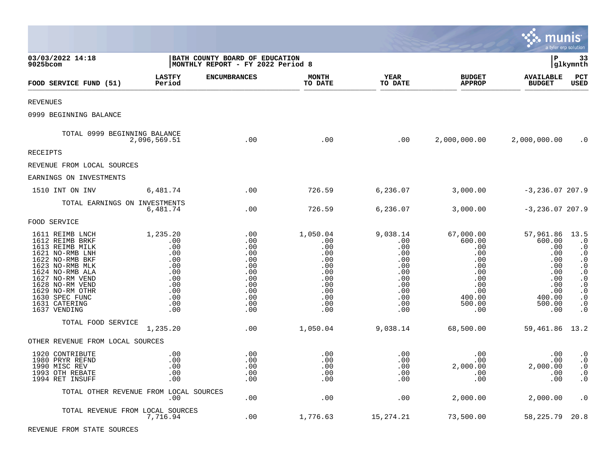|                                                                                                                                                                                                                                               |                                                                                              |                                                                                         |                                                                                              |                                                                                                        |                                                                                                             | munis                                                                                                  | a tyler erp solution                                                                                                                                                                       |
|-----------------------------------------------------------------------------------------------------------------------------------------------------------------------------------------------------------------------------------------------|----------------------------------------------------------------------------------------------|-----------------------------------------------------------------------------------------|----------------------------------------------------------------------------------------------|--------------------------------------------------------------------------------------------------------|-------------------------------------------------------------------------------------------------------------|--------------------------------------------------------------------------------------------------------|--------------------------------------------------------------------------------------------------------------------------------------------------------------------------------------------|
| 03/03/2022 14:18<br>9025bcom                                                                                                                                                                                                                  |                                                                                              | BATH COUNTY BOARD OF EDUCATION<br>MONTHLY REPORT - FY 2022 Period 8                     |                                                                                              |                                                                                                        |                                                                                                             | l P                                                                                                    | 33<br> glkymnth                                                                                                                                                                            |
| FOOD SERVICE FUND (51)                                                                                                                                                                                                                        | <b>LASTFY</b><br>Period                                                                      | <b>ENCUMBRANCES</b>                                                                     | <b>MONTH</b><br>TO DATE                                                                      | <b>YEAR</b><br>TO DATE                                                                                 | <b>BUDGET</b><br><b>APPROP</b>                                                                              | <b>AVAILABLE</b><br><b>BUDGET</b>                                                                      | $_{\rm PCT}$<br>USED                                                                                                                                                                       |
| <b>REVENUES</b>                                                                                                                                                                                                                               |                                                                                              |                                                                                         |                                                                                              |                                                                                                        |                                                                                                             |                                                                                                        |                                                                                                                                                                                            |
| 0999 BEGINNING BALANCE                                                                                                                                                                                                                        |                                                                                              |                                                                                         |                                                                                              |                                                                                                        |                                                                                                             |                                                                                                        |                                                                                                                                                                                            |
| TOTAL 0999 BEGINNING BALANCE                                                                                                                                                                                                                  | 2,096,569.51                                                                                 | .00                                                                                     | .00                                                                                          | .00                                                                                                    | 2,000,000.00                                                                                                | 2,000,000.00                                                                                           | $\cdot$ 0                                                                                                                                                                                  |
| <b>RECEIPTS</b>                                                                                                                                                                                                                               |                                                                                              |                                                                                         |                                                                                              |                                                                                                        |                                                                                                             |                                                                                                        |                                                                                                                                                                                            |
| REVENUE FROM LOCAL SOURCES                                                                                                                                                                                                                    |                                                                                              |                                                                                         |                                                                                              |                                                                                                        |                                                                                                             |                                                                                                        |                                                                                                                                                                                            |
| EARNINGS ON INVESTMENTS                                                                                                                                                                                                                       |                                                                                              |                                                                                         |                                                                                              |                                                                                                        |                                                                                                             |                                                                                                        |                                                                                                                                                                                            |
| 1510 INT ON INV                                                                                                                                                                                                                               | 6,481.74                                                                                     | .00                                                                                     | 726.59                                                                                       | 6,236.07                                                                                               | 3,000.00                                                                                                    | $-3,236.07,207.9$                                                                                      |                                                                                                                                                                                            |
| TOTAL EARNINGS ON INVESTMENTS                                                                                                                                                                                                                 | 6,481.74                                                                                     | .00                                                                                     | 726.59                                                                                       | 6,236.07                                                                                               | 3,000.00                                                                                                    | $-3,236.07,207.9$                                                                                      |                                                                                                                                                                                            |
| FOOD SERVICE                                                                                                                                                                                                                                  |                                                                                              |                                                                                         |                                                                                              |                                                                                                        |                                                                                                             |                                                                                                        |                                                                                                                                                                                            |
| 1611 REIMB LNCH<br>1612 REIMB BRKF<br>1613 REIMB MILK<br>1621 NO-RMB LNH<br>1622 NO-RMB BKF<br>1623 NO-RMB MLK<br>1624 NO-RMB ALA<br>1627 NO-RM VEND<br>1628 NO-RM VEND<br>1629 NO-RM OTHR<br>1630 SPEC FUNC<br>1631 CATERING<br>1637 VENDING | 1,235.20<br>.00<br>.00<br>.00<br>.00<br>.00<br>.00<br>.00<br>.00<br>.00<br>.00<br>.00<br>.00 | .00<br>.00<br>.00<br>.00<br>.00<br>.00<br>.00<br>.00<br>.00<br>.00<br>.00<br>.00<br>.00 | 1,050.04<br>.00<br>.00<br>.00<br>.00<br>.00<br>.00<br>.00<br>.00<br>.00<br>.00<br>.00<br>.00 | 9,038.14<br>.00<br>.00<br>.00<br>.00<br>$.00 \,$<br>.00<br>.00<br>.00<br>.00<br>$.00 \,$<br>.00<br>.00 | 67,000.00<br>600.00<br>.00<br>.00<br>.00<br>$.00 \,$<br>.00<br>.00<br>.00<br>.00<br>400.00<br>500.00<br>.00 | 57,961.86<br>600.00<br>.00<br>.00<br>.00<br>.00<br>.00<br>.00<br>.00<br>.00<br>400.00<br>500.00<br>.00 | 13.5<br>$\cdot$ 0<br>$\cdot$ 0<br>$\cdot 0$<br>$\cdot$ 0<br>$\boldsymbol{\cdot}$ 0<br>$\cdot$ 0<br>$\cdot$ 0<br>$\cdot$ 0<br>$\cdot$ 0<br>$\boldsymbol{\cdot}$ 0<br>$\cdot$ 0<br>$\cdot$ 0 |
| TOTAL FOOD SERVICE                                                                                                                                                                                                                            | 1,235.20                                                                                     | .00                                                                                     | 1,050.04                                                                                     | 9,038.14                                                                                               | 68,500.00                                                                                                   | 59, 461.86 13.2                                                                                        |                                                                                                                                                                                            |
| OTHER REVENUE FROM LOCAL SOURCES                                                                                                                                                                                                              |                                                                                              |                                                                                         |                                                                                              |                                                                                                        |                                                                                                             |                                                                                                        |                                                                                                                                                                                            |
| 1920 CONTRIBUTE<br>1980 PRYR REFND<br>1990 MISC REV<br>1993 OTH REBATE<br>1994 RET INSUFF                                                                                                                                                     | .00<br>.00<br>.00<br>.00<br>.00                                                              | .00<br>.00<br>.00<br>.00<br>.00                                                         | .00<br>.00<br>.00<br>.00<br>.00                                                              | .00<br>.00<br>.00<br>.00<br>.00                                                                        | .00<br>.00<br>2,000.00<br>.00<br>.00                                                                        | .00<br>.00<br>2,000.00<br>.00<br>.00                                                                   | $\boldsymbol{\cdot}$ 0<br>$\cdot$ 0<br>$\cdot$ 0<br>$\cdot$ 0<br>$\cdot$ 0                                                                                                                 |
| TOTAL OTHER REVENUE FROM LOCAL SOURCES                                                                                                                                                                                                        | .00                                                                                          | .00                                                                                     | .00                                                                                          | .00                                                                                                    | 2,000.00                                                                                                    | 2,000.00                                                                                               | $\cdot$ 0                                                                                                                                                                                  |
| TOTAL REVENUE FROM LOCAL SOURCES                                                                                                                                                                                                              | 7,716.94                                                                                     | .00                                                                                     | 1,776.63                                                                                     | 15,274.21                                                                                              | 73,500.00                                                                                                   | 58,225.79                                                                                              | 20.8                                                                                                                                                                                       |

 $\mathcal{L}$ 

REVENUE FROM STATE SOURCES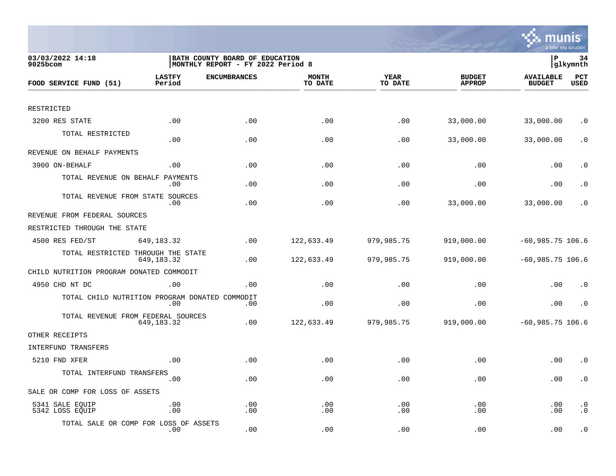

| 03/03/2022 14:18<br>$9025$ bcom                |                         | BATH COUNTY BOARD OF EDUCATION<br>MONTHLY REPORT - FY 2022 Period 8 |                         |                        |                                | lР                                | 34<br> glkymnth        |
|------------------------------------------------|-------------------------|---------------------------------------------------------------------|-------------------------|------------------------|--------------------------------|-----------------------------------|------------------------|
| FOOD SERVICE FUND (51)                         | <b>LASTFY</b><br>Period | <b>ENCUMBRANCES</b>                                                 | <b>MONTH</b><br>TO DATE | <b>YEAR</b><br>TO DATE | <b>BUDGET</b><br><b>APPROP</b> | <b>AVAILABLE</b><br><b>BUDGET</b> | PCT<br><b>USED</b>     |
|                                                |                         |                                                                     |                         |                        |                                |                                   |                        |
| RESTRICTED                                     |                         |                                                                     |                         |                        |                                |                                   |                        |
| 3200 RES STATE                                 | .00                     | .00                                                                 | .00                     | .00                    | 33,000.00                      | 33,000.00                         | . $\boldsymbol{0}$     |
| TOTAL RESTRICTED                               | .00                     | .00                                                                 | .00                     | .00                    | 33,000.00                      | 33,000.00                         | $\cdot$ 0              |
| REVENUE ON BEHALF PAYMENTS                     |                         |                                                                     |                         |                        |                                |                                   |                        |
| 3900 ON-BEHALF                                 | .00                     | .00                                                                 | .00                     | .00                    | .00                            | .00                               | $\cdot$ 0              |
| TOTAL REVENUE ON BEHALF                        | PAYMENTS<br>.00         | .00                                                                 | .00                     | .00                    | .00                            | .00                               | . 0                    |
| TOTAL REVENUE FROM STATE SOURCES               | .00                     | .00                                                                 | .00                     | .00                    | 33,000.00                      | 33,000.00                         | $\cdot$ 0              |
| REVENUE FROM FEDERAL SOURCES                   |                         |                                                                     |                         |                        |                                |                                   |                        |
| RESTRICTED THROUGH THE STATE                   |                         |                                                                     |                         |                        |                                |                                   |                        |
| 4500 RES FED/ST                                | 649, 183. 32            | .00                                                                 | 122,633.49              | 979,985.75             | 919,000.00                     | $-60,985.75$ 106.6                |                        |
| TOTAL RESTRICTED THROUGH THE STATE             | 649, 183. 32            | .00                                                                 | 122,633.49              | 979,985.75             | 919,000.00                     | $-60,985.75$ 106.6                |                        |
| CHILD NUTRITION PROGRAM DONATED COMMODIT       |                         |                                                                     |                         |                        |                                |                                   |                        |
| 4950 CHD NT DC                                 | .00                     | .00                                                                 | .00                     | .00                    | .00                            | .00                               | $\cdot$ 0              |
| TOTAL CHILD NUTRITION PROGRAM DONATED COMMODIT | .00                     | .00                                                                 | .00                     | .00                    | .00                            | .00                               | $\cdot$ 0              |
| TOTAL REVENUE FROM FEDERAL SOURCES             | 649, 183. 32            | .00                                                                 | 122,633.49              | 979,985.75             | 919,000.00                     | $-60,985.75$ 106.6                |                        |
| OTHER RECEIPTS                                 |                         |                                                                     |                         |                        |                                |                                   |                        |
| INTERFUND TRANSFERS                            |                         |                                                                     |                         |                        |                                |                                   |                        |
| 5210 FND XFER                                  | .00                     | .00                                                                 | .00                     | .00                    | .00                            | .00                               | $\cdot$ 0              |
| TOTAL INTERFUND TRANSFERS                      | .00                     | .00                                                                 | .00                     | .00                    | .00                            | .00                               | $\cdot$ 0              |
| SALE OR COMP FOR LOSS OF ASSETS                |                         |                                                                     |                         |                        |                                |                                   |                        |
| 5341 SALE EQUIP<br>5342 LOSS EQUIP             | .00<br>.00              | .00<br>.00                                                          | .00<br>.00              | .00<br>.00             | .00<br>.00                     | .00<br>.00                        | $\cdot$ 0<br>$\cdot$ 0 |
| TOTAL SALE OR COMP FOR LOSS OF ASSETS          | .00                     | .00                                                                 | .00                     | .00                    | .00                            | .00                               | $\cdot$ 0              |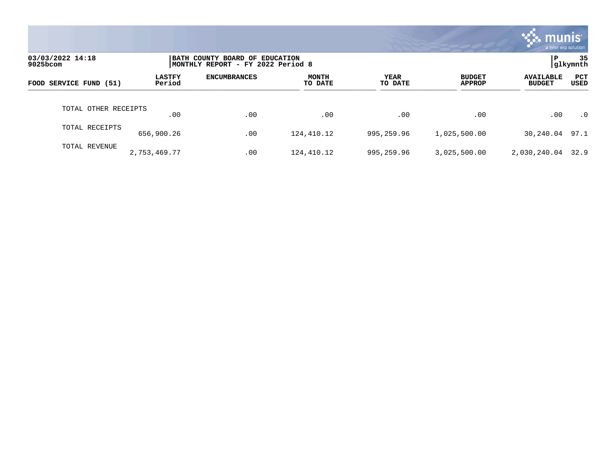|                              |                         |                                                                     |                         |                        |                                | mu<br>a tyler erp solution        |                    |
|------------------------------|-------------------------|---------------------------------------------------------------------|-------------------------|------------------------|--------------------------------|-----------------------------------|--------------------|
| 03/03/2022 14:18<br>9025bcom |                         | BATH COUNTY BOARD OF EDUCATION<br>MONTHLY REPORT - FY 2022 Period 8 |                         |                        |                                | P                                 | 35<br>glkymnth     |
| FOOD SERVICE FUND (51)       | <b>LASTFY</b><br>Period | <b>ENCUMBRANCES</b>                                                 | <b>MONTH</b><br>TO DATE | <b>YEAR</b><br>TO DATE | <b>BUDGET</b><br><b>APPROP</b> | <b>AVAILABLE</b><br><b>BUDGET</b> | <b>PCT</b><br>USED |
| TOTAL OTHER RECEIPTS         | .00                     | .00                                                                 | $.00 \,$                | .00                    | $.00 \,$                       | .00                               | $\cdot$ 0          |
| TOTAL RECEIPTS               | 656,900.26              | .00                                                                 | 124,410.12              | 995,259.96             | 1,025,500.00                   | 30,240.04                         | 97.1               |
| TOTAL REVENUE                | 2,753,469.77            | .00                                                                 | 124,410.12              | 995,259.96             | 3,025,500.00                   | 2,030,240.04 32.9                 |                    |

**Tara**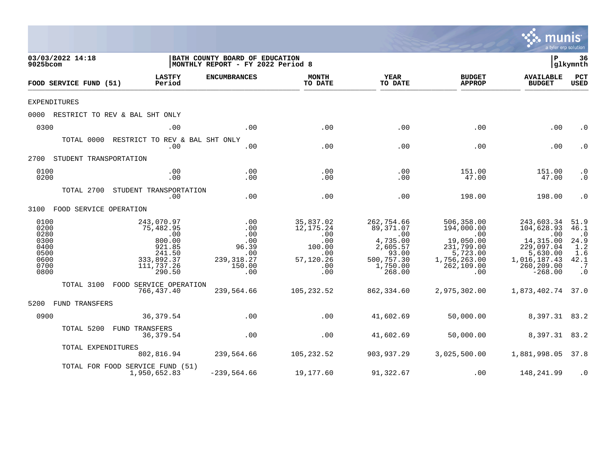|                                                                      |                                                                                                                             |                                                                          |                                                                                  |                                                                                                     |                                                                                                                         | mu                                                                                                                                         | <b>nıs</b><br>a tyler erp solution                                                |
|----------------------------------------------------------------------|-----------------------------------------------------------------------------------------------------------------------------|--------------------------------------------------------------------------|----------------------------------------------------------------------------------|-----------------------------------------------------------------------------------------------------|-------------------------------------------------------------------------------------------------------------------------|--------------------------------------------------------------------------------------------------------------------------------------------|-----------------------------------------------------------------------------------|
| 03/03/2022 14:18<br>9025bcom                                         |                                                                                                                             | BATH COUNTY BOARD OF EDUCATION<br>MONTHLY REPORT - FY 2022 Period 8      |                                                                                  |                                                                                                     |                                                                                                                         | l P                                                                                                                                        | 36<br> glkymnth                                                                   |
| FOOD SERVICE FUND (51)                                               | <b>LASTFY</b><br>Period                                                                                                     | <b>ENCUMBRANCES</b>                                                      | <b>MONTH</b><br>TO DATE                                                          | YEAR<br>TO DATE                                                                                     | <b>BUDGET</b><br><b>APPROP</b>                                                                                          | <b>AVAILABLE</b><br><b>BUDGET</b>                                                                                                          | PCT<br><b>USED</b>                                                                |
| <b>EXPENDITURES</b>                                                  |                                                                                                                             |                                                                          |                                                                                  |                                                                                                     |                                                                                                                         |                                                                                                                                            |                                                                                   |
|                                                                      | 0000 RESTRICT TO REV & BAL SHT ONLY                                                                                         |                                                                          |                                                                                  |                                                                                                     |                                                                                                                         |                                                                                                                                            |                                                                                   |
| 0300                                                                 | .00                                                                                                                         | .00                                                                      | .00                                                                              | .00                                                                                                 | .00                                                                                                                     | .00                                                                                                                                        | $\cdot$ 0                                                                         |
|                                                                      | TOTAL 0000 RESTRICT TO REV & BAL SHT ONLY<br>.00                                                                            | .00                                                                      | .00                                                                              | .00                                                                                                 | .00                                                                                                                     | .00                                                                                                                                        | $\cdot$ 0                                                                         |
| 2700 STUDENT TRANSPORTATION                                          |                                                                                                                             |                                                                          |                                                                                  |                                                                                                     |                                                                                                                         |                                                                                                                                            |                                                                                   |
| 0100<br>0200                                                         | .00<br>.00                                                                                                                  | .00<br>.00                                                               | .00<br>.00                                                                       | .00<br>.00                                                                                          | 151.00<br>47.00                                                                                                         | 151.00<br>47.00                                                                                                                            | $\cdot$ 0<br>$\cdot$ 0                                                            |
|                                                                      | TOTAL 2700 STUDENT TRANSPORTATION<br>.00                                                                                    | .00                                                                      | .00                                                                              | .00                                                                                                 | 198.00                                                                                                                  | 198.00                                                                                                                                     | $\cdot$ 0                                                                         |
| 3100 FOOD SERVICE OPERATION                                          |                                                                                                                             |                                                                          |                                                                                  |                                                                                                     |                                                                                                                         |                                                                                                                                            |                                                                                   |
| 0100<br>0200<br>0280<br>0300<br>0400<br>0500<br>0600<br>0700<br>0800 | 243,070.97<br>75,482.95<br>$\overline{\phantom{0}}$ .00<br>800.00<br>921.85<br>241.50<br>333,892.37<br>111,737.26<br>290.50 | .00<br>.00<br>.00<br>.00<br>96.39<br>.00<br>239, 318.27<br>150.00<br>.00 | 35,837.02<br>12,175.24<br>.00<br>.00<br>100.00<br>.00<br>57,120.26<br>.00<br>.00 | 262,754.66<br>89,371.07<br>.00<br>4,735.00<br>2,605.57<br>93.00<br>500,757.30<br>1,750.00<br>268.00 | 506,358.00<br>194,000.00<br>$\overline{00}$<br>19,050.00<br>231,799.00<br>5,723.00<br>1,756,263.00<br>262,109.00<br>.00 | 243,603.34<br>104,628.93<br>$\overline{\phantom{0}}$ .00<br>14,315.00<br>229,097.04<br>5,630.00<br>1,016,187.43<br>260,209.00<br>$-268.00$ | 51.9<br>46.1<br>$\cdot$ 0<br>24.9<br>1.2<br>1.6<br>42.1<br>$\cdot$ 7<br>$\cdot$ 0 |
|                                                                      | TOTAL 3100 FOOD SERVICE OPERATION<br>766,437.40                                                                             | 239,564.66                                                               | 105,232.52                                                                       | 862,334.60                                                                                          | 2,975,302.00                                                                                                            | 1,873,402.74 37.0                                                                                                                          |                                                                                   |
| 5200 FUND TRANSFERS                                                  |                                                                                                                             |                                                                          |                                                                                  |                                                                                                     |                                                                                                                         |                                                                                                                                            |                                                                                   |
| 0900                                                                 | 36, 379.54                                                                                                                  | .00                                                                      | .00                                                                              | 41,602.69                                                                                           | 50,000.00                                                                                                               | 8,397.31 83.2                                                                                                                              |                                                                                   |
| TOTAL 5200                                                           | FUND TRANSFERS<br>36,379.54                                                                                                 | .00                                                                      | .00                                                                              | 41,602.69                                                                                           | 50,000.00                                                                                                               | 8,397.31 83.2                                                                                                                              |                                                                                   |
|                                                                      | TOTAL EXPENDITURES<br>802,816.94                                                                                            | 239,564.66                                                               | 105,232.52                                                                       | 903,937.29                                                                                          | 3,025,500.00                                                                                                            | 1,881,998.05 37.8                                                                                                                          |                                                                                   |
|                                                                      | TOTAL FOR FOOD SERVICE FUND (51)<br>1,950,652.83                                                                            | $-239,564.66$                                                            | 19,177.60                                                                        | 91,322.67                                                                                           | .00                                                                                                                     | 148,241.99                                                                                                                                 | $\cdot$ 0                                                                         |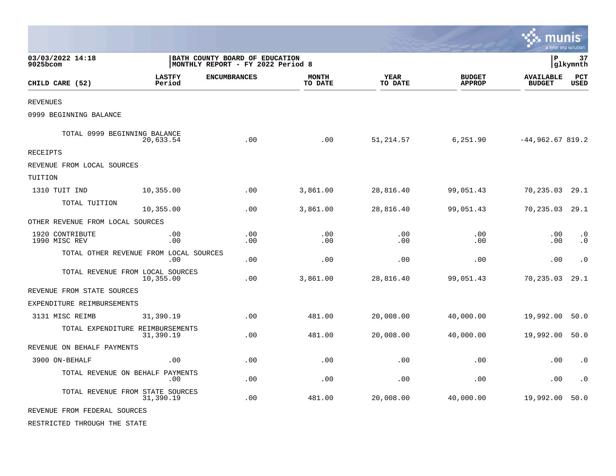|                                        |                                                                     |                     |                         |                 |                                | munis                             | a tyler erp solution   |
|----------------------------------------|---------------------------------------------------------------------|---------------------|-------------------------|-----------------|--------------------------------|-----------------------------------|------------------------|
| 03/03/2022 14:18<br>9025bcom           | BATH COUNTY BOARD OF EDUCATION<br>MONTHLY REPORT - FY 2022 Period 8 |                     |                         |                 |                                | l P                               | 37<br> glkymnth        |
| CHILD CARE (52)                        | <b>LASTFY</b><br>Period                                             | <b>ENCUMBRANCES</b> | <b>MONTH</b><br>TO DATE | YEAR<br>TO DATE | <b>BUDGET</b><br><b>APPROP</b> | <b>AVAILABLE</b><br><b>BUDGET</b> | PCT<br><b>USED</b>     |
| REVENUES                               |                                                                     |                     |                         |                 |                                |                                   |                        |
| 0999 BEGINNING BALANCE                 |                                                                     |                     |                         |                 |                                |                                   |                        |
| TOTAL 0999 BEGINNING BALANCE           | 20,633.54                                                           | .00                 | .00                     | 51, 214.57      | 6,251.90                       | $-44,962.67819.2$                 |                        |
| RECEIPTS                               |                                                                     |                     |                         |                 |                                |                                   |                        |
| REVENUE FROM LOCAL SOURCES             |                                                                     |                     |                         |                 |                                |                                   |                        |
| TUITION                                |                                                                     |                     |                         |                 |                                |                                   |                        |
| 1310 TUIT IND                          | 10,355.00                                                           | .00                 | 3,861.00                | 28,816.40       | 99,051.43                      | 70,235.03                         | 29.1                   |
| TOTAL TUITION                          | 10,355.00                                                           | .00.                | 3,861.00                | 28,816.40       | 99,051.43                      | 70,235.03                         | 29.1                   |
| OTHER REVENUE FROM LOCAL SOURCES       |                                                                     |                     |                         |                 |                                |                                   |                        |
| 1920 CONTRIBUTE<br>1990 MISC REV       | .00<br>.00                                                          | .00<br>.00.         | .00<br>.00              | .00<br>.00      | .00<br>.00                     | .00<br>.00                        | $\cdot$ 0<br>$\cdot$ 0 |
| TOTAL OTHER REVENUE FROM LOCAL SOURCES | .00                                                                 | .00                 | .00                     | .00             | .00                            | .00                               | $\cdot$ 0              |
| TOTAL REVENUE FROM LOCAL SOURCES       | 10,355.00                                                           | .00                 | 3,861.00                | 28,816.40       | 99,051.43                      | 70,235.03                         | 29.1                   |
| REVENUE FROM STATE SOURCES             |                                                                     |                     |                         |                 |                                |                                   |                        |
| EXPENDITURE REIMBURSEMENTS             |                                                                     |                     |                         |                 |                                |                                   |                        |
| 3131 MISC REIMB                        | 31,390.19                                                           | .00                 | 481.00                  | 20,008.00       | 40,000.00                      | 19,992.00                         | 50.0                   |
| TOTAL EXPENDITURE REIMBURSEMENTS       | 31,390.19                                                           | .00                 | 481.00                  | 20,008.00       | 40,000.00                      | 19,992.00                         | 50.0                   |
| REVENUE ON BEHALF PAYMENTS             |                                                                     |                     |                         |                 |                                |                                   |                        |
| 3900 ON-BEHALF                         | .00                                                                 | .00                 | .00                     | .00             | .00                            | .00                               | $\cdot$ 0              |
| TOTAL REVENUE ON BEHALF PAYMENTS       | .00                                                                 | .00                 | .00                     | .00             | .00                            | .00                               | $\cdot$ 0              |
| TOTAL REVENUE FROM STATE SOURCES       | 31,390.19                                                           | .00                 | 481.00                  | 20,008.00       | 40,000.00                      | 19,992.00                         | 50.0                   |
| REVENUE FROM FEDERAL SOURCES           |                                                                     |                     |                         |                 |                                |                                   |                        |
| RESTRICTED THROUGH THE STATE           |                                                                     |                     |                         |                 |                                |                                   |                        |

 $\mathcal{L}$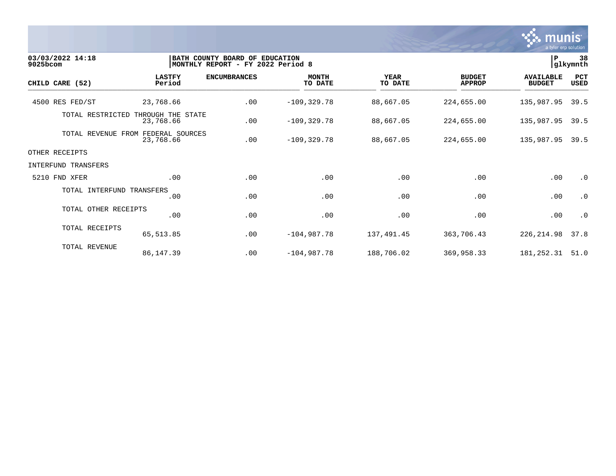

| 03/03/2022 14:18<br>9025bcom |                                | BATH COUNTY BOARD OF EDUCATION<br>MONTHLY REPORT - FY 2022 Period 8 |                         |                        |                                | P                                 | 38<br>glkymnth     |
|------------------------------|--------------------------------|---------------------------------------------------------------------|-------------------------|------------------------|--------------------------------|-----------------------------------|--------------------|
| CHILD CARE (52)              | <b>LASTFY</b><br>Period        | <b>ENCUMBRANCES</b>                                                 | <b>MONTH</b><br>TO DATE | <b>YEAR</b><br>TO DATE | <b>BUDGET</b><br><b>APPROP</b> | <b>AVAILABLE</b><br><b>BUDGET</b> | PCT<br><b>USED</b> |
| 4500 RES FED/ST              | 23,768.66                      | .00                                                                 | $-109, 329.78$          | 88,667.05              | 224,655.00                     | 135,987.95                        | 39.5               |
| TOTAL RESTRICTED             | THROUGH THE STATE<br>23,768.66 | .00                                                                 | $-109, 329.78$          | 88,667.05              | 224,655.00                     | 135,987.95                        | 39.5               |
| TOTAL REVENUE FROM           | FEDERAL SOURCES<br>23,768.66   | .00                                                                 | $-109, 329.78$          | 88,667.05              | 224,655.00                     | 135,987.95                        | 39.5               |
| OTHER RECEIPTS               |                                |                                                                     |                         |                        |                                |                                   |                    |
| INTERFUND TRANSFERS          |                                |                                                                     |                         |                        |                                |                                   |                    |
| 5210 FND XFER                | .00                            | .00                                                                 | .00                     | .00                    | .00                            | .00                               | $\cdot$ 0          |
| TOTAL INTERFUND TRANSFERS    | .00                            | .00                                                                 | .00                     | .00                    | .00                            | .00                               | $\cdot$ 0          |
| TOTAL OTHER RECEIPTS         | .00                            | .00                                                                 | .00                     | .00                    | .00                            | .00                               | $\cdot$ 0          |
| TOTAL RECEIPTS               | 65,513.85                      | .00                                                                 | $-104,987.78$           | 137,491.45             | 363,706.43                     | 226, 214.98                       | 37.8               |
| TOTAL REVENUE                | 86,147.39                      | .00                                                                 | $-104,987.78$           | 188,706.02             | 369,958.33                     | 181,252.31                        | 51.0               |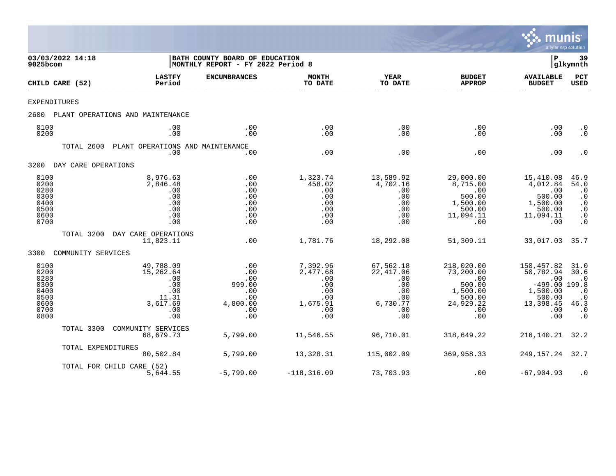

|                                                                      | 03/03/2022 14:18<br>9025bcom |                                                                                | BATH COUNTY BOARD OF EDUCATION<br> MONTHLY REPORT - FY 2022 Period 8 |                                                                            |                                                                              |                                                                                                | P<br> glkymnth                                                                                     |                                                                                            |
|----------------------------------------------------------------------|------------------------------|--------------------------------------------------------------------------------|----------------------------------------------------------------------|----------------------------------------------------------------------------|------------------------------------------------------------------------------|------------------------------------------------------------------------------------------------|----------------------------------------------------------------------------------------------------|--------------------------------------------------------------------------------------------|
|                                                                      | CHILD CARE (52)              | <b>LASTFY</b><br>Period                                                        | <b>ENCUMBRANCES</b>                                                  | <b>MONTH</b><br>TO DATE                                                    | <b>YEAR</b><br>TO DATE                                                       | <b>BUDGET</b><br><b>APPROP</b>                                                                 | <b>AVAILABLE</b><br><b>BUDGET</b>                                                                  | PCT<br><b>USED</b>                                                                         |
| EXPENDITURES                                                         |                              |                                                                                |                                                                      |                                                                            |                                                                              |                                                                                                |                                                                                                    |                                                                                            |
| 2600                                                                 |                              | PLANT OPERATIONS AND MAINTENANCE                                               |                                                                      |                                                                            |                                                                              |                                                                                                |                                                                                                    |                                                                                            |
| 0100<br>0200                                                         |                              | .00<br>.00                                                                     | .00<br>.00                                                           | .00<br>.00                                                                 | .00<br>.00                                                                   | .00<br>.00.                                                                                    | .00<br>.00                                                                                         | $\cdot$ 0<br>$\cdot$ 0                                                                     |
|                                                                      | TOTAL 2600                   | PLANT OPERATIONS AND MAINTENANCE<br>.00                                        | .00                                                                  | .00                                                                        | .00                                                                          | .00                                                                                            | .00                                                                                                | $\cdot$ 0                                                                                  |
| 3200                                                                 | DAY CARE OPERATIONS          |                                                                                |                                                                      |                                                                            |                                                                              |                                                                                                |                                                                                                    |                                                                                            |
| 0100<br>0200<br>0280<br>0300<br>0400<br>0500<br>0600<br>0700         |                              | 8,976.63<br>2,846.48<br>.00<br>.00<br>.00<br>.00<br>.00<br>.00                 | .00<br>.00<br>.00<br>.00<br>.00<br>.00<br>.00<br>.00                 | 1,323.74<br>458.02<br>.00<br>.00<br>.00<br>.00<br>.00<br>.00               | 13,589.92<br>4,702.16<br>.00<br>.00<br>.00<br>.00<br>.00<br>.00              | 29,000.00<br>8,715.00<br>.00<br>500.00<br>1,500.00<br>500.00<br>11,094.11<br>.00               | 15,410.08<br>4,012.84<br>.00<br>500.00<br>1,500.00<br>500.00<br>11,094.11<br>.00                   | 46.9<br>54.0<br>$\cdot$ 0<br>$\cdot$ 0<br>$\cdot$ 0<br>$\cdot$ 0<br>$\cdot$ 0<br>$\cdot$ 0 |
|                                                                      | TOTAL 3200                   | DAY CARE OPERATIONS<br>11,823.11                                               | .00                                                                  | 1,781.76                                                                   | 18,292.08                                                                    | 51,309.11                                                                                      | 33,017.03                                                                                          | 35.7                                                                                       |
| 3300                                                                 | COMMUNITY SERVICES           |                                                                                |                                                                      |                                                                            |                                                                              |                                                                                                |                                                                                                    |                                                                                            |
| 0100<br>0200<br>0280<br>0300<br>0400<br>0500<br>0600<br>0700<br>0800 |                              | 49,788.09<br>15,262.64<br>.00<br>.00<br>.00<br>11.31<br>3,617.69<br>.00<br>.00 | .00<br>.00<br>.00<br>999.00<br>.00<br>.00<br>4,800.00<br>.00<br>.00  | 7,392.96<br>2,477.68<br>.00<br>.00<br>.00<br>.00<br>1,675.91<br>.00<br>.00 | 67,562.18<br>22,417.06<br>.00<br>.00<br>.00<br>.00<br>6,730.77<br>.00<br>.00 | 218,020.00<br>73,200.00<br>.00<br>500.00<br>1,500.00<br>500.00<br>24,929.22<br>$.00 \,$<br>.00 | 150,457.82<br>50,782.94<br>.00<br>$-499.00$ 199.8<br>1,500.00<br>500.00<br>13,398.45<br>.00<br>.00 | 31.0<br>30.6<br>$\cdot$ 0<br>$\cdot$ 0<br>$\cdot$ 0<br>46.3<br>$\cdot$ 0<br>$\cdot$ 0      |
|                                                                      | TOTAL 3300                   | COMMUNITY SERVICES<br>68,679.73                                                | 5,799.00                                                             | 11,546.55                                                                  | 96,710.01                                                                    | 318,649.22                                                                                     | 216,140.21                                                                                         | 32.2                                                                                       |
|                                                                      | TOTAL EXPENDITURES           | 80,502.84                                                                      | 5,799.00                                                             | 13,328.31                                                                  | 115,002.09                                                                   | 369,958.33                                                                                     | 249,157.24                                                                                         | 32.7                                                                                       |
|                                                                      |                              | TOTAL FOR CHILD CARE (52)<br>5,644.55                                          | $-5,799.00$                                                          | $-118, 316.09$                                                             | 73,703.93                                                                    | .00                                                                                            | $-67,904.93$                                                                                       | $\cdot$ 0                                                                                  |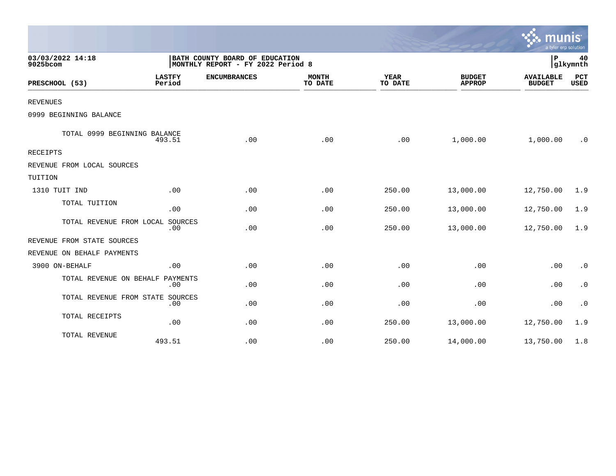|                                  |                         |                                                                     |                         |                        |                                | mun<br>a tyler erp solution       |                    |
|----------------------------------|-------------------------|---------------------------------------------------------------------|-------------------------|------------------------|--------------------------------|-----------------------------------|--------------------|
| 03/03/2022 14:18<br>9025bcom     |                         | BATH COUNTY BOARD OF EDUCATION<br>MONTHLY REPORT - FY 2022 Period 8 |                         |                        |                                | ΙP                                | 40<br>glkymnth     |
| PRESCHOOL (53)                   | <b>LASTFY</b><br>Period | <b>ENCUMBRANCES</b>                                                 | <b>MONTH</b><br>TO DATE | <b>YEAR</b><br>TO DATE | <b>BUDGET</b><br><b>APPROP</b> | <b>AVAILABLE</b><br><b>BUDGET</b> | PCT<br><b>USED</b> |
| <b>REVENUES</b>                  |                         |                                                                     |                         |                        |                                |                                   |                    |
| 0999 BEGINNING BALANCE           |                         |                                                                     |                         |                        |                                |                                   |                    |
| TOTAL 0999 BEGINNING BALANCE     | 493.51                  | .00                                                                 | .00                     | .00                    | 1,000.00                       | 1,000.00                          | . 0                |
| <b>RECEIPTS</b>                  |                         |                                                                     |                         |                        |                                |                                   |                    |
| REVENUE FROM LOCAL SOURCES       |                         |                                                                     |                         |                        |                                |                                   |                    |
| TUITION                          |                         |                                                                     |                         |                        |                                |                                   |                    |
| 1310 TUIT IND                    | .00                     | .00                                                                 | .00                     | 250.00                 | 13,000.00                      | 12,750.00                         | 1.9                |
| TOTAL TUITION                    | .00                     | .00                                                                 | .00                     | 250.00                 | 13,000.00                      | 12,750.00                         | 1.9                |
| TOTAL REVENUE FROM LOCAL SOURCES | .00                     | .00                                                                 | .00                     | 250.00                 | 13,000.00                      | 12,750.00                         | 1.9                |
| REVENUE FROM STATE SOURCES       |                         |                                                                     |                         |                        |                                |                                   |                    |
| REVENUE ON BEHALF PAYMENTS       |                         |                                                                     |                         |                        |                                |                                   |                    |
| 3900 ON-BEHALF                   | .00                     | .00                                                                 | .00                     | .00                    | .00                            | .00                               | $\cdot$ 0          |
| TOTAL REVENUE ON BEHALF          | PAYMENTS<br>.00         | .00                                                                 | .00                     | .00                    | .00                            | .00                               | $\cdot$ 0          |
| TOTAL REVENUE FROM STATE SOURCES | .00                     | .00                                                                 | .00                     | .00                    | .00                            | .00                               | $\cdot$ 0          |
| TOTAL RECEIPTS                   | .00                     | .00                                                                 | .00                     | 250.00                 | 13,000.00                      | 12,750.00                         | 1.9                |
| TOTAL REVENUE                    | 493.51                  | .00                                                                 | .00                     | 250.00                 | 14,000.00                      | 13,750.00                         | 1.8                |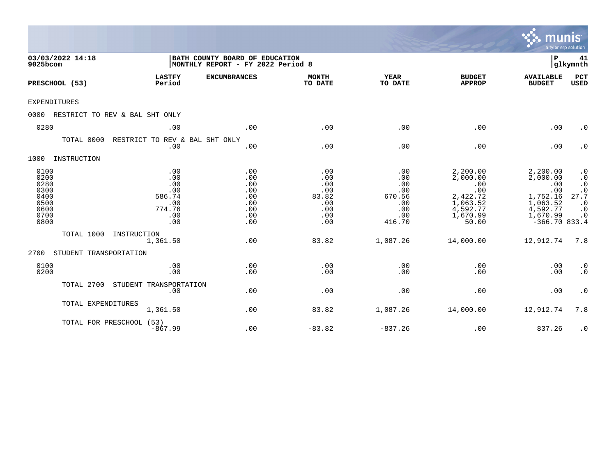|                                                                      |                                                                   |                                                                     |                                                               |                                                                   |                                                                                             | <b>munis</b><br>a tyler erp solution                                                                  |                                                                                                 |
|----------------------------------------------------------------------|-------------------------------------------------------------------|---------------------------------------------------------------------|---------------------------------------------------------------|-------------------------------------------------------------------|---------------------------------------------------------------------------------------------|-------------------------------------------------------------------------------------------------------|-------------------------------------------------------------------------------------------------|
| 03/03/2022 14:18<br>9025bcom                                         |                                                                   | BATH COUNTY BOARD OF EDUCATION<br>MONTHLY REPORT - FY 2022 Period 8 |                                                               |                                                                   |                                                                                             | P                                                                                                     | 41<br>glkymnth                                                                                  |
| PRESCHOOL (53)                                                       | <b>LASTFY</b><br>Period                                           | <b>ENCUMBRANCES</b>                                                 | <b>MONTH</b><br>TO DATE                                       | <b>YEAR</b><br>TO DATE                                            | <b>BUDGET</b><br><b>APPROP</b>                                                              | <b>AVAILABLE</b><br><b>BUDGET</b>                                                                     | PCT<br><b>USED</b>                                                                              |
| <b>EXPENDITURES</b>                                                  |                                                                   |                                                                     |                                                               |                                                                   |                                                                                             |                                                                                                       |                                                                                                 |
| 0000                                                                 | RESTRICT TO REV & BAL SHT ONLY                                    |                                                                     |                                                               |                                                                   |                                                                                             |                                                                                                       |                                                                                                 |
| 0280                                                                 | .00                                                               | .00                                                                 | .00                                                           | .00                                                               | .00                                                                                         | .00                                                                                                   | $\cdot$ 0                                                                                       |
|                                                                      | TOTAL 0000<br>RESTRICT TO REV & BAL SHT ONLY<br>.00               | .00                                                                 | .00                                                           | .00                                                               | .00                                                                                         | .00                                                                                                   | $\cdot$ 0                                                                                       |
| 1000<br>INSTRUCTION                                                  |                                                                   |                                                                     |                                                               |                                                                   |                                                                                             |                                                                                                       |                                                                                                 |
| 0100<br>0200<br>0280<br>0300<br>0400<br>0500<br>0600<br>0700<br>0800 | .00<br>.00<br>.00<br>.00<br>586.74<br>.00<br>774.76<br>.00<br>.00 | .00<br>.00<br>.00<br>.00<br>.00<br>.00<br>.00<br>.00<br>.00         | .00<br>.00<br>.00<br>.00<br>83.82<br>.00<br>.00<br>.00<br>.00 | .00<br>.00<br>.00<br>.00<br>670.56<br>.00<br>.00<br>.00<br>416.70 | 2,200.00<br>2,000.00<br>.00<br>.00<br>2,422.72<br>1,063.52<br>4,592.77<br>1,670.99<br>50.00 | 2,200.00<br>2,000.00<br>.00<br>.00<br>1,752.16<br>1,063.52<br>4,592.77<br>1,670.99<br>$-366.70$ 833.4 | $\cdot$ 0<br>$\cdot$ 0<br>$\cdot$ 0<br>27.7<br>$\cdot$ 0<br>$\cdot$ 0<br>$\boldsymbol{\cdot}$ 0 |
|                                                                      | TOTAL 1000<br>INSTRUCTION<br>1,361.50                             | .00                                                                 | 83.82                                                         | 1,087.26                                                          | 14,000.00                                                                                   | 12,912.74                                                                                             | 7.8                                                                                             |
| 2700                                                                 | STUDENT TRANSPORTATION                                            |                                                                     |                                                               |                                                                   |                                                                                             |                                                                                                       |                                                                                                 |
| 0100<br>0200                                                         | .00<br>.00                                                        | .00<br>.00                                                          | .00<br>.00                                                    | .00<br>.00                                                        | .00<br>.00                                                                                  | .00<br>.00                                                                                            | $\cdot$ 0<br>$\cdot$ 0                                                                          |
|                                                                      | STUDENT TRANSPORTATION<br>TOTAL 2700<br>.00                       | .00                                                                 | .00                                                           | .00                                                               | .00                                                                                         | .00                                                                                                   | $\boldsymbol{\cdot}$ 0                                                                          |
|                                                                      | TOTAL EXPENDITURES<br>1,361.50                                    | .00                                                                 | 83.82                                                         | 1,087.26                                                          | 14,000.00                                                                                   | 12,912.74                                                                                             | 7.8                                                                                             |
|                                                                      | TOTAL FOR PRESCHOOL (53)<br>$-867.99$                             | .00                                                                 | $-83.82$                                                      | $-837.26$                                                         | .00                                                                                         | 837.26                                                                                                | $\cdot$ 0                                                                                       |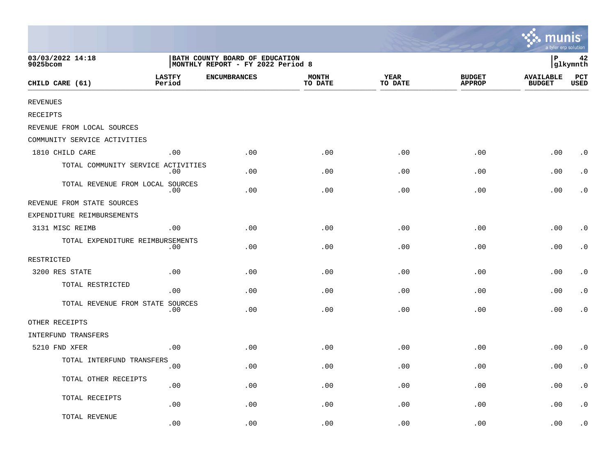|                                    |                                                                     |                     |                         |                        |                                | mıın<br>a tyler erp solution      |                        |  |
|------------------------------------|---------------------------------------------------------------------|---------------------|-------------------------|------------------------|--------------------------------|-----------------------------------|------------------------|--|
| 03/03/2022 14:18<br>9025bcom       | BATH COUNTY BOARD OF EDUCATION<br>MONTHLY REPORT - FY 2022 Period 8 |                     |                         |                        |                                | ∣P<br>42<br>glkymnth              |                        |  |
| CHILD CARE (61)                    | <b>LASTFY</b><br>Period                                             | <b>ENCUMBRANCES</b> | <b>MONTH</b><br>TO DATE | <b>YEAR</b><br>TO DATE | <b>BUDGET</b><br><b>APPROP</b> | <b>AVAILABLE</b><br><b>BUDGET</b> | PCT<br>USED            |  |
| <b>REVENUES</b>                    |                                                                     |                     |                         |                        |                                |                                   |                        |  |
| RECEIPTS                           |                                                                     |                     |                         |                        |                                |                                   |                        |  |
| REVENUE FROM LOCAL SOURCES         |                                                                     |                     |                         |                        |                                |                                   |                        |  |
| COMMUNITY SERVICE ACTIVITIES       |                                                                     |                     |                         |                        |                                |                                   |                        |  |
| 1810 CHILD CARE                    | .00                                                                 | .00                 | .00                     | .00                    | .00                            | .00                               | $\cdot$ 0              |  |
| TOTAL COMMUNITY SERVICE ACTIVITIES | .00                                                                 | .00                 | .00                     | .00                    | .00                            | .00                               | $\cdot$ 0              |  |
| TOTAL REVENUE FROM LOCAL SOURCES   | .00                                                                 | .00                 | .00                     | .00                    | .00                            | .00                               | $\cdot$ 0              |  |
| REVENUE FROM STATE SOURCES         |                                                                     |                     |                         |                        |                                |                                   |                        |  |
| EXPENDITURE REIMBURSEMENTS         |                                                                     |                     |                         |                        |                                |                                   |                        |  |
| 3131 MISC REIMB                    | .00                                                                 | .00                 | .00                     | .00                    | .00                            | .00                               | $\cdot$ 0              |  |
| TOTAL EXPENDITURE REIMBURSEMENTS   | .00                                                                 | .00                 | .00                     | .00                    | .00                            | .00                               | $\cdot$ 0              |  |
| RESTRICTED                         |                                                                     |                     |                         |                        |                                |                                   |                        |  |
| 3200 RES STATE                     | .00                                                                 | .00                 | .00                     | .00                    | .00                            | .00                               | $\cdot$ 0              |  |
| TOTAL RESTRICTED                   | .00                                                                 | .00                 | .00                     | .00                    | .00                            | .00                               | $\cdot$ 0              |  |
| TOTAL REVENUE FROM STATE SOURCES   | .00                                                                 | .00                 | .00                     | .00                    | .00                            | .00                               | $\cdot$ 0              |  |
| OTHER RECEIPTS                     |                                                                     |                     |                         |                        |                                |                                   |                        |  |
| INTERFUND TRANSFERS                |                                                                     |                     |                         |                        |                                |                                   |                        |  |
| 5210 FND XFER                      | .00                                                                 | .00                 | .00                     | .00                    | .00                            | .00                               | $\cdot$ 0              |  |
| TOTAL INTERFUND TRANSFERS          | .00                                                                 | .00                 | .00                     | .00                    | .00                            | .00                               | $\cdot$ 0              |  |
| TOTAL OTHER RECEIPTS               | .00                                                                 | .00                 | .00                     | .00                    | .00                            | .00                               | $\cdot$ 0              |  |
| TOTAL RECEIPTS                     | .00                                                                 | .00                 | .00                     | .00                    | .00                            | .00                               | $\boldsymbol{\cdot}$ 0 |  |
| TOTAL REVENUE                      | .00                                                                 | .00                 | .00                     | .00                    | .00                            | .00                               | . 0                    |  |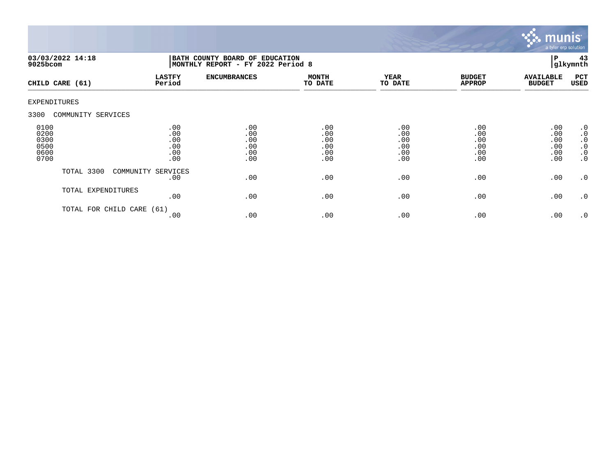

| $9025$ bcom                                  | 03/03/2022 14:18     | BATH COUNTY BOARD OF EDUCATION<br>MONTHLY REPORT - FY 2022 Period 8 |                                        |                                        |                                        |                                        |                                        | 43<br>glkymnth                                                                          |
|----------------------------------------------|----------------------|---------------------------------------------------------------------|----------------------------------------|----------------------------------------|----------------------------------------|----------------------------------------|----------------------------------------|-----------------------------------------------------------------------------------------|
|                                              | CHILD CARE (61)      | <b>LASTFY</b><br>Period                                             | <b>ENCUMBRANCES</b>                    | <b>MONTH</b><br>TO DATE                | <b>YEAR</b><br>TO DATE                 | <b>BUDGET</b><br><b>APPROP</b>         | <b>AVAILABLE</b><br><b>BUDGET</b>      | PCT<br>USED                                                                             |
| <b>EXPENDITURES</b>                          |                      |                                                                     |                                        |                                        |                                        |                                        |                                        |                                                                                         |
| 3300                                         | COMMUNITY SERVICES   |                                                                     |                                        |                                        |                                        |                                        |                                        |                                                                                         |
| 0100<br>0200<br>0300<br>0500<br>0600<br>0700 |                      | .00<br>.00<br>.00<br>.00<br>.00<br>.00                              | .00<br>.00<br>.00<br>.00<br>.00<br>.00 | .00<br>.00<br>.00<br>.00<br>.00<br>.00 | .00<br>.00<br>.00<br>.00<br>.00<br>.00 | .00<br>.00<br>.00<br>.00<br>.00<br>.00 | .00<br>.00<br>.00<br>.00<br>.00<br>.00 | $\cdot$ 0<br>$\boldsymbol{\cdot}$ 0<br>$\cdot$ 0<br>$\cdot$ 0<br>$\cdot$ 0<br>$\cdot$ 0 |
|                                              | TOTAL 3300           | COMMUNITY SERVICES<br>.00                                           | .00                                    | .00                                    | .00                                    | .00                                    | .00                                    | $\cdot$ 0                                                                               |
|                                              | TOTAL EXPENDITURES   | .00                                                                 | .00                                    | .00                                    | .00                                    | .00                                    | .00                                    | $\cdot$ 0                                                                               |
|                                              | TOTAL FOR CHILD CARE | (61)<br>.00                                                         | .00                                    | .00                                    | .00                                    | .00                                    | .00                                    | $\cdot$ 0                                                                               |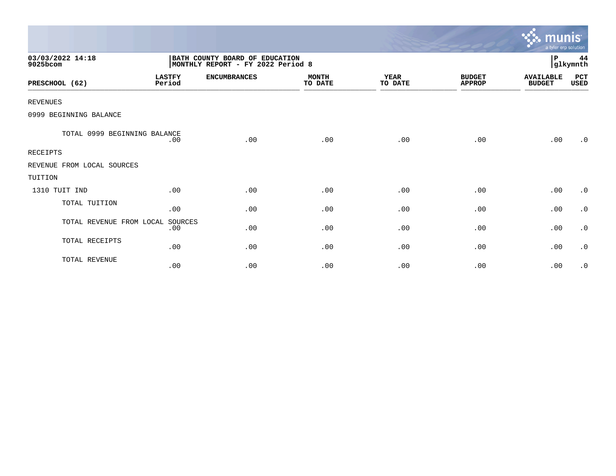|                              |                                                                     |                     |                         |                        |                                | munis <sup>.</sup><br>a tyler erp solution |                |
|------------------------------|---------------------------------------------------------------------|---------------------|-------------------------|------------------------|--------------------------------|--------------------------------------------|----------------|
| 03/03/2022 14:18<br>9025bcom | BATH COUNTY BOARD OF EDUCATION<br>MONTHLY REPORT - FY 2022 Period 8 |                     |                         |                        |                                | P                                          | 44<br>glkymnth |
| PRESCHOOL (62)               | <b>LASTFY</b><br>Period                                             | <b>ENCUMBRANCES</b> | <b>MONTH</b><br>TO DATE | <b>YEAR</b><br>TO DATE | <b>BUDGET</b><br><b>APPROP</b> | <b>AVAILABLE</b><br><b>BUDGET</b>          | PCT<br>USED    |
| <b>REVENUES</b>              |                                                                     |                     |                         |                        |                                |                                            |                |
| 0999 BEGINNING BALANCE       |                                                                     |                     |                         |                        |                                |                                            |                |
| TOTAL 0999 BEGINNING BALANCE | .00                                                                 | .00                 | .00                     | .00                    | .00                            | .00                                        | $\cdot$ 0      |
| RECEIPTS                     |                                                                     |                     |                         |                        |                                |                                            |                |
| REVENUE FROM LOCAL SOURCES   |                                                                     |                     |                         |                        |                                |                                            |                |
| TUITION                      |                                                                     |                     |                         |                        |                                |                                            |                |
| 1310 TUIT IND                | .00                                                                 | .00                 | .00                     | .00                    | .00                            | .00                                        | $\cdot$ 0      |
| TOTAL TUITION                | .00                                                                 | .00                 | .00                     | .00                    | .00                            | .00                                        | $\cdot$ 0      |
| TOTAL REVENUE FROM LOCAL     | SOURCES<br>.00                                                      | .00                 | .00                     | .00                    | .00                            | .00                                        | $\cdot$ 0      |
| TOTAL RECEIPTS               | .00                                                                 | .00                 | .00                     | .00                    | .00                            | .00                                        | $\cdot$ 0      |
| TOTAL REVENUE                | .00                                                                 | .00                 | .00                     | .00                    | .00                            | .00                                        | $\cdot$ 0      |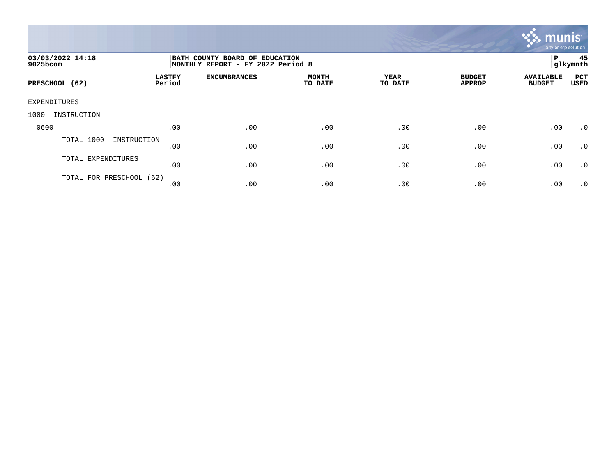

| 03/03/2022 14:18<br>9025bcom |                         | BATH COUNTY BOARD OF EDUCATION<br>MONTHLY REPORT - FY 2022 Period 8 |                         |                 |                                |                                   |             |  |
|------------------------------|-------------------------|---------------------------------------------------------------------|-------------------------|-----------------|--------------------------------|-----------------------------------|-------------|--|
| PRESCHOOL (62)               | <b>LASTFY</b><br>Period | <b>ENCUMBRANCES</b>                                                 | <b>MONTH</b><br>TO DATE | YEAR<br>TO DATE | <b>BUDGET</b><br><b>APPROP</b> | <b>AVAILABLE</b><br><b>BUDGET</b> | PCT<br>USED |  |
| EXPENDITURES                 |                         |                                                                     |                         |                 |                                |                                   |             |  |
| 1000<br>INSTRUCTION          |                         |                                                                     |                         |                 |                                |                                   |             |  |
| 0600                         | .00                     | .00                                                                 | .00                     | .00             | .00                            | .00                               | $\cdot$ 0   |  |
| TOTAL 1000<br>INSTRUCTION    | .00                     | .00                                                                 | .00                     | .00             | .00                            | .00                               | .0          |  |
| TOTAL EXPENDITURES           | .00                     | .00                                                                 | .00                     | .00             | .00                            | .00                               | .0          |  |
| TOTAL FOR PRESCHOOL (62)     | .00                     | .00                                                                 | .00                     | .00             | .00                            | .00                               | $\cdot$ 0   |  |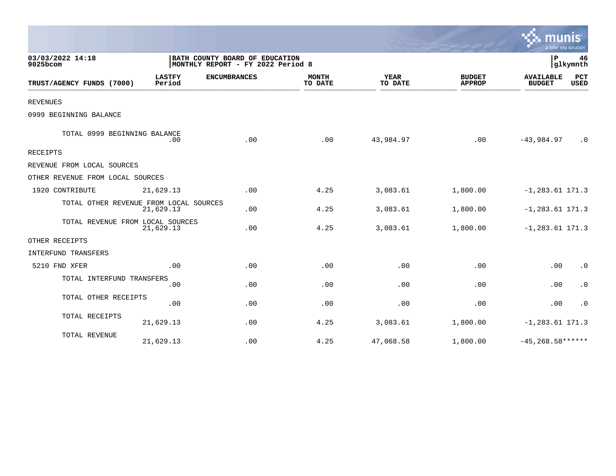|                                        |                         |                                                                     |                         |                        |                                | a tyler erp solution              |                    |
|----------------------------------------|-------------------------|---------------------------------------------------------------------|-------------------------|------------------------|--------------------------------|-----------------------------------|--------------------|
| 03/03/2022 14:18<br>9025bcom           |                         | BATH COUNTY BOARD OF EDUCATION<br>MONTHLY REPORT - FY 2022 Period 8 |                         |                        |                                | $\mathbf{P}$                      | 46<br>glkymnth     |
| TRUST/AGENCY FUNDS (7000)              | <b>LASTFY</b><br>Period | <b>ENCUMBRANCES</b>                                                 | <b>MONTH</b><br>TO DATE | <b>YEAR</b><br>TO DATE | <b>BUDGET</b><br><b>APPROP</b> | <b>AVAILABLE</b><br><b>BUDGET</b> | PCT<br><b>USED</b> |
| <b>REVENUES</b>                        |                         |                                                                     |                         |                        |                                |                                   |                    |
| 0999 BEGINNING BALANCE                 |                         |                                                                     |                         |                        |                                |                                   |                    |
| TOTAL 0999 BEGINNING BALANCE           | .00                     | .00                                                                 | .00                     | 43,984.97              | .00                            | $-43,984.97$                      | $\cdot$ 0          |
| RECEIPTS                               |                         |                                                                     |                         |                        |                                |                                   |                    |
| REVENUE FROM LOCAL SOURCES             |                         |                                                                     |                         |                        |                                |                                   |                    |
| OTHER REVENUE FROM LOCAL SOURCES       |                         |                                                                     |                         |                        |                                |                                   |                    |
| 1920 CONTRIBUTE                        | 21,629.13               | .00                                                                 | 4.25                    | 3,083.61               | 1,800.00                       | $-1, 283.61$ 171.3                |                    |
| TOTAL OTHER REVENUE FROM LOCAL SOURCES | 21,629.13               | .00                                                                 | 4.25                    | 3,083.61               | 1,800.00                       | $-1, 283.61$ 171.3                |                    |
| TOTAL REVENUE FROM LOCAL SOURCES       | 21,629.13               | .00                                                                 | 4.25                    | 3,083.61               | 1,800.00                       | $-1, 283.61$ 171.3                |                    |
| OTHER RECEIPTS                         |                         |                                                                     |                         |                        |                                |                                   |                    |
| INTERFUND TRANSFERS                    |                         |                                                                     |                         |                        |                                |                                   |                    |
| 5210 FND XFER                          | .00                     | .00                                                                 | .00                     | .00                    | .00                            | .00                               | $\cdot$ 0          |
| TOTAL INTERFUND TRANSFERS              | .00                     | .00                                                                 | .00                     | .00                    | .00                            | .00                               | $\cdot$ 0          |
| TOTAL OTHER RECEIPTS                   | .00                     | .00                                                                 | .00                     | .00                    | .00                            | .00                               | $\cdot$ 0          |
| TOTAL RECEIPTS                         | 21,629.13               | .00                                                                 | 4.25                    | 3,083.61               | 1,800.00                       | $-1, 283.61$ 171.3                |                    |
| TOTAL REVENUE                          | 21,629.13               | .00                                                                 | 4.25                    | 47,068.58              | 1,800.00                       | $-45,268.58***$                   |                    |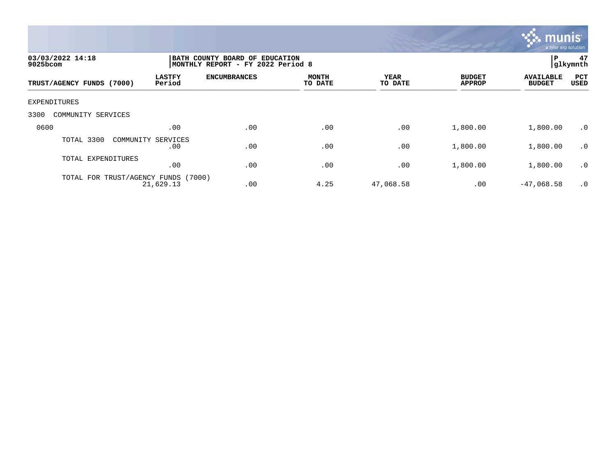

| 03/03/2022 14:18<br>$9025$ bcom  |                         | BATH COUNTY BOARD OF EDUCATION<br>MONTHLY REPORT - FY 2022 Period 8 |                         |                 |                                |                                   |                    |
|----------------------------------|-------------------------|---------------------------------------------------------------------|-------------------------|-----------------|--------------------------------|-----------------------------------|--------------------|
| TRUST/AGENCY FUNDS (7000)        | <b>LASTFY</b><br>Period | <b>ENCUMBRANCES</b>                                                 | <b>MONTH</b><br>TO DATE | YEAR<br>TO DATE | <b>BUDGET</b><br><b>APPROP</b> | <b>AVAILABLE</b><br><b>BUDGET</b> | PCT<br><b>USED</b> |
| EXPENDITURES                     |                         |                                                                     |                         |                 |                                |                                   |                    |
| 3300<br>COMMUNITY SERVICES       |                         |                                                                     |                         |                 |                                |                                   |                    |
| 0600                             | .00                     | .00                                                                 | .00                     | .00             | 1,800.00                       | 1,800.00                          | $\cdot$ 0          |
| TOTAL 3300<br>COMMUNITY SERVICES | .00                     | .00                                                                 | .00                     | .00             | 1,800.00                       | 1,800.00                          | $\cdot$ 0          |
| TOTAL EXPENDITURES               | .00                     | .00                                                                 | .00                     | .00             | 1,800.00                       | 1,800.00                          | $\cdot$ 0          |
| TOTAL FOR TRUST/AGENCY FUNDS     | (7000)<br>21,629.13     | .00                                                                 | 4.25                    | 47,068.58       | .00                            | $-47,068.58$                      | $\cdot$ 0          |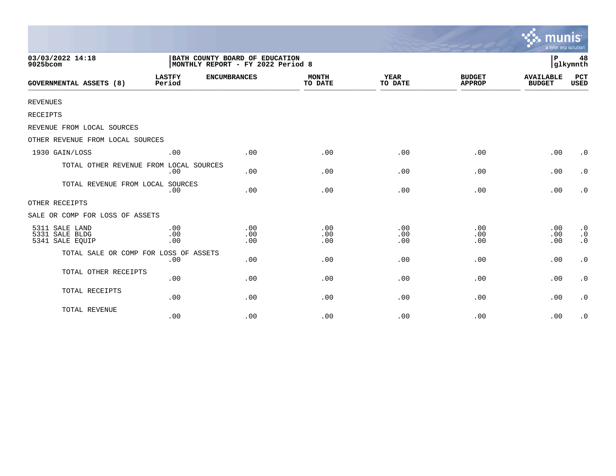|                                                     |                         |                                                                     |                         |                        |                                | munis<br>a tyler erp solution     |                                                  |
|-----------------------------------------------------|-------------------------|---------------------------------------------------------------------|-------------------------|------------------------|--------------------------------|-----------------------------------|--------------------------------------------------|
| 03/03/2022 14:18<br>9025bcom                        |                         | BATH COUNTY BOARD OF EDUCATION<br>MONTHLY REPORT - FY 2022 Period 8 |                         |                        |                                | l P                               | 48<br>glkymnth                                   |
| <b>GOVERNMENTAL ASSETS (8)</b>                      | <b>LASTFY</b><br>Period | <b>ENCUMBRANCES</b>                                                 | <b>MONTH</b><br>TO DATE | <b>YEAR</b><br>TO DATE | <b>BUDGET</b><br><b>APPROP</b> | <b>AVAILABLE</b><br><b>BUDGET</b> | <b>PCT</b><br><b>USED</b>                        |
| <b>REVENUES</b>                                     |                         |                                                                     |                         |                        |                                |                                   |                                                  |
| RECEIPTS                                            |                         |                                                                     |                         |                        |                                |                                   |                                                  |
| REVENUE FROM LOCAL SOURCES                          |                         |                                                                     |                         |                        |                                |                                   |                                                  |
| OTHER REVENUE FROM LOCAL SOURCES                    |                         |                                                                     |                         |                        |                                |                                   |                                                  |
| 1930 GAIN/LOSS                                      | .00                     | .00                                                                 | .00                     | .00                    | .00                            | .00                               | $\cdot$ 0                                        |
| TOTAL OTHER REVENUE FROM LOCAL SOURCES              | .00                     | .00                                                                 | .00                     | .00                    | .00                            | .00                               | $\cdot$ 0                                        |
| TOTAL REVENUE FROM LOCAL SOURCES                    | .00                     | .00                                                                 | .00                     | .00                    | .00                            | .00                               | $\cdot$ 0                                        |
| OTHER RECEIPTS                                      |                         |                                                                     |                         |                        |                                |                                   |                                                  |
| SALE OR COMP FOR LOSS OF ASSETS                     |                         |                                                                     |                         |                        |                                |                                   |                                                  |
| 5311 SALE LAND<br>5331 SALE BLDG<br>5341 SALE EQUIP | .00<br>.00<br>.00       | .00<br>.00<br>.00                                                   | .00<br>.00<br>.00       | .00<br>.00<br>.00      | .00<br>.00<br>.00              | .00<br>.00<br>.00                 | $\cdot$ 0<br>$\boldsymbol{\cdot}$ 0<br>$\cdot$ 0 |
| TOTAL SALE OR COMP FOR LOSS OF ASSETS               | .00                     | .00                                                                 | .00                     | .00                    | .00                            | .00                               | $\cdot$ 0                                        |
| TOTAL OTHER RECEIPTS                                | .00                     | .00                                                                 | .00                     | .00                    | .00                            | .00                               | $\cdot$ 0                                        |
| TOTAL RECEIPTS                                      | .00                     | .00                                                                 | .00                     | .00                    | .00                            | .00                               | $\cdot$ 0                                        |
| TOTAL REVENUE                                       | .00                     | .00                                                                 | .00                     | .00                    | .00                            | .00                               | $\cdot$ 0                                        |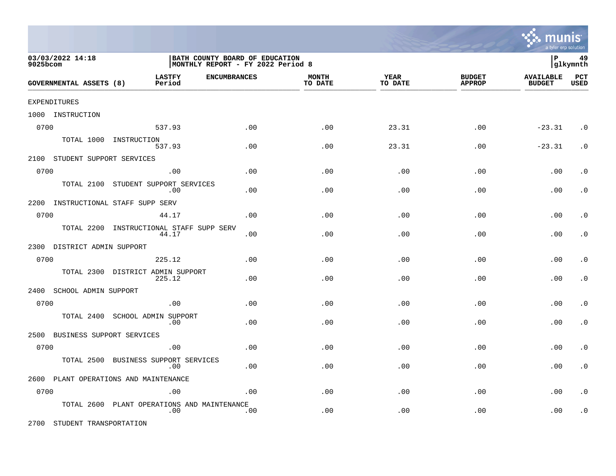

| 03/03/2022 14:18<br>9025bcom       |                                                | BATH COUNTY BOARD OF EDUCATION<br>MONTHLY REPORT - FY 2022 Period 8 |                         |                 |                                |                                   | 49<br> glkymnth    |
|------------------------------------|------------------------------------------------|---------------------------------------------------------------------|-------------------------|-----------------|--------------------------------|-----------------------------------|--------------------|
| GOVERNMENTAL ASSETS (8)            | <b>LASTFY</b><br><b>ENCUMBRANCES</b><br>Period |                                                                     | <b>MONTH</b><br>TO DATE | YEAR<br>TO DATE | <b>BUDGET</b><br><b>APPROP</b> | <b>AVAILABLE</b><br><b>BUDGET</b> | PCT<br><b>USED</b> |
| EXPENDITURES                       |                                                |                                                                     |                         |                 |                                |                                   |                    |
| 1000 INSTRUCTION                   |                                                |                                                                     |                         |                 |                                |                                   |                    |
| 0700                               | 537.93                                         | .00                                                                 | .00                     | 23.31           | .00                            | $-23.31$                          | $\cdot$ 0          |
|                                    | TOTAL 1000 INSTRUCTION<br>537.93               | .00                                                                 | .00                     | 23.31           | .00                            | $-23.31$                          | $\cdot$ 0          |
| 2100 STUDENT SUPPORT SERVICES      |                                                |                                                                     |                         |                 |                                |                                   |                    |
| 0700                               | .00                                            | .00                                                                 | .00                     | .00             | .00                            | .00                               | . $\boldsymbol{0}$ |
| TOTAL 2100                         | STUDENT SUPPORT SERVICES<br>.00                | .00                                                                 | .00                     | .00             | .00                            | .00                               | $\cdot$ 0          |
| 2200 INSTRUCTIONAL STAFF SUPP SERV |                                                |                                                                     |                         |                 |                                |                                   |                    |
| 0700                               | 44.17                                          | .00                                                                 | .00                     | .00             | .00                            | .00                               | $\cdot$ 0          |
| TOTAL 2200                         | INSTRUCTIONAL STAFF SUPP SERV<br>44.17         | .00                                                                 | .00                     | .00             | .00                            | .00                               | $\cdot$ 0          |
| 2300 DISTRICT ADMIN SUPPORT        |                                                |                                                                     |                         |                 |                                |                                   |                    |
| 0700                               | 225.12                                         | .00                                                                 | .00                     | .00             | .00                            | .00                               | $\cdot$ 0          |
| TOTAL 2300                         | DISTRICT ADMIN SUPPORT<br>225.12               | .00                                                                 | .00                     | .00             | .00                            | .00                               | $\cdot$ 0          |
| 2400<br>SCHOOL ADMIN SUPPORT       |                                                |                                                                     |                         |                 |                                |                                   |                    |
| 0700                               | .00                                            | .00                                                                 | .00                     | .00             | .00                            | .00                               | $\cdot$ 0          |
| TOTAL 2400                         | SCHOOL ADMIN SUPPORT<br>.00                    | .00                                                                 | .00                     | .00             | .00                            | .00                               | $\cdot$ 0          |
| 2500<br>BUSINESS SUPPORT SERVICES  |                                                |                                                                     |                         |                 |                                |                                   |                    |
| 0700                               | .00                                            | .00                                                                 | .00                     | .00             | .00                            | .00                               | $\cdot$ 0          |
| TOTAL 2500                         | BUSINESS SUPPORT SERVICES<br>.00               | .00                                                                 | .00                     | .00             | .00                            | .00                               | $\cdot$ 0          |
|                                    | 2600 PLANT OPERATIONS AND MAINTENANCE          |                                                                     |                         |                 |                                |                                   |                    |
| 0700                               | .00                                            | .00                                                                 | .00                     | .00             | .00                            | .00                               | $\cdot$ 0          |
| TOTAL 2600                         | PLANT OPERATIONS AND MAINTENANCE<br>.00        | .00                                                                 | .00                     | .00             | .00                            | .00                               | $\cdot$ 0          |

2700 STUDENT TRANSPORTATION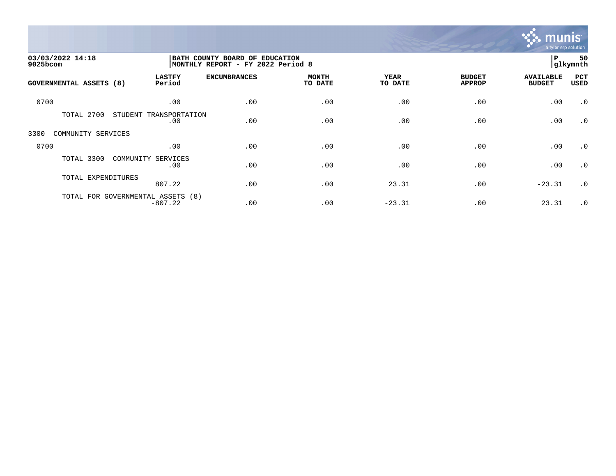

| 03/03/2022 14:18<br>9025bcom |                                                | BATH COUNTY BOARD OF EDUCATION<br>MONTHLY REPORT - FY 2022 Period 8 |                         |                        |                                |                                   |             |
|------------------------------|------------------------------------------------|---------------------------------------------------------------------|-------------------------|------------------------|--------------------------------|-----------------------------------|-------------|
| GOVERNMENTAL ASSETS (8)      | <b>LASTFY</b><br>Period                        | <b>ENCUMBRANCES</b>                                                 | <b>MONTH</b><br>TO DATE | <b>YEAR</b><br>TO DATE | <b>BUDGET</b><br><b>APPROP</b> | <b>AVAILABLE</b><br><b>BUDGET</b> | PCT<br>USED |
| 0700                         | .00                                            | .00                                                                 | .00                     | .00                    | .00                            | .00                               | $\cdot$ 0   |
| TOTAL 2700                   | STUDENT<br>TRANSPORTATION<br>.00               | .00                                                                 | .00                     | .00                    | .00                            | .00                               | $\cdot$ 0   |
| 3300<br>COMMUNITY SERVICES   |                                                |                                                                     |                         |                        |                                |                                   |             |
| 0700                         | .00                                            | .00                                                                 | .00                     | .00                    | .00                            | .00                               | $\cdot$ 0   |
| TOTAL 3300                   | COMMUNITY SERVICES<br>.00                      | .00                                                                 | .00                     | .00                    | .00                            | .00                               | $\cdot$ 0   |
| TOTAL EXPENDITURES           | 807.22                                         | .00                                                                 | .00                     | 23.31                  | .00                            | $-23.31$                          | $\cdot$ 0   |
|                              | TOTAL FOR GOVERNMENTAL ASSETS (8)<br>$-807.22$ | .00                                                                 | .00                     | $-23.31$               | .00                            | 23.31                             | $\cdot$ 0   |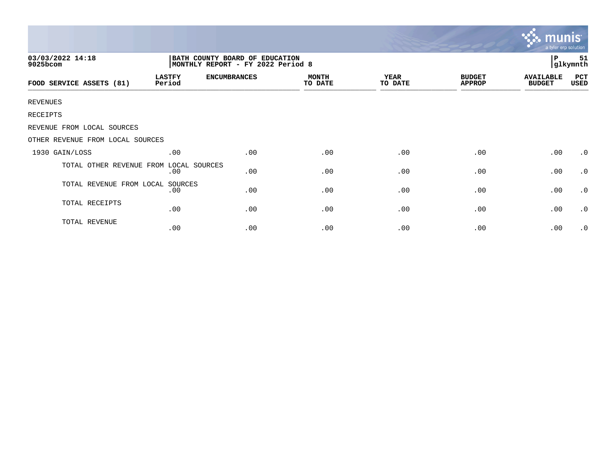|                                  |                         |                                                                     |                         |                        |                                | mui<br>a tyler erp solution       |                |
|----------------------------------|-------------------------|---------------------------------------------------------------------|-------------------------|------------------------|--------------------------------|-----------------------------------|----------------|
| 03/03/2022 14:18<br>9025bcom     |                         | BATH COUNTY BOARD OF EDUCATION<br>MONTHLY REPORT - FY 2022 Period 8 |                         |                        |                                | $\, {\bf P}$                      | 51<br>glkymnth |
| FOOD SERVICE ASSETS (81)         | <b>LASTFY</b><br>Period | <b>ENCUMBRANCES</b>                                                 | <b>MONTH</b><br>TO DATE | <b>YEAR</b><br>TO DATE | <b>BUDGET</b><br><b>APPROP</b> | <b>AVAILABLE</b><br><b>BUDGET</b> | PCT<br>USED    |
| <b>REVENUES</b>                  |                         |                                                                     |                         |                        |                                |                                   |                |
| RECEIPTS                         |                         |                                                                     |                         |                        |                                |                                   |                |
| REVENUE FROM LOCAL SOURCES       |                         |                                                                     |                         |                        |                                |                                   |                |
| OTHER REVENUE FROM LOCAL SOURCES |                         |                                                                     |                         |                        |                                |                                   |                |
| 1930 GAIN/LOSS                   | .00                     | .00                                                                 | .00                     | .00                    | .00                            | .00                               | $\cdot$ 0      |
| TOTAL OTHER REVENUE FROM         | LOCAL SOURCES<br>.00    | .00                                                                 | .00                     | .00                    | .00                            | .00                               | $\cdot$ 0      |
| TOTAL REVENUE FROM LOCAL SOURCES | .00                     | .00                                                                 | .00                     | .00                    | .00                            | .00                               | $\cdot$ 0      |
| TOTAL RECEIPTS                   | .00                     | .00                                                                 | .00                     | .00                    | .00                            | .00                               | $\cdot$ 0      |
| TOTAL REVENUE                    | .00                     | .00                                                                 | .00                     | .00                    | .00                            | .00                               | $\cdot$ 0      |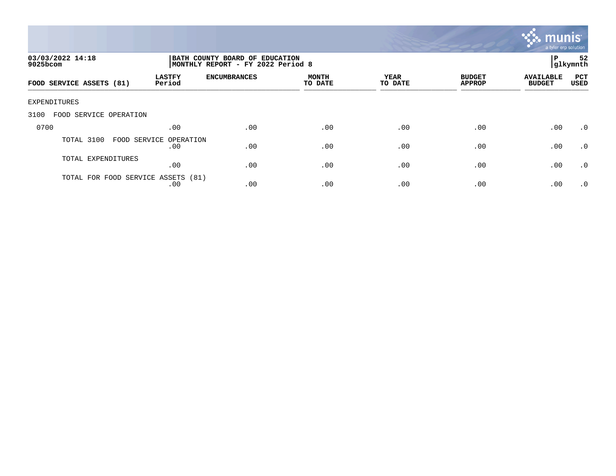

| 03/03/2022 14:18<br>$9025$ bcom |                               | BATH COUNTY BOARD OF EDUCATION<br>P<br> glkymnth<br>MONTHLY REPORT - FY 2022 Period 8 |                         |                 |                                |                                   |                    |
|---------------------------------|-------------------------------|---------------------------------------------------------------------------------------|-------------------------|-----------------|--------------------------------|-----------------------------------|--------------------|
| FOOD SERVICE ASSETS (81)        | <b>LASTFY</b><br>Period       | <b>ENCUMBRANCES</b>                                                                   | <b>MONTH</b><br>TO DATE | YEAR<br>TO DATE | <b>BUDGET</b><br><b>APPROP</b> | <b>AVAILABLE</b><br><b>BUDGET</b> | PCT<br><b>USED</b> |
| EXPENDITURES                    |                               |                                                                                       |                         |                 |                                |                                   |                    |
| 3100<br>FOOD SERVICE OPERATION  |                               |                                                                                       |                         |                 |                                |                                   |                    |
| 0700                            | .00                           | .00                                                                                   | .00                     | .00             | .00                            | .00                               | $.0 \cdot$         |
| TOTAL 3100                      | FOOD SERVICE OPERATION<br>.00 | .00                                                                                   | .00                     | .00             | .00                            | .00                               | $\cdot$ 0          |
| TOTAL EXPENDITURES              | .00                           | .00                                                                                   | .00                     | .00             | .00                            | .00                               | $\cdot$ 0          |
| TOTAL FOR FOOD                  | SERVICE ASSETS (81)<br>.00    | .00                                                                                   | .00                     | .00             | .00                            | .00                               | $.0 \cdot$         |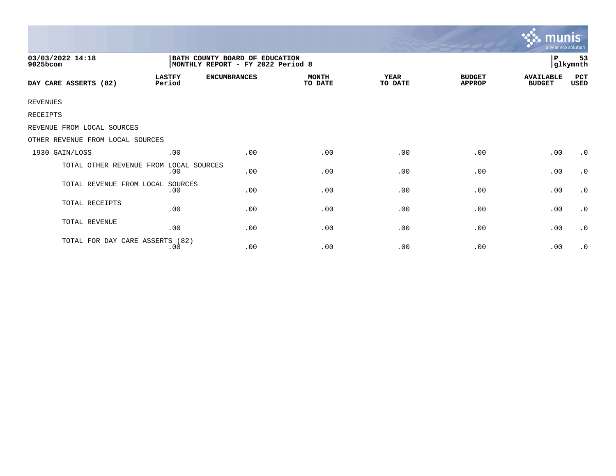|                                  |                                                                      |                     |                         |                 |                                | <b>munis</b><br>a tyler erp solution |                     |  |
|----------------------------------|----------------------------------------------------------------------|---------------------|-------------------------|-----------------|--------------------------------|--------------------------------------|---------------------|--|
| 03/03/2022 14:18<br>9025bcom     | BATH COUNTY BOARD OF EDUCATION<br> MONTHLY REPORT - FY 2022 Period 8 |                     |                         |                 |                                |                                      | 53<br>P<br>glkymnth |  |
| DAY CARE ASSERTS (82)            | <b>LASTFY</b><br>Period                                              | <b>ENCUMBRANCES</b> | <b>MONTH</b><br>TO DATE | YEAR<br>TO DATE | <b>BUDGET</b><br><b>APPROP</b> | <b>AVAILABLE</b><br><b>BUDGET</b>    | PCT<br>USED         |  |
| <b>REVENUES</b>                  |                                                                      |                     |                         |                 |                                |                                      |                     |  |
| RECEIPTS                         |                                                                      |                     |                         |                 |                                |                                      |                     |  |
| REVENUE FROM LOCAL SOURCES       |                                                                      |                     |                         |                 |                                |                                      |                     |  |
| OTHER REVENUE FROM LOCAL SOURCES |                                                                      |                     |                         |                 |                                |                                      |                     |  |
| 1930 GAIN/LOSS                   | .00                                                                  | .00                 | .00                     | .00             | .00                            | .00                                  | $\cdot$ 0           |  |
| TOTAL OTHER REVENUE FROM         | LOCAL SOURCES<br>.00                                                 | .00                 | .00                     | .00             | .00                            | .00                                  | $\cdot$ 0           |  |
| TOTAL REVENUE FROM LOCAL         | SOURCES<br>.00                                                       | .00                 | .00                     | .00             | .00                            | .00                                  | $\cdot$ 0           |  |
| TOTAL RECEIPTS                   | .00                                                                  | .00                 | .00                     | .00             | .00                            | .00                                  | $\cdot$ 0           |  |
| TOTAL REVENUE                    | .00                                                                  | .00                 | .00                     | .00             | .00                            | .00                                  | $\cdot$ 0           |  |
| TOTAL FOR DAY CARE ASSERTS (82)  | .00                                                                  | .00                 | .00                     | .00             | .00                            | .00                                  | $\cdot$ 0           |  |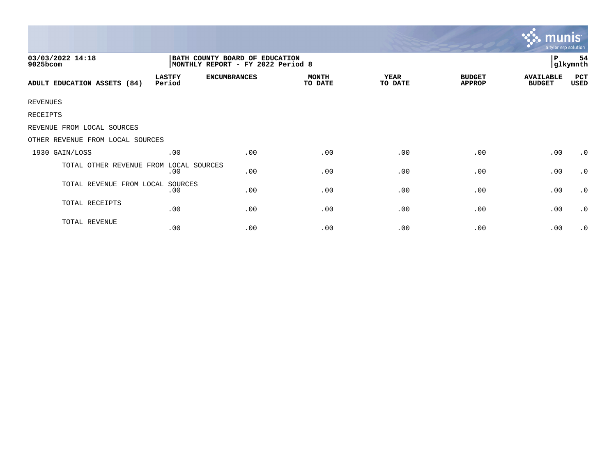|                                  |                         |                                                                     |                         |                        |                                | a tyler erp solution              |                |
|----------------------------------|-------------------------|---------------------------------------------------------------------|-------------------------|------------------------|--------------------------------|-----------------------------------|----------------|
| 03/03/2022 14:18<br>9025bcom     |                         | BATH COUNTY BOARD OF EDUCATION<br>MONTHLY REPORT - FY 2022 Period 8 |                         |                        |                                | l P                               | 54<br>glkymnth |
| ADULT EDUCATION ASSETS (84)      | <b>LASTFY</b><br>Period | <b>ENCUMBRANCES</b>                                                 | <b>MONTH</b><br>TO DATE | <b>YEAR</b><br>TO DATE | <b>BUDGET</b><br><b>APPROP</b> | <b>AVAILABLE</b><br><b>BUDGET</b> | PCT<br>USED    |
| <b>REVENUES</b>                  |                         |                                                                     |                         |                        |                                |                                   |                |
| RECEIPTS                         |                         |                                                                     |                         |                        |                                |                                   |                |
| REVENUE FROM LOCAL SOURCES       |                         |                                                                     |                         |                        |                                |                                   |                |
| OTHER REVENUE FROM LOCAL SOURCES |                         |                                                                     |                         |                        |                                |                                   |                |
| 1930 GAIN/LOSS                   | .00                     | .00                                                                 | .00                     | .00                    | .00                            | .00                               | $\cdot$ 0      |
| TOTAL OTHER REVENUE FROM         | LOCAL SOURCES<br>.00    | .00                                                                 | .00                     | .00                    | .00                            | .00                               | $\cdot$ 0      |
| TOTAL REVENUE FROM LOCAL SOURCES | .00                     | .00                                                                 | .00                     | .00                    | .00                            | .00                               | $\cdot$ 0      |
| TOTAL RECEIPTS                   | .00                     | .00                                                                 | .00                     | .00                    | .00                            | .00                               | $\cdot$ 0      |
| TOTAL REVENUE                    | .00                     | .00                                                                 | .00                     | .00                    | .00                            | .00                               | $\cdot$ 0      |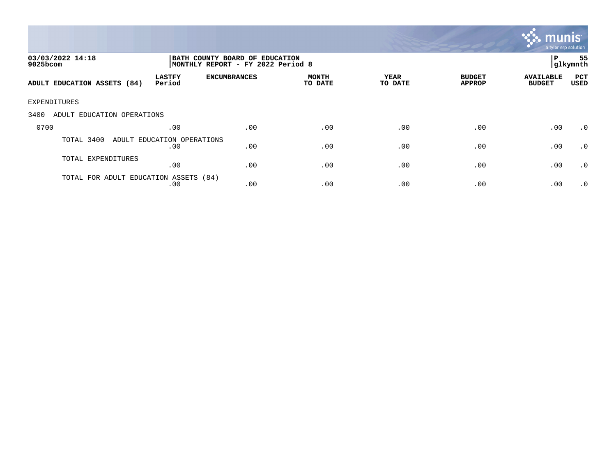

| 03/03/2022 14:18<br>9025bcom          |                                   |                     | BATH COUNTY BOARD OF EDUCATION<br>MONTHLY REPORT - FY 2022 Period 8 |                 |                                |                                   |             |  |
|---------------------------------------|-----------------------------------|---------------------|---------------------------------------------------------------------|-----------------|--------------------------------|-----------------------------------|-------------|--|
| ADULT EDUCATION ASSETS (84)           | <b>LASTFY</b><br>Period           | <b>ENCUMBRANCES</b> | <b>MONTH</b><br>TO DATE                                             | YEAR<br>TO DATE | <b>BUDGET</b><br><b>APPROP</b> | <b>AVAILABLE</b><br><b>BUDGET</b> | PCT<br>USED |  |
| EXPENDITURES                          |                                   |                     |                                                                     |                 |                                |                                   |             |  |
| 3400<br>ADULT EDUCATION OPERATIONS    |                                   |                     |                                                                     |                 |                                |                                   |             |  |
| 0700                                  | .00                               | .00                 | .00                                                                 | .00             | .00                            | .00                               | $\cdot$ 0   |  |
| TOTAL 3400                            | ADULT EDUCATION OPERATIONS<br>.00 | .00                 | .00                                                                 | .00             | .00                            | .00                               | $\cdot$ 0   |  |
| TOTAL EXPENDITURES                    | .00                               | .00                 | .00                                                                 | .00             | .00                            | .00                               | $\cdot$ 0   |  |
| TOTAL FOR ADULT EDUCATION ASSETS (84) | .00                               | .00                 | .00                                                                 | .00             | .00                            | .00                               | $\cdot$ 0   |  |